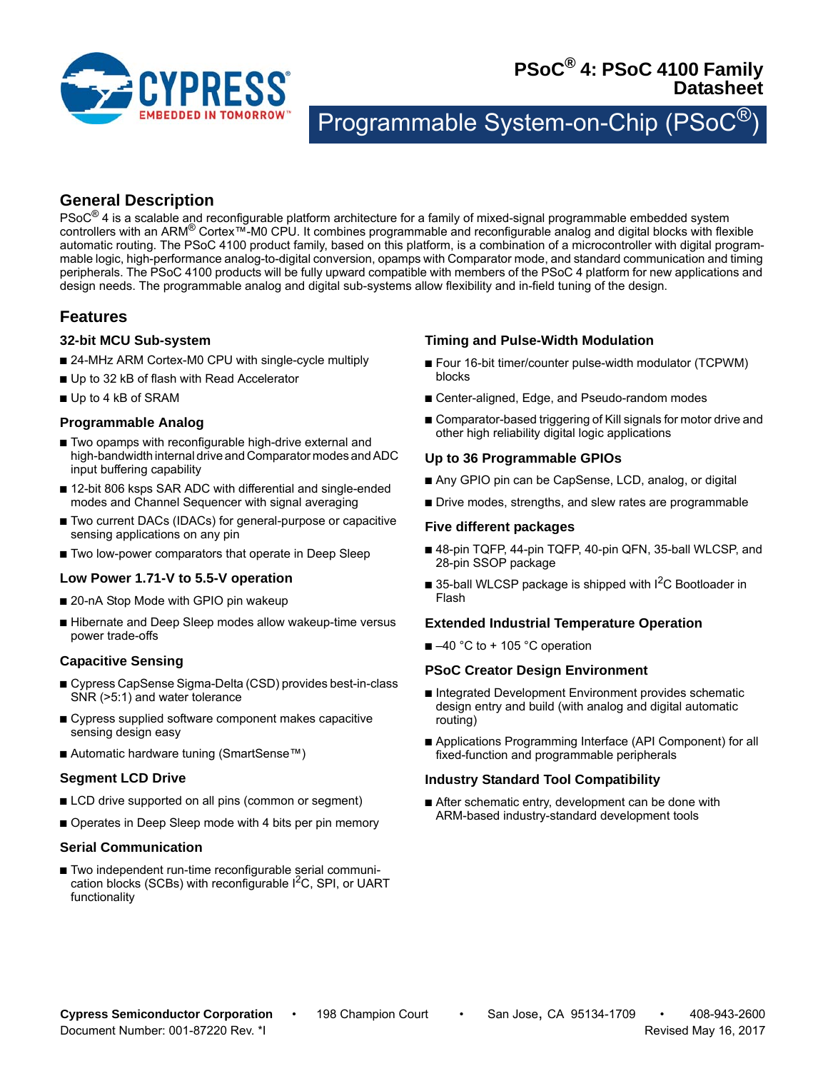

# **PSoC® 4: PSoC 4100 Family Datasheet**

Programmable System-on-Chip (PSo

# **General Description**

 $PSoC^{\circledR}$  4 is a scalable and reconfigurable platform architecture for a family of mixed-signal programmable embedded system controllers with an ARM® Cortex™-M0 CPU. It combines programmable and reconfigurable analog and digital blocks with flexible automatic routing. The PSoC 4100 product family, based on this platform, is a combination of a microcontroller with digital programmable logic, high-performance analog-to-digital conversion, opamps with Comparator mode, and standard communication and timing peripherals. The PSoC 4100 products will be fully upward compatible with members of the PSoC 4 platform for new applications and design needs. The programmable analog and digital sub-systems allow flexibility and in-field tuning of the design.

# **Features**

#### **32-bit MCU Sub-system**

- 24-MHz ARM Cortex-M0 CPU with single-cycle multiply
- Up to 32 kB of flash with Read Accelerator
- Up to 4 kB of SRAM

# **Programmable Analog**

- Two opamps with reconfigurable high-drive external and high-bandwidth internal drive and Comparator modes and ADC input buffering capability
- 12-bit 806 ksps SAR ADC with differential and single-ended modes and Channel Sequencer with signal averaging
- Two current DACs (IDACs) for general-purpose or capacitive sensing applications on any pin
- Two low-power comparators that operate in Deep Sleep

# **Low Power 1.71-V to 5.5-V operation**

- 20-nA Stop Mode with GPIO pin wakeup
- Hibernate and Deep Sleep modes allow wakeup-time versus power trade-offs

# **Capacitive Sensing**

- Cypress CapSense Sigma-Delta (CSD) provides best-in-class SNR (>5:1) and water tolerance
- Cypress supplied software component makes capacitive sensing design easy
- Automatic hardware tuning (SmartSense™)

# **Segment LCD Drive**

- LCD drive supported on all pins (common or segment)
- Operates in Deep Sleep mode with 4 bits per pin memory

#### **Serial Communication**

■ Two independent run-time reconfigurable serial communication blocks (SCBs) with reconfigurable  $I<sup>2</sup>C$ , SPI, or UART functionality

# **Timing and Pulse-Width Modulation**

- Four 16-bit timer/counter pulse-width modulator (TCPWM) blocks
- Center-aligned, Edge, and Pseudo-random modes
- Comparator-based triggering of Kill signals for motor drive and other high reliability digital logic applications

# **Up to 36 Programmable GPIOs**

- Any GPIO pin can be CapSense, LCD, analog, or digital
- Drive modes, strengths, and slew rates are programmable

#### **Five different packages**

- 48-pin TQFP, 44-pin TQFP, 40-pin QFN, 35-ball WLCSP, and 28-pin SSOP package
- 35-ball WLCSP package is shipped with I<sup>2</sup>C Bootloader in Flash

#### **Extended Industrial Temperature Operation**

 $\blacksquare$  –40 °C to + 105 °C operation

#### **PSoC Creator Design Environment**

- Integrated Development Environment provides schematic design entry and build (with analog and digital automatic routing)
- Applications Programming Interface (API Component) for all fixed-function and programmable peripherals

#### **Industry Standard Tool Compatibility**

■ After schematic entry, development can be done with ARM-based industry-standard development tools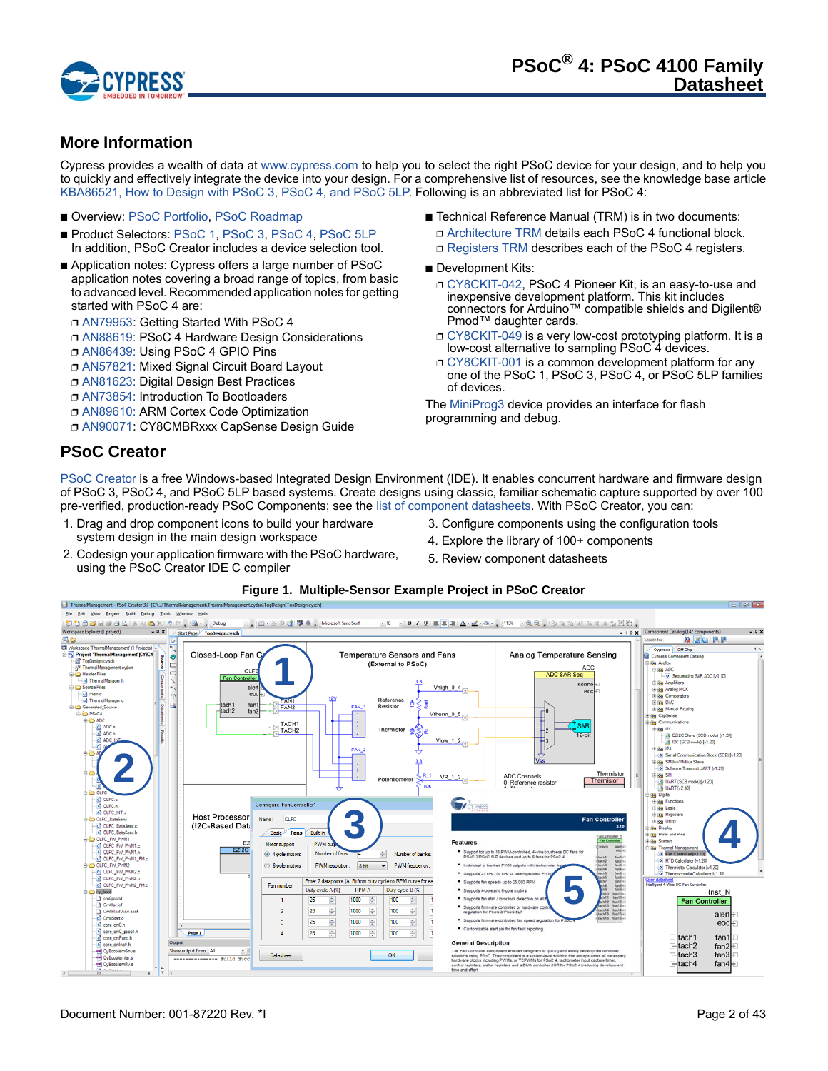

# **More Information**

Cypress provides a wealth of data at www.cypress.com to help you to select the right PSoC device for your design, and to help you to quickly and effectively integrate the device into your design. For a comprehensive list of resources, see the knowledge base article KBA86521, How to Design with PSoC 3, PSoC 4, and PSoC 5LP. Following is an abbreviated list for PSoC 4:

- Overview: PSoC Portfolio, PSoC Roadmap
- Product Selectors: PSoC 1, PSoC 3, PSoC 4, PSoC 5LP In addition, PSoC Creator includes a device selection tool.
- Application notes: Cypress offers a large number of PSoC application notes covering a broad range of topics, from basic to advanced level. Recommended application notes for getting started with PSoC 4 are:
	- ❐ AN79953: Getting Started With PSoC 4
	- ❐ AN88619: PSoC 4 Hardware Design Considerations
	- ❐ AN86439: Using PSoC 4 GPIO Pins
	- ❐ AN57821: Mixed Signal Circuit Board Layout
	- ❐ AN81623: Digital Design Best Practices
	- ❐ AN73854: Introduction To Bootloaders
	- ❐ AN89610: ARM Cortex Code Optimization
	- ❐ AN90071: CY8CMBRxxx CapSense Design Guide
- Technical Reference Manual (TRM) is in two documents: ❐ Architecture TRM details each PSoC 4 functional block. □ Registers TRM describes each of the PSoC 4 registers.
- Development Kits:
	- ❐ CY8CKIT-042, PSoC 4 Pioneer Kit, is an easy-to-use and inexpensive development platform. This kit includes connectors for Arduino™ compatible shields and Digilent® Pmod™ daughter cards.
	- CY8CKIT-049 is a very low-cost prototyping platform. It is a low-cost alternative to sampling PSoC 4 devices.
	- ❐ CY8CKIT-001 is a common development platform for any one of the PSoC 1, PSoC 3, PSoC 4, or PSoC 5LP families of devices.

The MiniProg3 device provides an interface for flash programming and debug.

# **PSoC Creator**

PSoC Creator is a free Windows-based Integrated Design Environment (IDE). It enables concurrent hardware and firmware design of PSoC 3, PSoC 4, and PSoC 5LP based systems. Create designs using classic, familiar schematic capture supported by over 100 pre-verified, production-ready PSoC Components; see the list of component datasheets. With PSoC Creator, you can:

- 1. Drag and drop component icons to build your hardware system design in the main design workspace
- 2. Codesign your application firmware with the PSoC hardware, using the PSoC Creator IDE C compiler
- 3. Configure components using the configuration tools
- 4. Explore the library of 100+ components
- 5. Review component datasheets

#### **Figure 1. Multiple-Sensor Example Project in PSoC Creator**

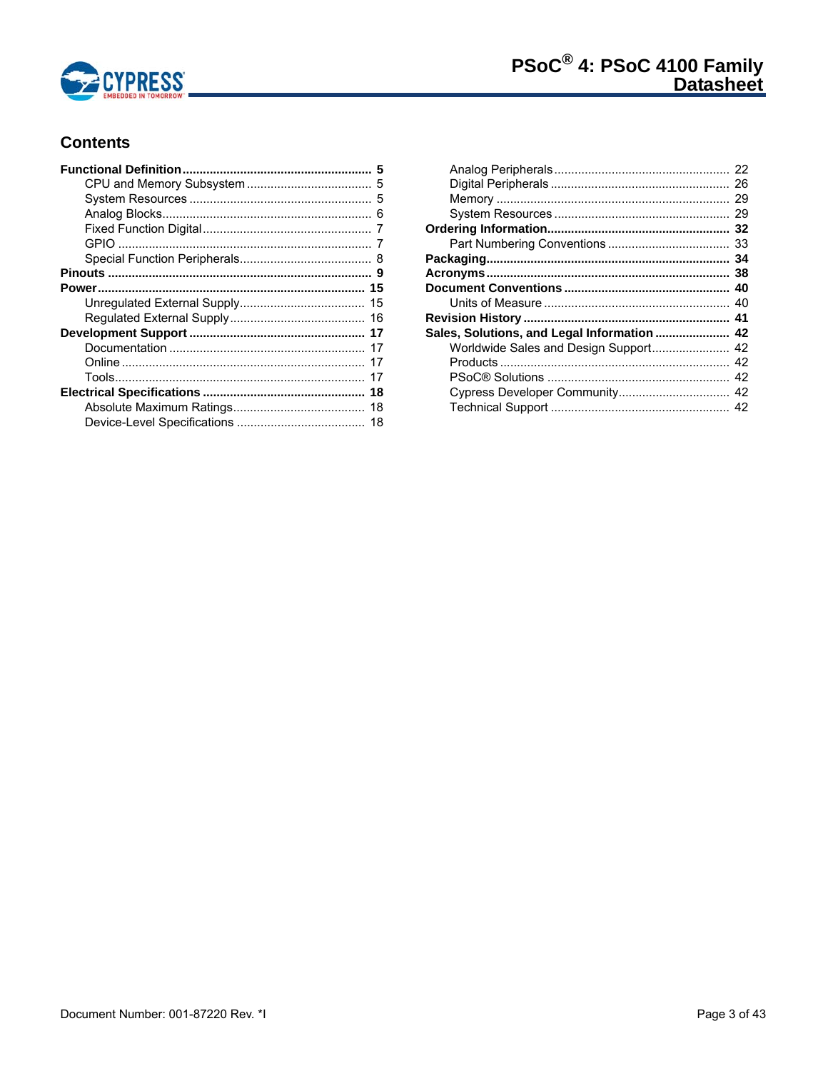

# **Contents**

| Sales, Solutions, and Legal Information  42 |  |
|---------------------------------------------|--|
| Worldwide Sales and Design Support 42       |  |
|                                             |  |
|                                             |  |
|                                             |  |
|                                             |  |
|                                             |  |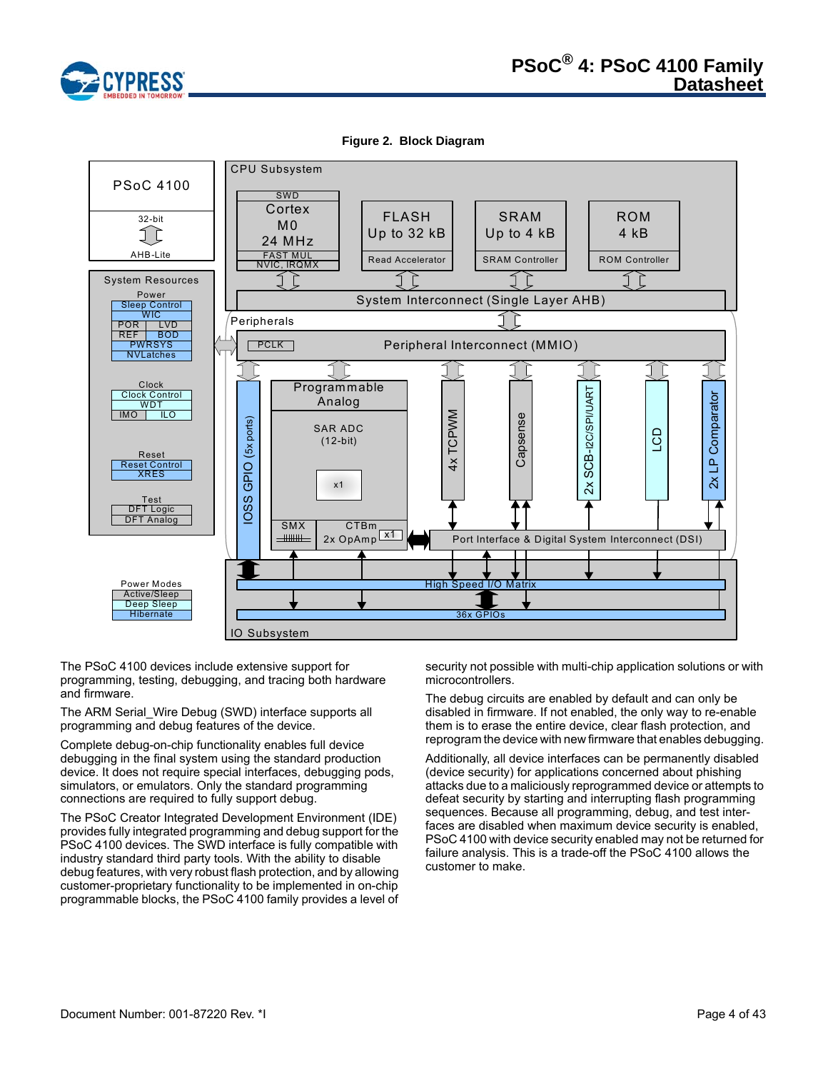

**Figure 2. Block Diagram**



The PSoC 4100 devices include extensive support for programming, testing, debugging, and tracing both hardware and firmware.

The ARM Serial\_Wire Debug (SWD) interface supports all programming and debug features of the device.

Complete debug-on-chip functionality enables full device debugging in the final system using the standard production device. It does not require special interfaces, debugging pods, simulators, or emulators. Only the standard programming connections are required to fully support debug.

The PSoC Creator Integrated Development Environment (IDE) provides fully integrated programming and debug support for the PSoC 4100 devices. The SWD interface is fully compatible with industry standard third party tools. With the ability to disable debug features, with very robust flash protection, and by allowing customer-proprietary functionality to be implemented in on-chip programmable blocks, the PSoC 4100 family provides a level of security not possible with multi-chip application solutions or with microcontrollers.

The debug circuits are enabled by default and can only be disabled in firmware. If not enabled, the only way to re-enable them is to erase the entire device, clear flash protection, and reprogram the device with new firmware that enables debugging.

Additionally, all device interfaces can be permanently disabled (device security) for applications concerned about phishing attacks due to a maliciously reprogrammed device or attempts to defeat security by starting and interrupting flash programming sequences. Because all programming, debug, and test interfaces are disabled when maximum device security is enabled, PSoC 4100 with device security enabled may not be returned for failure analysis. This is a trade-off the PSoC 4100 allows the customer to make.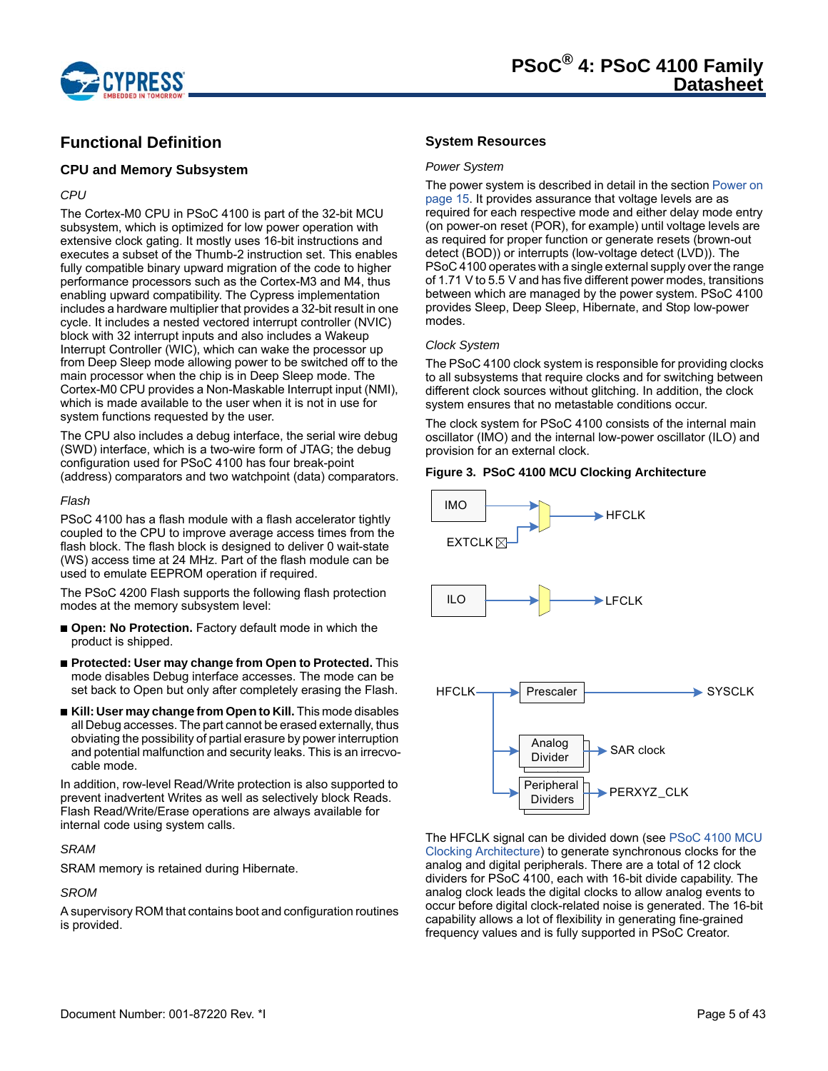

# **Functional Definition**

#### **CPU and Memory Subsystem**

#### *CPU*

The Cortex-M0 CPU in PSoC 4100 is part of the 32-bit MCU subsystem, which is optimized for low power operation with extensive clock gating. It mostly uses 16-bit instructions and executes a subset of the Thumb-2 instruction set. This enables fully compatible binary upward migration of the code to higher performance processors such as the Cortex-M3 and M4, thus enabling upward compatibility. The Cypress implementation includes a hardware multiplier that provides a 32-bit result in one cycle. It includes a nested vectored interrupt controller (NVIC) block with 32 interrupt inputs and also includes a Wakeup Interrupt Controller (WIC), which can wake the processor up from Deep Sleep mode allowing power to be switched off to the main processor when the chip is in Deep Sleep mode. The Cortex-M0 CPU provides a Non-Maskable Interrupt input (NMI), which is made available to the user when it is not in use for system functions requested by the user.

The CPU also includes a debug interface, the serial wire debug (SWD) interface, which is a two-wire form of JTAG; the debug configuration used for PSoC 4100 has four break-point (address) comparators and two watchpoint (data) comparators.

#### *Flash*

PSoC 4100 has a flash module with a flash accelerator tightly coupled to the CPU to improve average access times from the flash block. The flash block is designed to deliver 0 wait-state (WS) access time at 24 MHz. Part of the flash module can be used to emulate EEPROM operation if required.

The PSoC 4200 Flash supports the following flash protection modes at the memory subsystem level:

- **Open: No Protection.** Factory default mode in which the product is shipped.
- **Protected: User may change from Open to Protected.** This mode disables Debug interface accesses. The mode can be set back to Open but only after completely erasing the Flash.
- **Kill: User may change from Open to Kill.** This mode disables all Debug accesses. The part cannot be erased externally, thus obviating the possibility of partial erasure by power interruption and potential malfunction and security leaks. This is an irrecvocable mode.

In addition, row-level Read/Write protection is also supported to prevent inadvertent Writes as well as selectively block Reads. Flash Read/Write/Erase operations are always available for internal code using system calls.

# *SRAM*

SRAM memory is retained during Hibernate.

# *SROM*

A supervisory ROM that contains boot and configuration routines is provided.

## **System Resources**

#### *Power System*

The power system is described in detail in the section Power on page 15. It provides assurance that voltage levels are as required for each respective mode and either delay mode entry (on power-on reset (POR), for example) until voltage levels are as required for proper function or generate resets (brown-out detect (BOD)) or interrupts (low-voltage detect (LVD)). The PSoC 4100 operates with a single external supply over the range of 1.71 V to 5.5 V and has five different power modes, transitions between which are managed by the power system. PSoC 4100 provides Sleep, Deep Sleep, Hibernate, and Stop low-power modes.

#### *Clock System*

The PSoC 4100 clock system is responsible for providing clocks to all subsystems that require clocks and for switching between different clock sources without glitching. In addition, the clock system ensures that no metastable conditions occur.

The clock system for PSoC 4100 consists of the internal main oscillator (IMO) and the internal low-power oscillator (ILO) and provision for an external clock.

#### **Figure 3. PSoC 4100 MCU Clocking Architecture**



The HFCLK signal can be divided down (see PSoC 4100 MCU Clocking Architecture) to generate synchronous clocks for the analog and digital peripherals. There are a total of 12 clock dividers for PSoC 4100, each with 16-bit divide capability. The analog clock leads the digital clocks to allow analog events to occur before digital clock-related noise is generated. The 16-bit capability allows a lot of flexibility in generating fine-grained frequency values and is fully supported in PSoC Creator.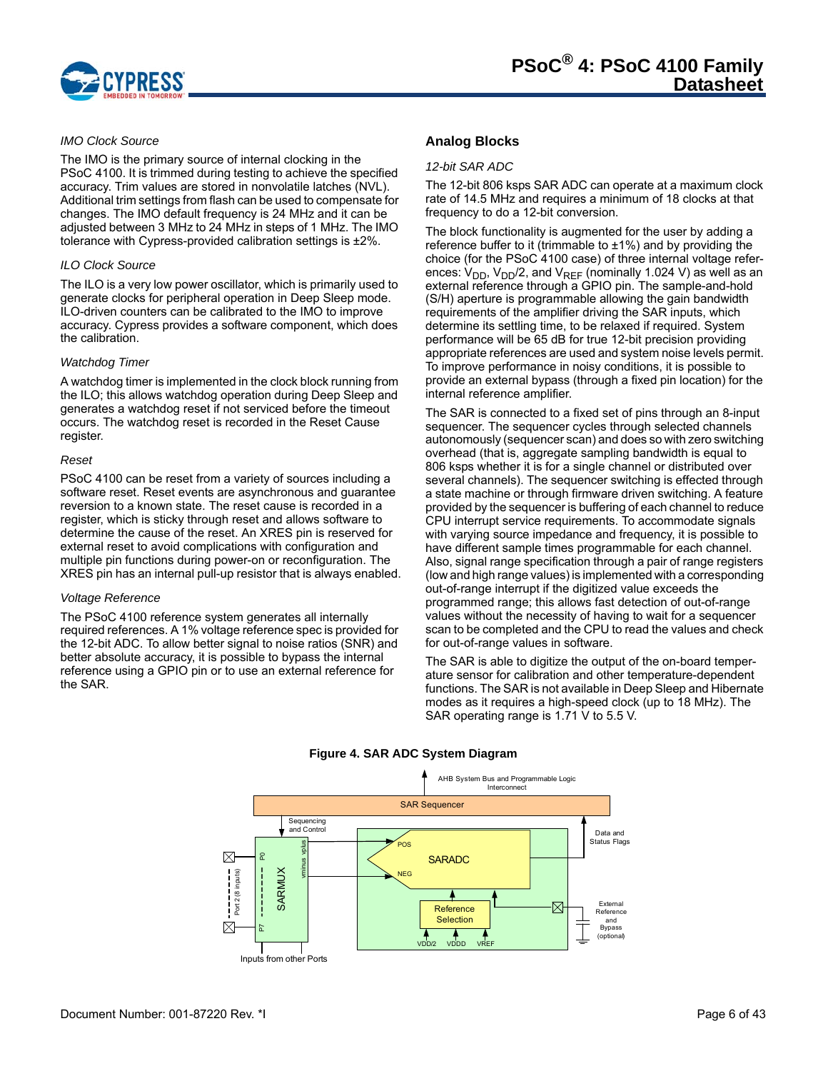

#### *IMO Clock Source*

The IMO is the primary source of internal clocking in the PSoC 4100. It is trimmed during testing to achieve the specified accuracy. Trim values are stored in nonvolatile latches (NVL). Additional trim settings from flash can be used to compensate for changes. The IMO default frequency is 24 MHz and it can be adjusted between 3 MHz to 24 MHz in steps of 1 MHz. The IMO tolerance with Cypress-provided calibration settings is ±2%.

#### *ILO Clock Source*

The ILO is a very low power oscillator, which is primarily used to generate clocks for peripheral operation in Deep Sleep mode. ILO-driven counters can be calibrated to the IMO to improve accuracy. Cypress provides a software component, which does the calibration.

#### *Watchdog Timer*

A watchdog timer is implemented in the clock block running from the ILO; this allows watchdog operation during Deep Sleep and generates a watchdog reset if not serviced before the timeout occurs. The watchdog reset is recorded in the Reset Cause register.

#### *Reset*

PSoC 4100 can be reset from a variety of sources including a software reset. Reset events are asynchronous and guarantee reversion to a known state. The reset cause is recorded in a register, which is sticky through reset and allows software to determine the cause of the reset. An XRES pin is reserved for external reset to avoid complications with configuration and multiple pin functions during power-on or reconfiguration. The XRES pin has an internal pull-up resistor that is always enabled.

#### *Voltage Reference*

The PSoC 4100 reference system generates all internally required references. A 1% voltage reference spec is provided for the 12-bit ADC. To allow better signal to noise ratios (SNR) and better absolute accuracy, it is possible to bypass the internal reference using a GPIO pin or to use an external reference for the SAR.

# **Analog Blocks**

#### *12-bit SAR ADC*

The 12-bit 806 ksps SAR ADC can operate at a maximum clock rate of 14.5 MHz and requires a minimum of 18 clocks at that frequency to do a 12-bit conversion.

The block functionality is augmented for the user by adding a reference buffer to it (trimmable to  $\pm 1\%$ ) and by providing the choice (for the PSoC 4100 case) of three internal voltage references:  $V_{DD}$ ,  $V_{DD}/2$ , and  $V_{REF}$  (nominally 1.024 V) as well as an external reference through a GPIO pin. The sample-and-hold (S/H) aperture is programmable allowing the gain bandwidth requirements of the amplifier driving the SAR inputs, which determine its settling time, to be relaxed if required. System performance will be 65 dB for true 12-bit precision providing appropriate references are used and system noise levels permit. To improve performance in noisy conditions, it is possible to provide an external bypass (through a fixed pin location) for the internal reference amplifier.

The SAR is connected to a fixed set of pins through an 8-input sequencer. The sequencer cycles through selected channels autonomously (sequencer scan) and does so with zero switching overhead (that is, aggregate sampling bandwidth is equal to 806 ksps whether it is for a single channel or distributed over several channels). The sequencer switching is effected through a state machine or through firmware driven switching. A feature provided by the sequencer is buffering of each channel to reduce CPU interrupt service requirements. To accommodate signals with varying source impedance and frequency, it is possible to have different sample times programmable for each channel. Also, signal range specification through a pair of range registers (low and high range values) is implemented with a corresponding out-of-range interrupt if the digitized value exceeds the programmed range; this allows fast detection of out-of-range values without the necessity of having to wait for a sequencer scan to be completed and the CPU to read the values and check for out-of-range values in software.

The SAR is able to digitize the output of the on-board temperature sensor for calibration and other temperature-dependent functions. The SAR is not available in Deep Sleep and Hibernate modes as it requires a high-speed clock (up to 18 MHz). The SAR operating range is 1.71 V to 5.5 V.



#### **Figure 4. SAR ADC System Diagram**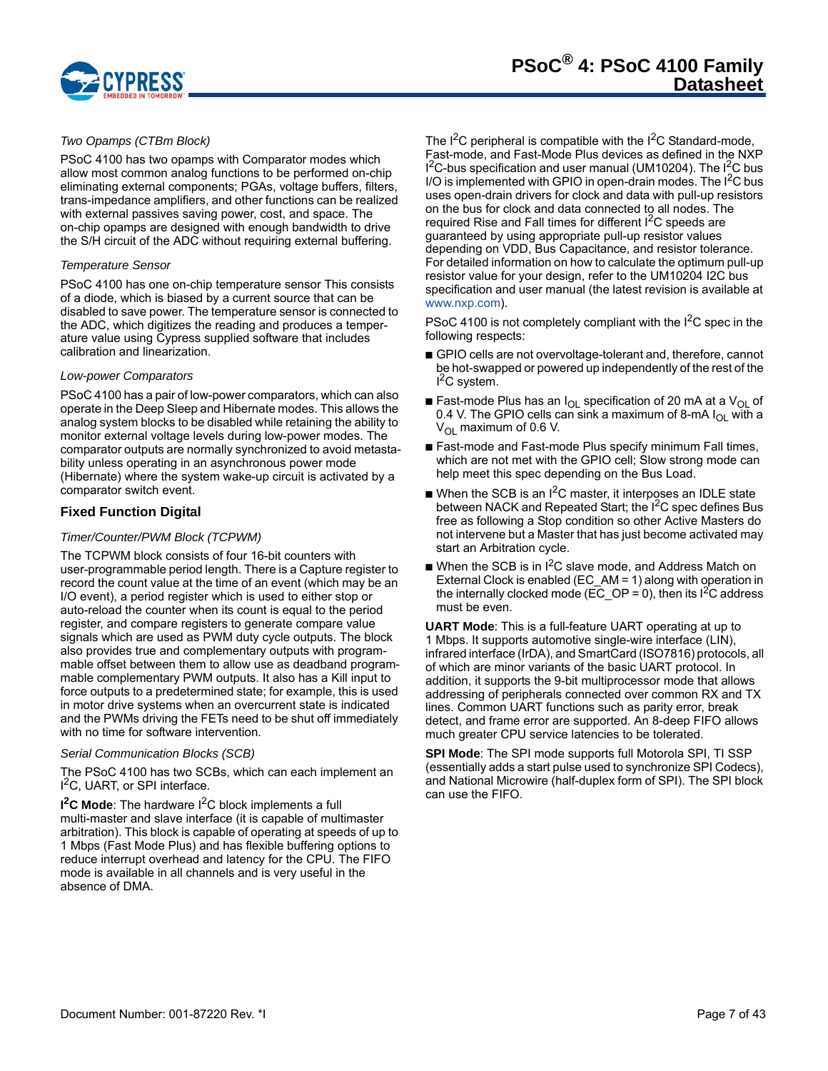

#### *Two Opamps (CTBm Block)*

PSoC 4100 has two opamps with Comparator modes which allow most common analog functions to be performed on-chip eliminating external components; PGAs, voltage buffers, filters, trans-impedance amplifiers, and other functions can be realized with external passives saving power, cost, and space. The on-chip opamps are designed with enough bandwidth to drive the S/H circuit of the ADC without requiring external buffering.

#### *Temperature Sensor*

PSoC 4100 has one on-chip temperature sensor This consists of a diode, which is biased by a current source that can be disabled to save power. The temperature sensor is connected to the ADC, which digitizes the reading and produces a temperature value using Cypress supplied software that includes calibration and linearization.

#### *Low-power Comparators*

PSoC 4100 has a pair of low-power comparators, which can also operate in the Deep Sleep and Hibernate modes. This allows the analog system blocks to be disabled while retaining the ability to monitor external voltage levels during low-power modes. The comparator outputs are normally synchronized to avoid metastability unless operating in an asynchronous power mode (Hibernate) where the system wake-up circuit is activated by a comparator switch event.

#### **Fixed Function Digital**

#### *Timer/Counter/PWM Block (TCPWM)*

The TCPWM block consists of four 16-bit counters with user-programmable period length. There is a Capture register to record the count value at the time of an event (which may be an I/O event), a period register which is used to either stop or auto-reload the counter when its count is equal to the period register, and compare registers to generate compare value signals which are used as PWM duty cycle outputs. The block also provides true and complementary outputs with programmable offset between them to allow use as deadband programmable complementary PWM outputs. It also has a Kill input to force outputs to a predetermined state; for example, this is used in motor drive systems when an overcurrent state is indicated and the PWMs driving the FETs need to be shut off immediately with no time for software intervention.

#### *Serial Communication Blocks (SCB)*

The PSoC 4100 has two SCBs, which can each implement an I<sup>2</sup>C, UART, or SPI interface.

**I<sup>2</sup>C Mode**: The hardware I<sup>2</sup>C block implements a full multi-master and slave interface (it is capable of multimaster arbitration). This block is capable of operating at speeds of up to 1 Mbps (Fast Mode Plus) and has flexible buffering options to reduce interrupt overhead and latency for the CPU. The FIFO mode is available in all channels and is very useful in the absence of DMA.

The  $I^2C$  peripheral is compatible with the  $I^2C$  Standard-mode, Fast-mode, and Fast-Mode Plus devices as defined in the NXP  $I^2C$ -bus specification and user manual (UM10204). The  $I^2C$  bus I/O is implemented with GPIO in open-drain modes. The  $I^2C$  bus uses open-drain drivers for clock and data with pull-up resistors on the bus for clock and data connected to all nodes. The required Rise and Fall times for different I<sup>2</sup>C speeds are guaranteed by using appropriate pull-up resistor values depending on VDD, Bus Capacitance, and resistor tolerance. For detailed information on how to calculate the optimum pull-up resistor value for your design, refer to the UM10204 I2C bus specification and user manual (the latest revision is available at www.nxp.com).

PSoC 4100 is not completely compliant with the  $1<sup>2</sup>C$  spec in the following respects:

- GPIO cells are not overvoltage-tolerant and, therefore, cannot be hot-swapped or powered up independently of the rest of the <sup>2</sup>C system.
- Fast-mode Plus has an  $I_{OL}$  specification of 20 mA at a  $V_{OL}$  of 0.4 V. The GPIO cells can sink a maximum of 8-mA  $I_{OL}$  with a  $V_{\text{OI}}$  maximum of 0.6 V.
- Fast-mode and Fast-mode Plus specify minimum Fall times, which are not met with the GPIO cell; Slow strong mode can help meet this spec depending on the Bus Load.
- $\blacksquare$  When the SCB is an I<sup>2</sup>C master, it interposes an IDLE state between NACK and Repeated Start; the I<sup>2</sup>C spec defines Bus free as following a Stop condition so other Active Masters do not intervene but a Master that has just become activated may start an Arbitration cycle.
- When the SCB is in  $1^2C$  slave mode, and Address Match on External Clock is enabled (EC\_AM = 1) along with operation in the internally clocked mode ( $\overline{EC}$  OP = 0), then its  $1^2C$  address must be even.

**UART Mode**: This is a full-feature UART operating at up to 1 Mbps. It supports automotive single-wire interface (LIN), infrared interface (IrDA), and SmartCard (ISO7816) protocols, all of which are minor variants of the basic UART protocol. In addition, it supports the 9-bit multiprocessor mode that allows addressing of peripherals connected over common RX and TX lines. Common UART functions such as parity error, break detect, and frame error are supported. An 8-deep FIFO allows much greater CPU service latencies to be tolerated.

**SPI Mode**: The SPI mode supports full Motorola SPI, TI SSP (essentially adds a start pulse used to synchronize SPI Codecs), and National Microwire (half-duplex form of SPI). The SPI block can use the FIFO.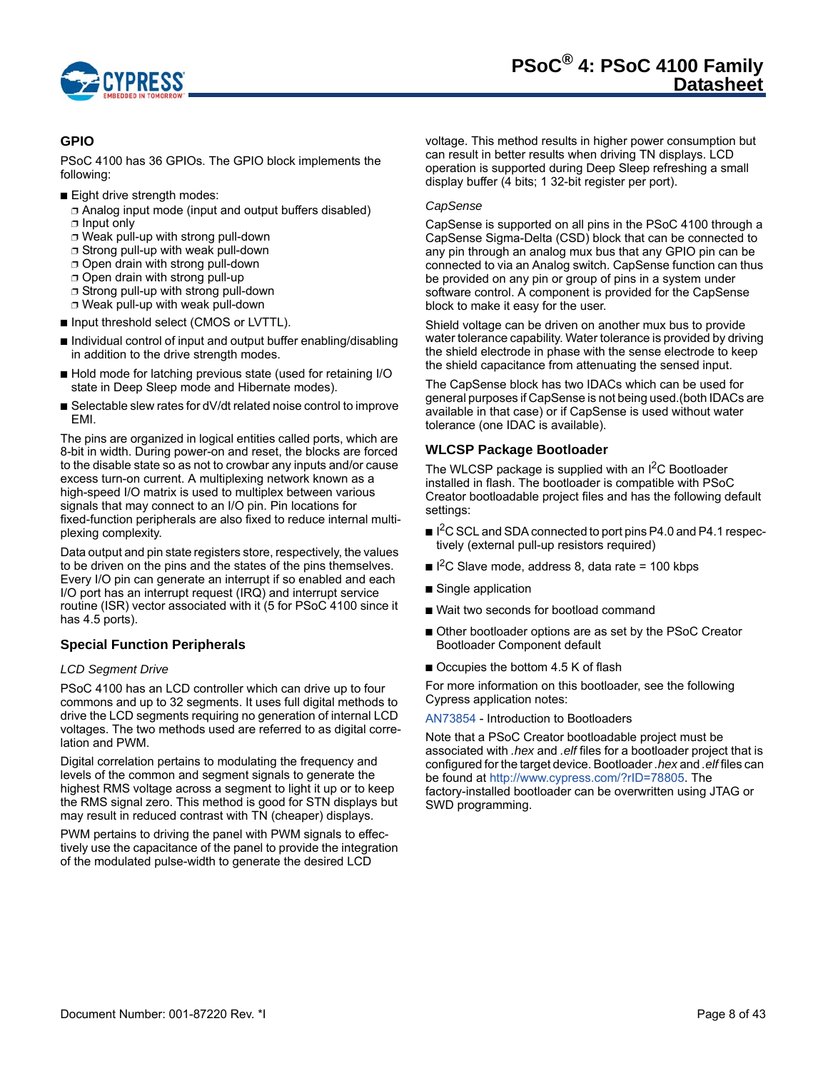

# **GPIO**

PSoC 4100 has 36 GPIOs. The GPIO block implements the following:

- Eight drive strength modes:
	- ❐ Analog input mode (input and output buffers disabled) ❐ Input only
	- ❐ Weak pull-up with strong pull-down
	- ❐ Strong pull-up with weak pull-down
	- ❐ Open drain with strong pull-down
	- ❐ Open drain with strong pull-up
	- ❐ Strong pull-up with strong pull-down
	- ❐ Weak pull-up with weak pull-down
- Input threshold select (CMOS or LVTTL).
- Individual control of input and output buffer enabling/disabling in addition to the drive strength modes.
- Hold mode for latching previous state (used for retaining I/O state in Deep Sleep mode and Hibernate modes).
- Selectable slew rates for dV/dt related noise control to improve EMI.

The pins are organized in logical entities called ports, which are 8-bit in width. During power-on and reset, the blocks are forced to the disable state so as not to crowbar any inputs and/or cause excess turn-on current. A multiplexing network known as a high-speed I/O matrix is used to multiplex between various signals that may connect to an I/O pin. Pin locations for fixed-function peripherals are also fixed to reduce internal multiplexing complexity.

Data output and pin state registers store, respectively, the values to be driven on the pins and the states of the pins themselves. Every I/O pin can generate an interrupt if so enabled and each I/O port has an interrupt request (IRQ) and interrupt service routine (ISR) vector associated with it (5 for PSoC 4100 since it has 4.5 ports).

# **Special Function Peripherals**

#### *LCD Segment Drive*

PSoC 4100 has an LCD controller which can drive up to four commons and up to 32 segments. It uses full digital methods to drive the LCD segments requiring no generation of internal LCD voltages. The two methods used are referred to as digital correlation and PWM.

Digital correlation pertains to modulating the frequency and levels of the common and segment signals to generate the highest RMS voltage across a segment to light it up or to keep the RMS signal zero. This method is good for STN displays but may result in reduced contrast with TN (cheaper) displays.

PWM pertains to driving the panel with PWM signals to effectively use the capacitance of the panel to provide the integration of the modulated pulse-width to generate the desired LCD

voltage. This method results in higher power consumption but can result in better results when driving TN displays. LCD operation is supported during Deep Sleep refreshing a small display buffer (4 bits; 1 32-bit register per port).

#### *CapSense*

CapSense is supported on all pins in the PSoC 4100 through a CapSense Sigma-Delta (CSD) block that can be connected to any pin through an analog mux bus that any GPIO pin can be connected to via an Analog switch. CapSense function can thus be provided on any pin or group of pins in a system under software control. A component is provided for the CapSense block to make it easy for the user.

Shield voltage can be driven on another mux bus to provide water tolerance capability. Water tolerance is provided by driving the shield electrode in phase with the sense electrode to keep the shield capacitance from attenuating the sensed input.

The CapSense block has two IDACs which can be used for general purposes if CapSense is not being used.(both IDACs are available in that case) or if CapSense is used without water tolerance (one IDAC is available).

# **WLCSP Package Bootloader**

The WLCSP package is supplied with an I<sup>2</sup>C Bootloader installed in flash. The bootloader is compatible with PSoC Creator bootloadable project files and has the following default settings:

- I<sup>2</sup>C SCL and SDA connected to port pins P4.0 and P4.1 respectively (external pull-up resistors required)
- $\blacksquare$  I<sup>2</sup>C Slave mode, address 8, data rate = 100 kbps
- Single application
- Wait two seconds for bootload command
- Other bootloader options are as set by the PSoC Creator Bootloader Component default
- Occupies the bottom 4.5 K of flash

For more information on this bootloader, see the following Cypress application notes:

#### AN73854 - Introduction to Bootloaders

Note that a PSoC Creator bootloadable project must be associated with *.hex* and *.elf* files for a bootloader project that is configured for the target device. Bootloader *.hex* and *.elf* files can be found at http://www.cypress.com/?rID=78805. The factory-installed bootloader can be overwritten using JTAG or SWD programming.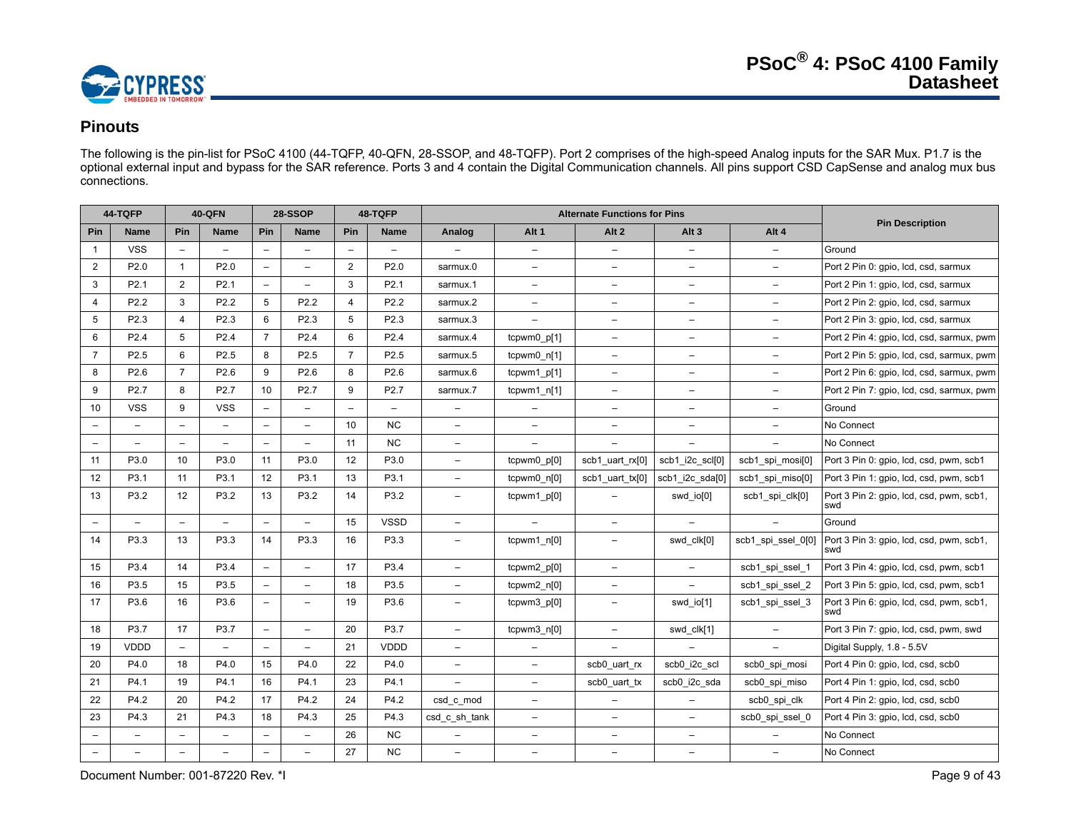

# **Pinouts**

The following is the pin-list for PSoC 4100 (44-TQFP, 40-QFN, 28-SSOP, and 48-TQFP). Port 2 comprises of the high-speed Analog inputs for the SAR Mux. P1.7 is the optional external input and bypass for the SAR reference. Ports 3 and 4 contain the Digital Communication channels. All pins support CSD CapSense and analog mux bus connections.

|                          | 44-TQFP                  |                          | <b>40-QFN</b>            | 28-SSOP                  |                          |                          | 48-TQFP                  |                          |                          | <b>Alternate Functions for Pins</b> |                          |                          |                                                 |
|--------------------------|--------------------------|--------------------------|--------------------------|--------------------------|--------------------------|--------------------------|--------------------------|--------------------------|--------------------------|-------------------------------------|--------------------------|--------------------------|-------------------------------------------------|
| Pin                      | <b>Name</b>              | Pin                      | <b>Name</b>              | Pin                      | <b>Name</b>              | Pin                      | Name                     | Analog                   | Alt <sub>1</sub>         | Alt <sub>2</sub>                    | Alt <sub>3</sub>         | Alt 4                    | <b>Pin Description</b>                          |
| $\overline{1}$           | <b>VSS</b>               | $\overline{\phantom{a}}$ | $\overline{\phantom{0}}$ | $\overline{\phantom{0}}$ | $\qquad \qquad -$        | $\overline{\phantom{a}}$ | $\qquad \qquad -$        |                          | $\overline{\phantom{0}}$ | $\overline{\phantom{a}}$            | $\qquad \qquad -$        | $\overline{\phantom{a}}$ | Ground                                          |
| $\overline{2}$           | P <sub>2.0</sub>         | $\mathbf{1}$             | P <sub>2.0</sub>         | $\qquad \qquad -$        | $\qquad \qquad -$        | $\overline{2}$           | P2.0                     | sarmux.0                 | $\overline{\phantom{0}}$ | $\qquad \qquad -$                   | $\overline{\phantom{0}}$ | $\qquad \qquad -$        | Port 2 Pin 0: gpio, Icd, csd, sarmux            |
| 3                        | P <sub>2.1</sub>         | $\overline{2}$           | P <sub>2.1</sub>         | $\overline{\phantom{0}}$ | $\overline{a}$           | 3                        | P <sub>2.1</sub>         | sarmux.1                 | $\overline{\phantom{0}}$ | $\overline{a}$                      | $\overline{\phantom{0}}$ | $\overline{\phantom{0}}$ | Port 2 Pin 1: gpio, lcd, csd, sarmux            |
| $\overline{4}$           | P <sub>2.2</sub>         | 3                        | P <sub>2.2</sub>         | 5                        | P <sub>2.2</sub>         | $\overline{4}$           | P2.2                     | sarmux.2                 | $\equiv$                 | $\frac{1}{2}$                       | $\overline{\phantom{m}}$ | $\overline{\phantom{a}}$ | Port 2 Pin 2: gpio, lcd, csd, sarmux            |
| 5                        | P <sub>2.3</sub>         | $\overline{4}$           | P <sub>2.3</sub>         | 6                        | P <sub>2.3</sub>         | 5                        | P2.3                     | sarmux.3                 | $\overline{\phantom{0}}$ | $\frac{1}{2}$                       | $\overline{a}$           | $\overline{\phantom{0}}$ | Port 2 Pin 3: gpio, Icd, csd, sarmux            |
| 6                        | P <sub>2.4</sub>         | 5                        | P2.4                     | $\overline{7}$           | P <sub>2.4</sub>         | 6                        | P2.4                     | sarmux.4                 | tcpwm0 p[1]              | $\overline{\phantom{0}}$            | $\qquad \qquad -$        | $\overline{\phantom{0}}$ | Port 2 Pin 4: gpio, lcd, csd, sarmux, pwm       |
| $\overline{7}$           | P <sub>2.5</sub>         | 6                        | P <sub>2.5</sub>         | 8                        | P2.5                     | $\overline{7}$           | P <sub>2.5</sub>         | sarmux.5                 | tcpwm0 n[1]              | $\qquad \qquad -$                   | $\qquad \qquad -$        | $\overline{\phantom{m}}$ | Port 2 Pin 5: gpio, lcd, csd, sarmux, pwm       |
| 8                        | P <sub>2.6</sub>         | $\overline{7}$           | P <sub>2.6</sub>         | 9                        | P2.6                     | 8                        | P2.6                     | sarmux.6                 | tcpwm1_p[1]              | $\overline{\phantom{0}}$            | $\qquad \qquad -$        | $\overline{\phantom{m}}$ | Port 2 Pin 6: gpio, Icd, csd, sarmux, pwm       |
| 9                        | P <sub>2.7</sub>         | 8                        | P <sub>2.7</sub>         | 10                       | P2.7                     | 9                        | P2.7                     | sarmux.7                 | $tcpwm1_n[1]$            | $\overline{\phantom{0}}$            | $\overline{\phantom{m}}$ | $\overline{a}$           | Port 2 Pin 7: gpio, lcd, csd, sarmux, pwm       |
| 10                       | <b>VSS</b>               | 9                        | <b>VSS</b>               | $\overline{\phantom{0}}$ | $\overline{\phantom{0}}$ | $\qquad \qquad -$        | $\overline{\phantom{0}}$ | $\overline{\phantom{0}}$ | $\overline{\phantom{0}}$ | $\overline{\phantom{0}}$            | $\equiv$                 | $\overline{\phantom{a}}$ | Ground                                          |
| $\overline{\phantom{0}}$ |                          | $\overline{a}$           |                          | $-$                      | $\overline{a}$           | 10                       | <b>NC</b>                | $\overline{\phantom{0}}$ | $\overline{\phantom{0}}$ | $\overline{\phantom{0}}$            | $\overline{\phantom{0}}$ | $\overline{a}$           | No Connect                                      |
| $\overline{\phantom{m}}$ | $\overline{\phantom{0}}$ | $\overline{\phantom{0}}$ | $\overline{\phantom{0}}$ | $\overline{\phantom{0}}$ | $\equiv$                 | 11                       | <b>NC</b>                | $\qquad \qquad -$        | $\overline{\phantom{0}}$ | $\overline{\phantom{a}}$            | $\qquad \qquad -$        | $\overline{a}$           | No Connect                                      |
| 11                       | P3.0                     | 10                       | P3.0                     | 11                       | P3.0                     | 12                       | P3.0                     | $\equiv$                 | tcpwm0 p[0]              | scb1 uart rx[0]                     | scb1_i2c_scl[0]          | scb1 spi mosi[0]         | Port 3 Pin 0: gpio, lcd, csd, pwm, scb1         |
| 12                       | P3.1                     | 11                       | P3.1                     | 12                       | P3.1                     | 13                       | P3.1                     | $\qquad \qquad -$        | tcpwm0_n[0]              | scb1 uart tx[0]                     | scb1_i2c_sda[0]          | scb1_spi_miso[0]         | Port 3 Pin 1: gpio, lcd, csd, pwm, scb1         |
| 13                       | P3.2                     | 12                       | P3.2                     | 13                       | P3.2                     | 14                       | P3.2                     | $\equiv$                 | tcpwm1_p[0]              |                                     | swd_io[0]                | scb1_spi_clk[0]          | Port 3 Pin 2: gpio, Icd, csd, pwm, scb1,<br>swd |
| $\overline{\phantom{m}}$ |                          | $\overline{a}$           |                          | $\overline{\phantom{m}}$ | ÷                        | 15                       | <b>VSSD</b>              | $\overline{\phantom{0}}$ |                          | $\overline{\phantom{a}}$            |                          |                          | Ground                                          |
| 14                       | P3.3                     | 13                       | P3.3                     | 14                       | P3.3                     | 16                       | P3.3                     | $\overline{\phantom{0}}$ | tcpwm1 n[0]              | $\overline{\phantom{a}}$            | swd_clk[0]               | scb1_spi_ssel_0[0]       | Port 3 Pin 3: gpio, lcd, csd, pwm, scb1,<br>swd |
| 15                       | P3.4                     | 14                       | P3.4                     | $\overline{\phantom{0}}$ | $\qquad \qquad -$        | 17                       | P3.4                     | $\overline{\phantom{0}}$ | tcpwm2_p[0]              | $\qquad \qquad -$                   | $\overline{\phantom{0}}$ | scb1_spi_ssel_1          | Port 3 Pin 4: gpio, Icd, csd, pwm, scb1         |
| 16                       | P3.5                     | 15                       | P3.5                     | $\overline{\phantom{0}}$ | $\overline{a}$           | 18                       | P3.5                     | $\overline{\phantom{0}}$ | $tcpwm2_n[0]$            | $\qquad \qquad -$                   |                          | scb1_spi_ssel_2          | Port 3 Pin 5: gpio, lcd, csd, pwm, scb1         |
| 17                       | P3.6                     | 16                       | P3.6                     | $\overline{\phantom{0}}$ | $\qquad \qquad -$        | 19                       | P3.6                     | $\overline{\phantom{0}}$ | tcpwm3_p[0]              | $\qquad \qquad -$                   | swd_io[1]                | scb1_spi_ssel_3          | Port 3 Pin 6: gpio, lcd, csd, pwm, scb1,<br>swd |
| 18                       | P3.7                     | 17                       | P3.7                     | $\overline{\phantom{a}}$ | $\overline{\phantom{0}}$ | 20                       | P3.7                     | $\overline{\phantom{0}}$ | tcpwm3_n[0]              | $\qquad \qquad -$                   | swd_clk[1]               | $\overline{\phantom{m}}$ | Port 3 Pin 7: gpio, lcd, csd, pwm, swd          |
| 19                       | <b>VDDD</b>              | $\overline{\phantom{a}}$ | $\overline{\phantom{0}}$ | $\qquad \qquad -$        | $\overline{\phantom{0}}$ | 21                       | VDDD                     | $-$                      | $\overline{\phantom{0}}$ | L.                                  |                          | $\overline{\phantom{0}}$ | Digital Supply, 1.8 - 5.5V                      |
| 20                       | P4.0                     | 18                       | P4.0                     | 15                       | P4.0                     | 22                       | P4.0                     | $\overline{\phantom{0}}$ | $\overline{\phantom{0}}$ | scb0_uart_rx                        | scb0 i2c scl             | scb0_spi_mosi            | Port 4 Pin 0: gpio, lcd, csd, scb0              |
| 21                       | P4.1                     | 19                       | P4.1                     | 16                       | P4.1                     | 23                       | P4.1                     |                          | $\overline{\phantom{0}}$ | scb0 uart tx                        | scb0_i2c_sda             | scb0_spi_miso            | Port 4 Pin 1: gpio, lcd, csd, scb0              |
| 22                       | P4.2                     | 20                       | P4.2                     | 17                       | P4.2                     | 24                       | P4.2                     | csd_c_mod                | $\overline{\phantom{a}}$ | $\overline{\phantom{0}}$            | $\overline{\phantom{0}}$ | scb0_spi_clk             | Port 4 Pin 2: gpio, lcd, csd, scb0              |
| 23                       | P4.3                     | 21                       | P4.3                     | 18                       | P4.3                     | 25                       | P4.3                     | csd_c_sh_tank            | $\overline{\phantom{0}}$ | $\overline{\phantom{0}}$            | $\overline{\phantom{m}}$ | scb0_spi_ssel_0          | Port 4 Pin 3: gpio, Icd, csd, scb0              |
| $\overline{\phantom{0}}$ |                          | $\overline{\phantom{a}}$ | $\overline{\phantom{0}}$ | $\qquad \qquad -$        | $\overline{\phantom{0}}$ | 26                       | <b>NC</b>                |                          | $\overline{\phantom{0}}$ | $\overline{\phantom{a}}$            | $\qquad \qquad -$        |                          | No Connect                                      |
| $\overline{\phantom{a}}$ | $\overline{a}$           | $\overline{\phantom{a}}$ | $\overline{\phantom{0}}$ |                          | $\overline{\phantom{0}}$ | 27                       | <b>NC</b>                | $\equiv$                 | $\overline{\phantom{0}}$ | $\overline{\phantom{0}}$            | $\overline{\phantom{a}}$ | $\overline{\phantom{0}}$ | No Connect                                      |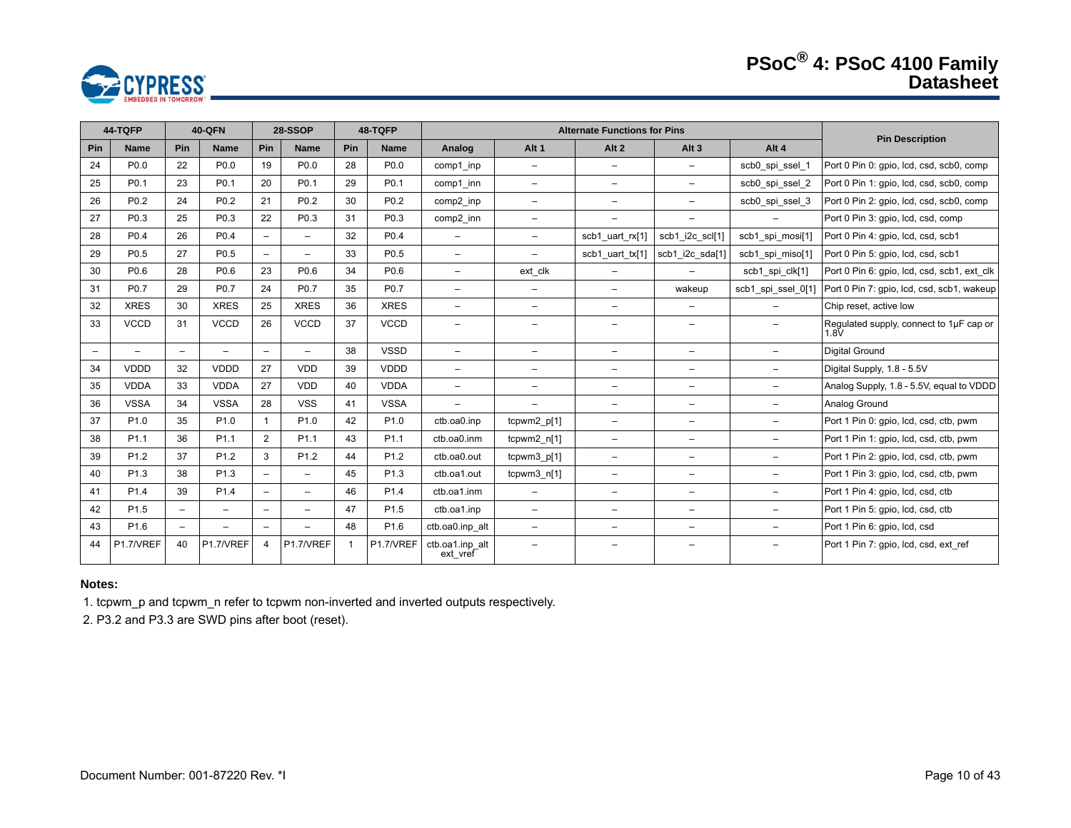# **PSoC® 4: PSoC 4100 Family Datasheet**



|                          | 44-TQFP                  | <b>40-QFN</b>            |                  | 28-SSOP<br>48-TQFP       |                          |     |                  | <b>Alternate Functions for Pins</b> |                          |                          |                          |                          | <b>Pin Description</b>                          |
|--------------------------|--------------------------|--------------------------|------------------|--------------------------|--------------------------|-----|------------------|-------------------------------------|--------------------------|--------------------------|--------------------------|--------------------------|-------------------------------------------------|
| Pin                      | <b>Name</b>              | Pin                      | <b>Name</b>      | Pin                      | <b>Name</b>              | Pin | <b>Name</b>      | Analog                              | Alt <sub>1</sub>         | Alt <sub>2</sub>         | Alt $3$                  | Alt 4                    |                                                 |
| 24                       | P <sub>0.0</sub>         | 22                       | P <sub>0.0</sub> | 19                       | P <sub>0.0</sub>         | 28  | P <sub>0.0</sub> | comp1 inp                           | $-$                      | $\overline{\phantom{0}}$ | $\overline{\phantom{0}}$ | scb0 spi ssel 1          | Port 0 Pin 0: gpio, lcd, csd, scb0, comp        |
| 25                       | P <sub>0.1</sub>         | 23                       | P <sub>0.1</sub> | 20                       | P0.1                     | 29  | P <sub>0.1</sub> | comp1 inn                           | $\qquad \qquad -$        | $\overline{\phantom{m}}$ | -                        | scb0_spi_ssel_2          | Port 0 Pin 1: gpio, lcd, csd, scb0, comp        |
| 26                       | P <sub>0.2</sub>         | 24                       | P <sub>0.2</sub> | 21                       | P <sub>0.2</sub>         | 30  | P <sub>0.2</sub> | comp2 inp                           | $-$                      | -                        | -                        | scb0 spi ssel 3          | Port 0 Pin 2: gpio, lcd, csd, scb0, comp        |
| 27                       | P <sub>0.3</sub>         | 25                       | P <sub>0.3</sub> | 22                       | P <sub>0.3</sub>         | 31  | P <sub>0.3</sub> | comp2_inn                           | $\equiv$                 | $\qquad \qquad -$        | $-$                      | $-$                      | Port 0 Pin 3: gpio, lcd, csd, comp              |
| 28                       | P <sub>0.4</sub>         | 26                       | P <sub>0.4</sub> | $-$                      | $-$                      | 32  | P <sub>0.4</sub> | $\overline{\phantom{0}}$            | $\overline{\phantom{0}}$ | scb1 uart rx[1]          | scb1_i2c_scl[1]          | scb1 spi mosi[1]         | Port 0 Pin 4: qpio, lcd, csd, scb1              |
| 29                       | P <sub>0.5</sub>         | 27                       | P <sub>0.5</sub> | $-$                      | $\qquad \qquad -$        | 33  | P <sub>0.5</sub> | $\overline{\phantom{0}}$            | $-$                      | scb1 uart tx[1]          | scb1_i2c_sda[1]          | scb1 spi miso[1]         | Port 0 Pin 5: gpio, lcd, csd, scb1              |
| 30                       | P <sub>0.6</sub>         | 28                       | P <sub>0.6</sub> | 23                       | P <sub>0.6</sub>         | 34  | P0.6             | $-$                                 | ext clk                  | $\overline{\phantom{0}}$ |                          | scb1_spi_clk[1]          | Port 0 Pin 6: gpio, Icd, csd, scb1, ext clk     |
| 31                       | P <sub>0.7</sub>         | 29                       | P0.7             | 24                       | P0.7                     | 35  | P0.7             | $-$                                 | $\overline{\phantom{0}}$ | $\overline{\phantom{0}}$ | wakeup                   | scb1_spi_ssel_0[1]       | Port 0 Pin 7: gpio, lcd, csd, scb1, wakeup      |
| 32                       | <b>XRES</b>              | 30                       | <b>XRES</b>      | 25                       | <b>XRES</b>              | 36  | <b>XRES</b>      | $\overline{\phantom{0}}$            | $\overline{\phantom{0}}$ | $\qquad \qquad -$        | Ξ.                       | $\qquad \qquad -$        | Chip reset, active low                          |
| 33                       | <b>VCCD</b>              | 31                       | <b>VCCD</b>      | 26                       | <b>VCCD</b>              | 37  | <b>VCCD</b>      | $\overline{\phantom{0}}$            | $\overline{\phantom{0}}$ | $\overline{\phantom{0}}$ | -                        |                          | Regulated supply, connect to 1µF cap or<br>1.8V |
| $\overline{\phantom{a}}$ | $\overline{\phantom{a}}$ | $\overline{a}$           |                  | $\overline{\phantom{a}}$ | $\equiv$                 | 38  | <b>VSSD</b>      | $\overline{\phantom{0}}$            | $\overline{\phantom{0}}$ | $\equiv$                 | $\overline{\phantom{0}}$ | $-$                      | <b>Digital Ground</b>                           |
| 34                       | <b>VDDD</b>              | 32                       | <b>VDDD</b>      | 27                       | <b>VDD</b>               | 39  | <b>VDDD</b>      | $\overline{\phantom{0}}$            | $\qquad \qquad -$        | $\qquad \qquad -$        | $\overline{\phantom{0}}$ | $\overline{\phantom{m}}$ | Digital Supply, 1.8 - 5.5V                      |
| 35                       | <b>VDDA</b>              | 33                       | <b>VDDA</b>      | 27                       | <b>VDD</b>               | 40  | <b>VDDA</b>      | $\overline{\phantom{0}}$            | $\overline{\phantom{m}}$ | $\overline{\phantom{0}}$ | $\overline{\phantom{0}}$ | $-$                      | Analog Supply, 1.8 - 5.5V, equal to VDDD        |
| 36                       | <b>VSSA</b>              | 34                       | <b>VSSA</b>      | 28                       | <b>VSS</b>               | 41  | <b>VSSA</b>      | $\overline{\phantom{0}}$            | $\overline{\phantom{0}}$ | $\overline{\phantom{0}}$ | -                        | $-$                      | Analog Ground                                   |
| 37                       | P <sub>1.0</sub>         | 35                       | P <sub>1.0</sub> | $\mathbf{1}$             | P <sub>1.0</sub>         | 42  | P <sub>1.0</sub> | ctb.oa0.inp                         | tcpwm2_p[1]              | $\overline{\phantom{0}}$ | Ξ.                       | $\overline{\phantom{a}}$ | Port 1 Pin 0: gpio, lcd, csd, ctb, pwm          |
| 38                       | P <sub>1.1</sub>         | 36                       | P <sub>1.1</sub> | 2                        | P <sub>1.1</sub>         | 43  | P <sub>1.1</sub> | ctb.oa0.inm                         | tcpwm2_n[1]              | $\qquad \qquad -$        | -                        | $\overline{\phantom{m}}$ | Port 1 Pin 1: gpio, lcd, csd, ctb, pwm          |
| 39                       | P <sub>1.2</sub>         | 37                       | P <sub>1.2</sub> | 3                        | P <sub>1.2</sub>         | 44  | P <sub>1.2</sub> | ctb.oa0.out                         | tcpwm3_p[1]              | $\qquad \qquad -$        | -                        | $\overline{\phantom{a}}$ | Port 1 Pin 2: gpio, Icd, csd, ctb, pwm          |
| 40                       | P <sub>1.3</sub>         | 38                       | P <sub>1.3</sub> | $\overline{\phantom{0}}$ | $\overline{\phantom{m}}$ | 45  | P <sub>1.3</sub> | ctb.oa1.out                         | tcpwm3_n[1]              | $\overline{\phantom{0}}$ | Ξ.                       | $-$                      | Port 1 Pin 3: gpio, lcd, csd, ctb, pwm          |
| 41                       | P <sub>1.4</sub>         | 39                       | P <sub>1.4</sub> | $\overline{\phantom{0}}$ | $\overline{\phantom{m}}$ | 46  | P <sub>1.4</sub> | ctb.oa1.inm                         | $\overline{\phantom{m}}$ | $\overline{\phantom{0}}$ | $\overline{\phantom{0}}$ | $-$                      | Port 1 Pin 4: gpio, Icd, csd, ctb               |
| 42                       | P <sub>1.5</sub>         | $\overline{\phantom{0}}$ |                  | $\overline{\phantom{0}}$ | $\qquad \qquad -$        | 47  | P <sub>1.5</sub> | ctb.oa1.inp                         | $\qquad \qquad -$        | $\overline{\phantom{0}}$ | —                        | $\overline{\phantom{a}}$ | Port 1 Pin 5: gpio, Icd, csd, ctb               |
| 43                       | P <sub>1.6</sub>         | -                        |                  | $\overline{\phantom{a}}$ |                          | 48  | P <sub>1.6</sub> | ctb.oa0.inp alt                     | -                        | -                        | -                        |                          | Port 1 Pin 6: gpio, lcd, csd                    |
| 44                       | P1.7/VREF                | 40                       | P1.7/VREF        | $\overline{4}$           | P1.7/VREF                |     | P1.7/VREF        | ctb.oa1.inp_alt<br>ext_vref         | $\equiv$                 | $\equiv$                 | Ξ.                       | $\overline{\phantom{a}}$ | Port 1 Pin 7: gpio, lcd, csd, ext ref           |

#### **Notes:**

1. tcpwm\_p and tcpwm\_n refer to tcpwm non-inverted and inverted outputs respectively.

2. P3.2 and P3.3 are SWD pins after boot (reset).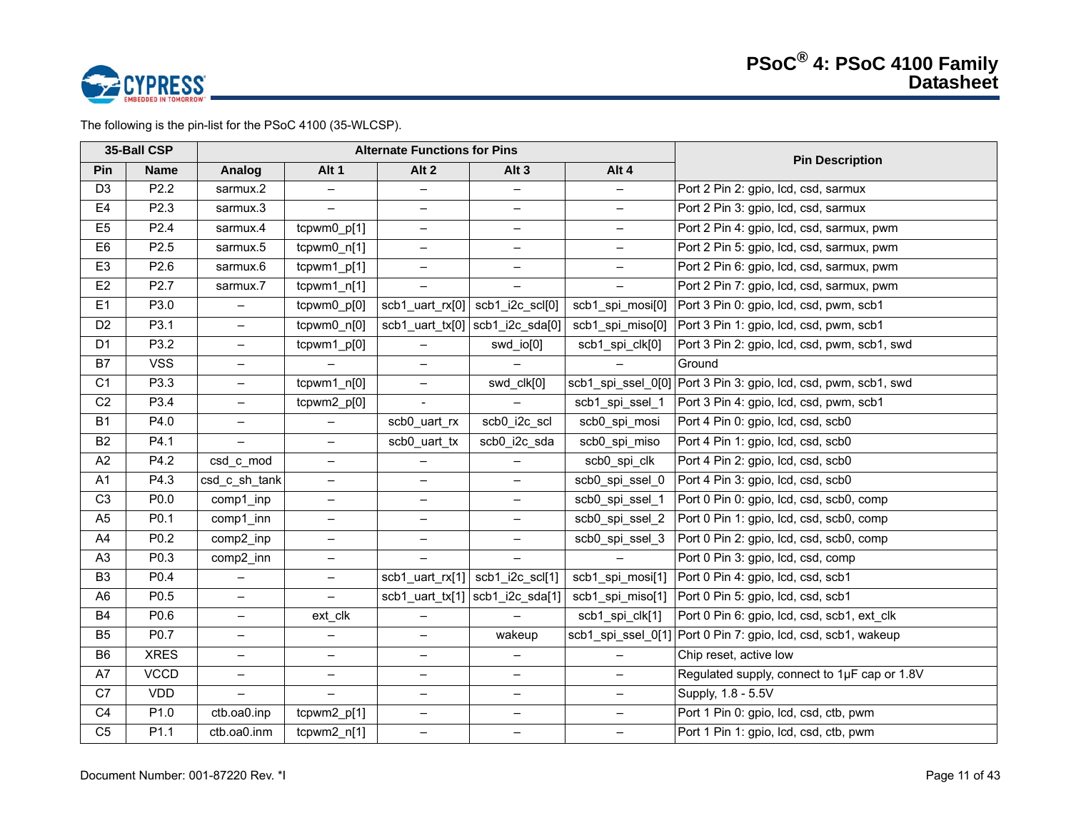

The following is the pin-list for the PSoC 4100 (35-WLCSP).

|                | 35-Ball CSP      |                          |                                  | <b>Alternate Functions for Pins</b> |                                                   |                          | <b>Pin Description</b>                       |
|----------------|------------------|--------------------------|----------------------------------|-------------------------------------|---------------------------------------------------|--------------------------|----------------------------------------------|
| Pin            | <b>Name</b>      | <b>Analog</b>            | Alt 1                            | Alt 2                               | Alt <sub>3</sub>                                  | Alt 4                    |                                              |
| D <sub>3</sub> | P2.2             | sarmux.2                 |                                  | -                                   |                                                   |                          | Port 2 Pin 2: gpio, Icd, csd, sarmux         |
| E4             | P2.3             | sarmux.3                 | $\overline{\phantom{0}}$         | $\overline{\phantom{0}}$            | $\overline{\phantom{0}}$                          | -                        | Port 2 Pin 3: gpio, lcd, csd, sarmux         |
| E <sub>5</sub> | P2.4             | sarmux.4                 | tcpwm0_p[1]                      | $\qquad \qquad -$                   | $-$                                               | $\overline{\phantom{0}}$ | Port 2 Pin 4: gpio, lcd, csd, sarmux, pwm    |
| E <sub>6</sub> | P <sub>2.5</sub> | sarmux.5                 | tcpwm0_n[1]                      | $\qquad \qquad -$                   | $-$                                               | $\overline{\phantom{0}}$ | Port 2 Pin 5: gpio, lcd, csd, sarmux, pwm    |
| E <sub>3</sub> | P2.6             | sarmux.6                 | $tcpwm1$ $p[1]$                  | $\overline{\phantom{0}}$            | $-$                                               | $\overline{\phantom{0}}$ | Port 2 Pin 6: gpio, lcd, csd, sarmux, pwm    |
| E <sub>2</sub> | P2.7             | sarmux.7                 | $tcpwm1_n[1]$                    |                                     |                                                   |                          | Port 2 Pin 7: gpio, lcd, csd, sarmux, pwm    |
| E1             | P3.0             | $\qquad \qquad -$        | tcpwm0_p[0]                      |                                     | $scb1_$ uart_rx $[0]$   $scb1_$   $2c$ _ $scl[0]$ | scb1_spi_mosi[0]         | Port 3 Pin 0: gpio, lcd, csd, pwm, scb1      |
| D <sub>2</sub> | P3.1             | $\equiv$                 | $\overline{\text{tcpwm0\_n[0]}}$ |                                     | scb1_uart_tx[0] $ $ scb1_i2c_sda[0]               | scb1_spi_miso[0]         | Port 3 Pin 1: gpio, lcd, csd, pwm, scb1      |
| D <sub>1</sub> | P3.2             | $\overline{\phantom{0}}$ | tcpwm1_p[0]                      | $\overline{\phantom{0}}$            | swd_io[0]                                         | scb1_spi_clk[0]          | Port 3 Pin 2: gpio, lcd, csd, pwm, scb1, swd |
| <b>B7</b>      | <b>VSS</b>       | $\overline{\phantom{0}}$ |                                  | $\overline{\phantom{0}}$            |                                                   |                          | Ground                                       |
| C1             | P3.3             | $\overline{\phantom{0}}$ | $tcpwm1_n[0]$                    | $\qquad \qquad -$                   | swd_clk[0]                                        | scb1 spi ssel 0[0]       | Port 3 Pin 3: gpio, lcd, csd, pwm, scb1, swd |
| C <sub>2</sub> | P3.4             | $\qquad \qquad -$        | tcpwm2_p[0]                      | $\blacksquare$                      |                                                   | scb1_spi_ssel_1          | Port 3 Pin 4: gpio, lcd, csd, pwm, scb1      |
| <b>B1</b>      | P4.0             | $\overline{\phantom{0}}$ |                                  | scb0_uart_rx                        | scb0_i2c_scl                                      | scb0 spi mosi            | Port 4 Pin 0: gpio, lcd, csd, scb0           |
| <b>B2</b>      | P4.1             | $\equiv$                 | $\overline{\phantom{0}}$         | scb0_uart_tx                        | scb0_i2c_sda                                      | scb0_spi_miso            | Port 4 Pin 1: gpio, Icd, csd, scb0           |
| A2             | P4.2             | csd_c_mod                | $\qquad \qquad -$                |                                     |                                                   | scb0 spi clk             | Port 4 Pin 2: gpio, Icd, csd, scb0           |
| A1             | P4.3             | csd_c_sh_tank            | $\overline{\phantom{0}}$         | $\overline{\phantom{0}}$            | $\overline{\phantom{0}}$                          | scb0 spi ssel 0          | Port 4 Pin 3: gpio, Icd, csd, scb0           |
| C <sub>3</sub> | P0.0             | comp1_inp                | $\qquad \qquad -$                | $\overline{\phantom{a}}$            | $-$                                               | scb0_spi_ssel_1          | Port 0 Pin 0: gpio, lcd, csd, scb0, comp     |
| A <sub>5</sub> | P0.1             | comp1 inn                | $\qquad \qquad -$                | $\overline{\phantom{0}}$            | $-$                                               | scb0 spi ssel 2          | Port 0 Pin 1: gpio, Icd, csd, scb0, comp     |
| A4             | P0.2             | comp2_inp                | $\overline{\phantom{0}}$         | $\qquad \qquad -$                   | $-$                                               | scb0_spi_ssel_3          | Port 0 Pin 2: gpio, Icd, csd, scb0, comp     |
| A <sub>3</sub> | P0.3             | comp2_inn                | $\qquad \qquad -$                |                                     |                                                   |                          | Port 0 Pin 3: gpio, Icd, csd, comp           |
| B <sub>3</sub> | P0.4             | $\overline{\phantom{0}}$ | $\overline{\phantom{m}}$         |                                     | scb1_uart_rx[1] $\vert$ scb1_i2c_scl[1]           | scb1_spi_mosi[1]         | Port 0 Pin 4: gpio, Icd, csd, scb1           |
| A <sub>6</sub> | P0.5             | $\overline{\phantom{0}}$ | $\equiv$                         |                                     | $scb1_$ uart_tx[1] $ scb1_$ i2c_sda[1] $ $        | scb1_spi_miso[1]         | Port 0 Pin 5: gpio, Icd, csd, scb1           |
| <b>B4</b>      | P0.6             | $\overline{\phantom{0}}$ | ext_clk                          | $\qquad \qquad -$                   |                                                   | scb1_spi_clk[1]          | Port 0 Pin 6: gpio, Icd, csd, scb1, ext_clk  |
| B <sub>5</sub> | P0.7             | $\overline{\phantom{0}}$ | $\overline{\phantom{0}}$         | $\overline{\phantom{0}}$            | wakeup                                            | scb1_spi_ssel_0[1]       | Port 0 Pin 7: gpio, lcd, csd, scb1, wakeup   |
| B <sub>6</sub> | <b>XRES</b>      | $\overline{\phantom{0}}$ | $\qquad \qquad -$                | $\qquad \qquad -$                   | $-$                                               |                          | Chip reset, active low                       |
| A7             | <b>VCCD</b>      | $\overline{\phantom{0}}$ | $\overline{\phantom{0}}$         | $\overline{\phantom{0}}$            | $-$                                               | $\overline{\phantom{0}}$ | Regulated supply, connect to 1µF cap or 1.8V |
| C7             | <b>VDD</b>       | $\equiv$                 | $\equiv$                         | $\qquad \qquad -$                   | $-$                                               | $-$                      | Supply, 1.8 - 5.5V                           |
| C <sub>4</sub> | P1.0             | ctb.oa0.inp              | tcpwm2_p[1]                      | $\qquad \qquad -$                   | $-$                                               | $\qquad \qquad -$        | Port 1 Pin 0: gpio, lcd, csd, ctb, pwm       |
| C <sub>5</sub> | P1.1             | ctb.oa0.inm              | $tcpwm2_n[1]$                    | $\overline{\phantom{a}}$            | $\overline{\phantom{0}}$                          | $-$                      | Port 1 Pin 1: gpio, lcd, csd, ctb, pwm       |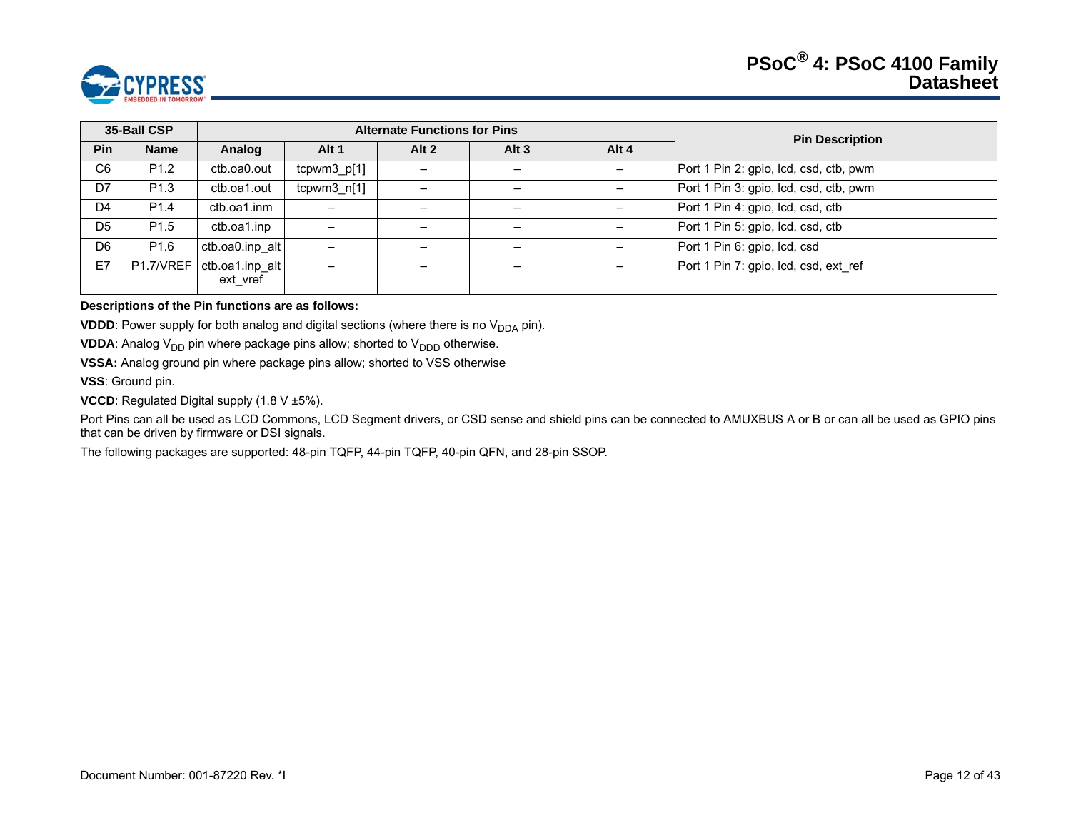

|                | 35-Ball CSP      |                                           |                          | <b>Alternate Functions for Pins</b> |         |                   | <b>Pin Description</b>                 |
|----------------|------------------|-------------------------------------------|--------------------------|-------------------------------------|---------|-------------------|----------------------------------------|
| <b>Pin</b>     | <b>Name</b>      | Analog                                    | Alt 1                    | Alt $2$                             | Alt $3$ | Alt 4             |                                        |
| C <sub>6</sub> | P <sub>1.2</sub> | ctb.oa0.out                               | $tcpwm3_p[1]$            | $\qquad \qquad$                     |         | $\qquad \qquad -$ | Port 1 Pin 2: gpio, lcd, csd, ctb, pwm |
| D7             | P <sub>1.3</sub> | ctb.oa1.out                               | $tcpwm3_n[1]$            |                                     |         |                   | Port 1 Pin 3: gpio, lcd, csd, ctb, pwm |
| D <sub>4</sub> | P <sub>1.4</sub> | ctb.oa1.inm                               | $\overline{\phantom{0}}$ |                                     |         |                   | Port 1 Pin 4: gpio, Icd, csd, ctb      |
| D <sub>5</sub> | P <sub>1.5</sub> | ctb.oa1.inp                               | $\overline{\phantom{m}}$ |                                     |         |                   | Port 1 Pin 5: gpio, Icd, csd, ctb      |
| D6             | P <sub>1.6</sub> | ctb.oa0.inp alt                           | -                        |                                     |         |                   | Port 1 Pin 6: gpio, Icd, csd           |
| E7             |                  | P1.7/VREF   ctb.oa1.inp alt  <br>ext vref | $\overline{\phantom{0}}$ |                                     |         |                   | Port 1 Pin 7: gpio, Icd, csd, ext ref  |

#### **Descriptions of the Pin functions are as follows:**

**VDDD**: Power supply for both analog and digital sections (where there is no  $V_{DDA}$  pin).

**VDDA**: Analog  $V_{DD}$  pin where package pins allow; shorted to  $V_{DDD}$  otherwise.

**VSSA:** Analog ground pin where package pins allow; shorted to VSS otherwise

**VSS**: Ground pin.

**VCCD**: Regulated Digital supply (1.8 V ±5%).

Port Pins can all be used as LCD Commons, LCD Segment drivers, or CSD sense and shield pins can be connected to AMUXBUS A or B or can all be used as GPIO pins that can be driven by firmware or DSI signals.

The following packages are supported: 48-pin TQFP, 44-pin TQFP, 40-pin QFN, and 28-pin SSOP.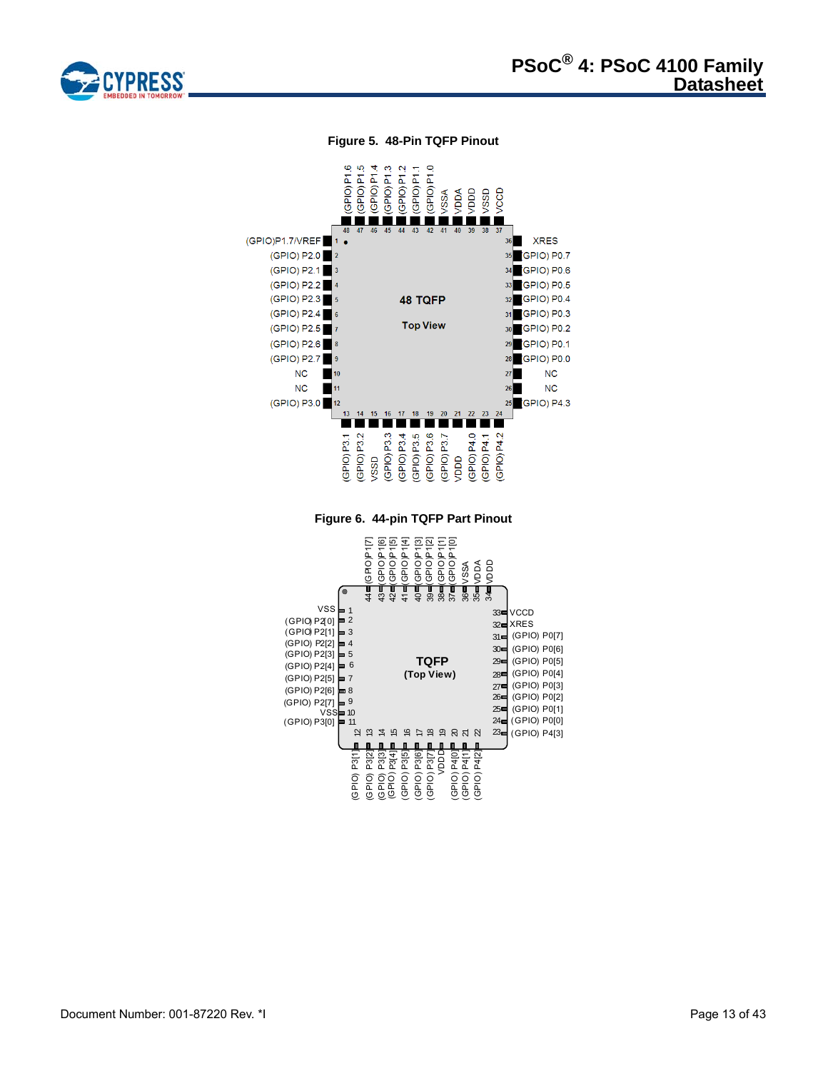

#### **Figure 5. 48-Pin TQFP Pinout**

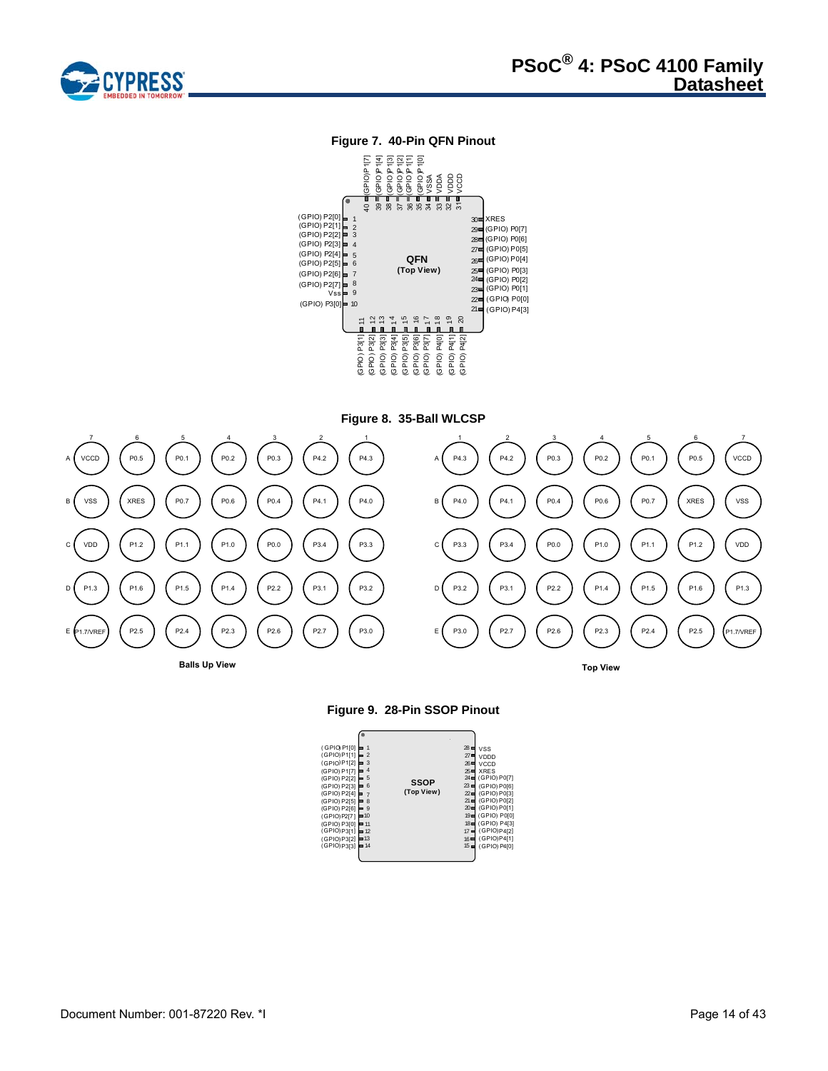

# **Figure 7. 40-Pin QFN Pinout**



**Figure 8. 35-Ball WLCSP**





| (GPIO) P1[0]<br>(GPIO)P1[1]<br>(GP1O)P1[2]<br>(GPIO) P1[7]<br>(GPIO) P2[2]<br>(GPIO) P2[3]<br>(GPIO) P2[4]<br>(GPIO) P2[5]<br>(GPIO) P2[6]<br>(GPIO)P2[7]<br>(GPIO) P3[0] = 11 | ۲<br>∍ 9<br>$=10$ | 3<br>4<br>5<br>6<br>$\overline{7}$<br>8 | <b>SSOP</b><br>(Top View) | 28<br>$27 =$<br>$26 \blacksquare$<br>$25 =$<br>$23 =$<br>$22 =$ | <b>VSS</b><br>VDDD<br>VCCD<br><b>XRES</b><br>24 (GPIO) P0[7]<br>(GPIO) P0[6]<br>(GPIO) P0[3]<br>$21 = (GPIO) P0[2]$<br>20 (GPIO) P0[1]<br>19 (GPIO) P0[0]<br>18 (GPIO) P4[3] |
|--------------------------------------------------------------------------------------------------------------------------------------------------------------------------------|-------------------|-----------------------------------------|---------------------------|-----------------------------------------------------------------|------------------------------------------------------------------------------------------------------------------------------------------------------------------------------|
| (GPIO)P3[1] = 12<br>(GPIO)P3[2] = 13                                                                                                                                           |                   |                                         |                           | $17 =$<br>$16 \blacksquare$                                     | (GPIO)P4[2]<br>(GPIO)P4[1]                                                                                                                                                   |
| (GPIO) P3[3]                                                                                                                                                                   |                   | $=14$                                   |                           | $15 =$                                                          | (GPIO) P4[0]                                                                                                                                                                 |
|                                                                                                                                                                                |                   |                                         |                           |                                                                 |                                                                                                                                                                              |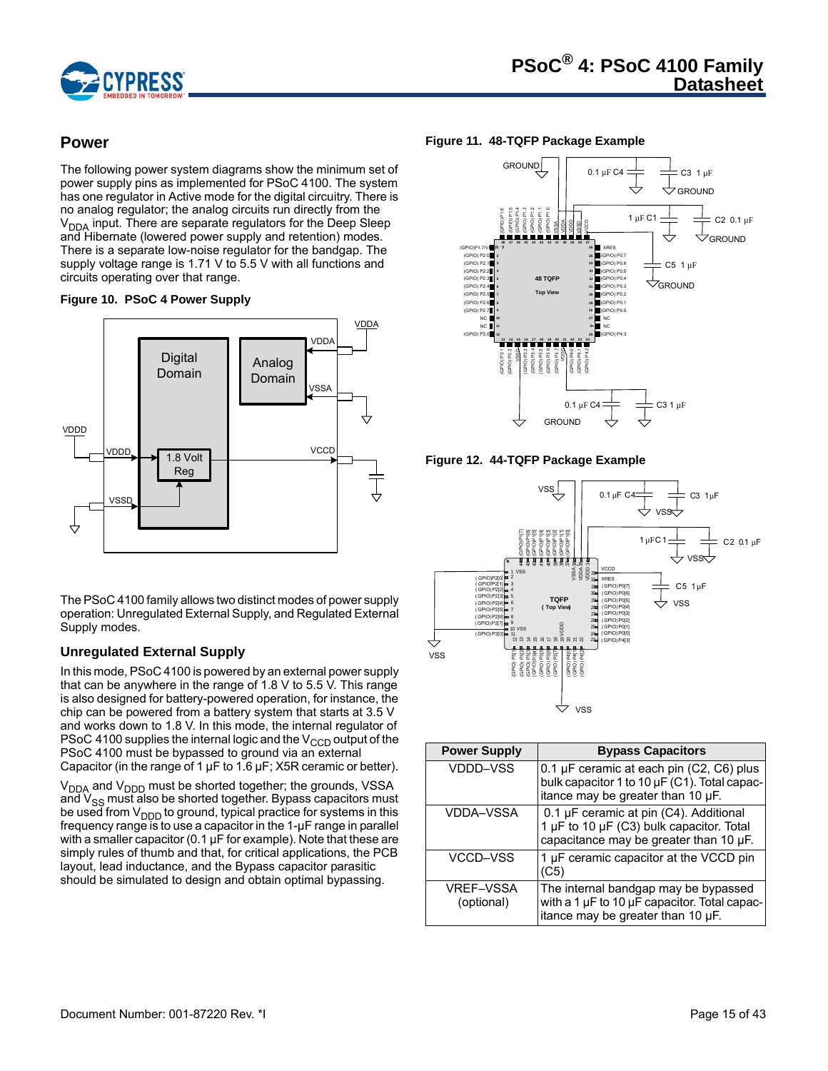

# **Power**

The following power system diagrams show the minimum set of power supply pins as implemented for PSoC 4100. The system has one regulator in Active mode for the digital circuitry. There is no analog regulator; the analog circuits run directly from the  $V<sub>DDA</sub>$  input. There are separate regulators for the Deep Sleep and Hibernate (lowered power supply and retention) modes. There is a separate low-noise regulator for the bandgap. The supply voltage range is 1.71 V to 5.5 V with all functions and circuits operating over that range.





The PSoC 4100 family allows two distinct modes of power supply operation: Unregulated External Supply, and Regulated External Supply modes.

# **Unregulated External Supply**

In this mode, PSoC 4100 is powered by an external power supply that can be anywhere in the range of 1.8 V to 5.5 V. This range is also designed for battery-powered operation, for instance, the chip can be powered from a battery system that starts at 3.5 V and works down to 1.8 V. In this mode, the internal regulator of PSoC 4100 supplies the internal logic and the  $V_{\text{CCD}}$  output of the PSoC 4100 must be bypassed to ground via an external Capacitor (in the range of 1  $\mu$ F to 1.6  $\mu$ F; X5R ceramic or better).

V<sub>DDA</sub> and V<sub>DDD</sub> must be shorted together; the grounds, VSSA and  $V<sub>SS</sub>$  must also be shorted together. Bypass capacitors must be used from  $V_{\text{DDD}}$  to ground, typical practice for systems in this frequency range is to use a capacitor in the 1-µF range in parallel with a smaller capacitor (0.1 µF for example). Note that these are simply rules of thumb and that, for critical applications, the PCB layout, lead inductance, and the Bypass capacitor parasitic should be simulated to design and obtain optimal bypassing.

#### **Figure 11. 48-TQFP Package Example**



**Figure 12. 44-TQFP Package Example**



| <b>Power Supply</b>            | <b>Bypass Capacitors</b>                                                                                                           |
|--------------------------------|------------------------------------------------------------------------------------------------------------------------------------|
| VDDD-VSS                       | 0.1 $\mu$ F ceramic at each pin (C2, C6) plus<br>bulk capacitor 1 to 10 µF (C1). Total capac-<br>itance may be greater than 10 µF. |
| VDDA-VSSA                      | 0.1 µF ceramic at pin (C4). Additional<br>1 µF to 10 µF (C3) bulk capacitor. Total<br>capacitance may be greater than 10 µF.       |
| VCCD-VSS                       | 1 µF ceramic capacitor at the VCCD pin<br>(C5)                                                                                     |
| <b>VREF-VSSA</b><br>(optional) | The internal bandgap may be bypassed<br>with a 1 µF to 10 µF capacitor. Total capac-<br>itance may be greater than 10 µF.          |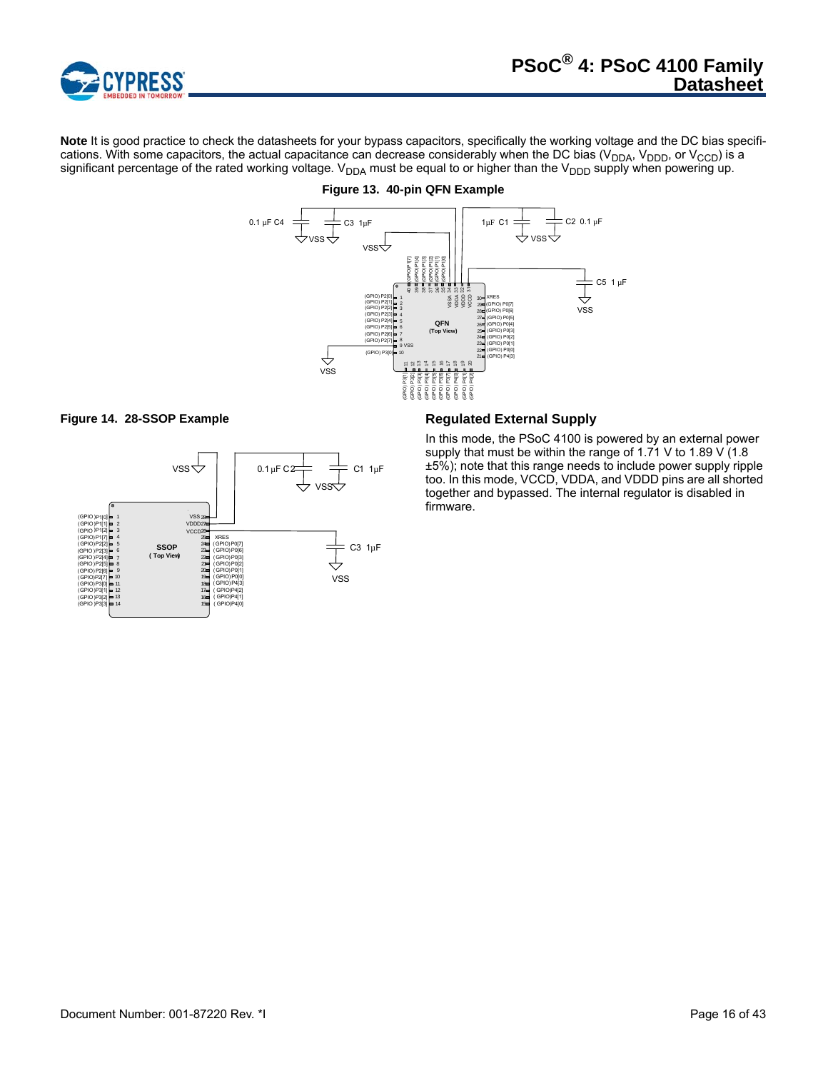

**Note** It is good practice to check the datasheets for your bypass capacitors, specifically the working voltage and the DC bias specifications. With some capacitors, the actual capacitance can decrease considerably when the DC bias (V<sub>DDA</sub>, V<sub>DDD</sub>, or V<sub>CCD</sub>) is a significant percentage of the rated working voltage. V<sub>DDA</sub> must be equal to or higher than the V<sub>DDD</sub> supply when powering up.



# **Figure 13. 40-pin QFN Example**





In this mode, the PSoC 4100 is powered by an external power supply that must be within the range of 1.71 V to 1.89 V (1.8) ±5%); note that this range needs to include power supply ripple too. In this mode, VCCD, VDDA, and VDDD pins are all shorted together and bypassed. The internal regulator is disabled in firmware.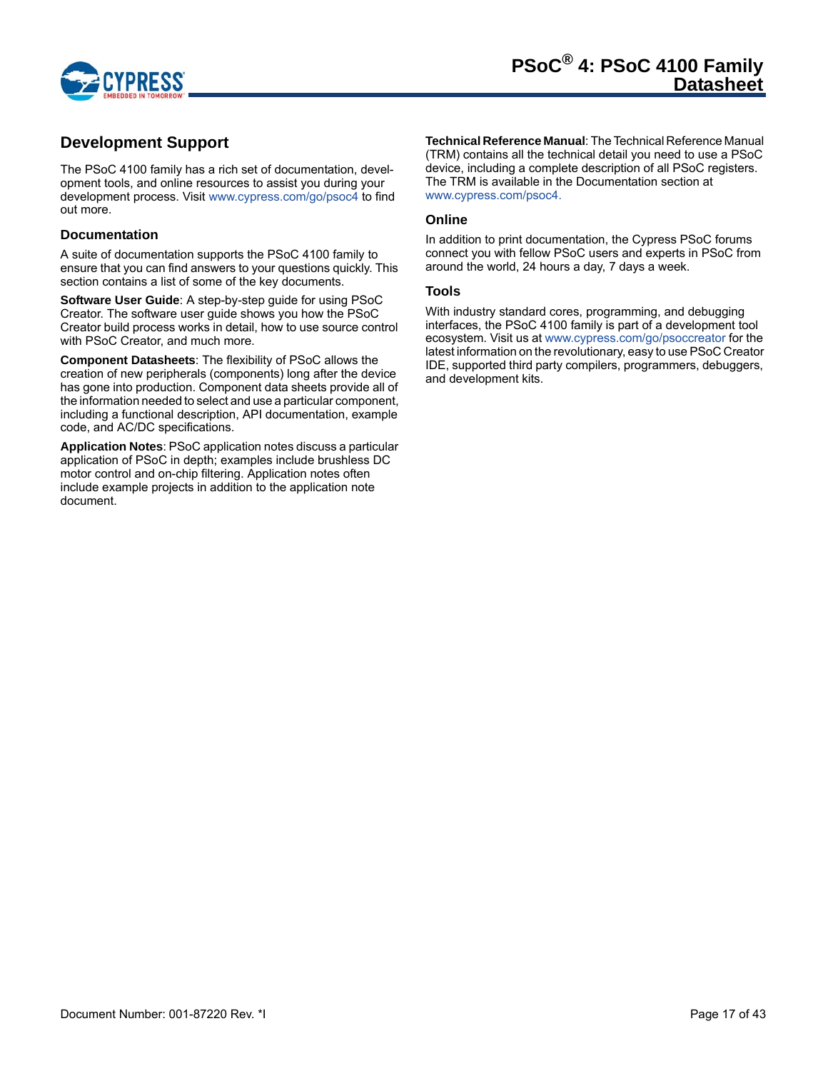

# **Development Support**

The PSoC 4100 family has a rich set of documentation, development tools, and online resources to assist you during your development process. Visit www.cypress.com/go/psoc4 to find out more.

## **Documentation**

A suite of documentation supports the PSoC 4100 family to ensure that you can find answers to your questions quickly. This section contains a list of some of the key documents.

**Software User Guide**: A step-by-step guide for using PSoC Creator. The software user guide shows you how the PSoC Creator build process works in detail, how to use source control with PSoC Creator, and much more.

**Component Datasheets**: The flexibility of PSoC allows the creation of new peripherals (components) long after the device has gone into production. Component data sheets provide all of the information needed to select and use a particular component, including a functional description, API documentation, example code, and AC/DC specifications.

**Application Notes**: PSoC application notes discuss a particular application of PSoC in depth; examples include brushless DC motor control and on-chip filtering. Application notes often include example projects in addition to the application note document.

**Technical Reference Manual**: The Technical Reference Manual (TRM) contains all the technical detail you need to use a PSoC device, including a complete description of all PSoC registers. The TRM is available in the Documentation section at www.cypress.com/psoc4.

#### **Online**

In addition to print documentation, the Cypress PSoC forums connect you with fellow PSoC users and experts in PSoC from around the world, 24 hours a day, 7 days a week.

#### **Tools**

With industry standard cores, programming, and debugging interfaces, the PSoC 4100 family is part of a development tool ecosystem. Visit us at www.cypress.com/go/psoccreator for the latest information on the revolutionary, easy to use PSoC Creator IDE, supported third party compilers, programmers, debuggers, and development kits.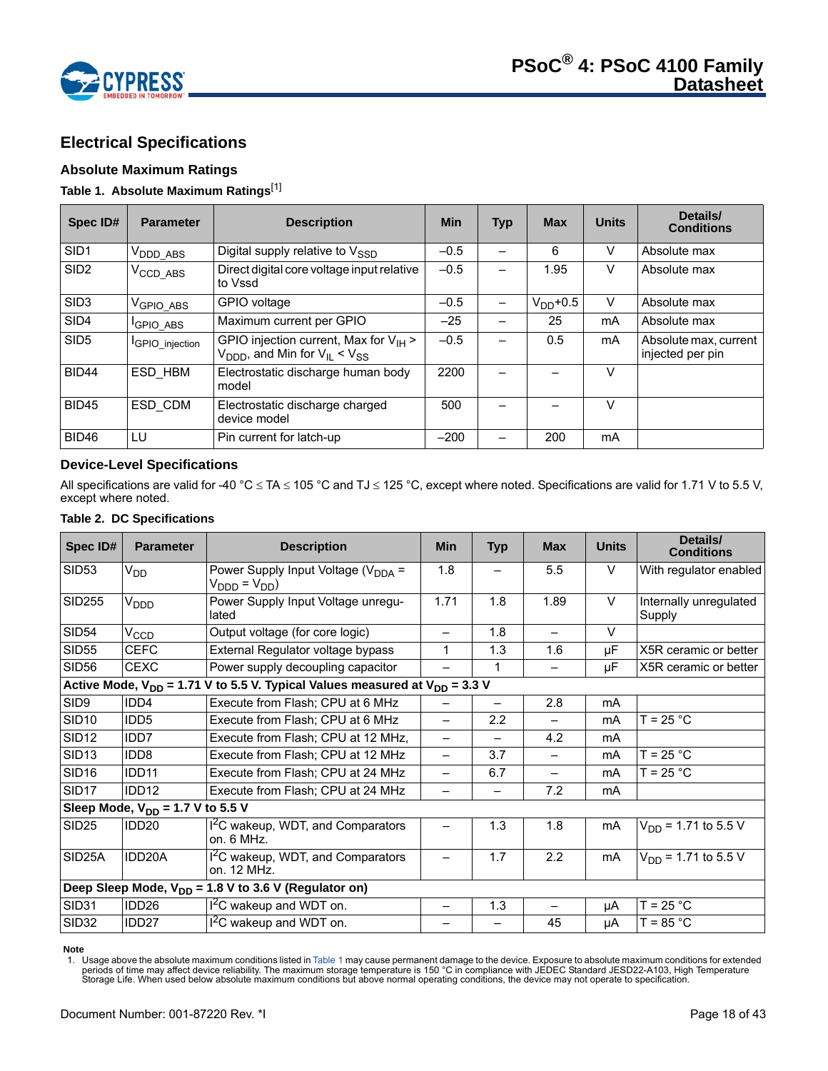

# **Electrical Specifications**

# **Absolute Maximum Ratings**

## **Table 1. Absolute Maximum Ratings**[1]

| Spec ID#         | <b>Parameter</b>            | <b>Description</b>                                                                                          | <b>Min</b> | <b>Typ</b> | <b>Max</b>  | <b>Units</b> | Details/<br><b>Conditions</b>             |
|------------------|-----------------------------|-------------------------------------------------------------------------------------------------------------|------------|------------|-------------|--------------|-------------------------------------------|
| SID <sub>1</sub> | V <sub>DDD</sub> ABS        | Digital supply relative to $V_{\rm SSD}$                                                                    | $-0.5$     |            | 6           | v            | Absolute max                              |
| SID <sub>2</sub> | $V_{\text{CCD}_\text{ABS}}$ | Direct digital core voltage input relative<br>to Vssd                                                       | $-0.5$     |            | 1.95        | v            | Absolute max                              |
| SID <sub>3</sub> | V <sub>GPIO_ABS</sub>       | GPIO voltage                                                                                                | $-0.5$     |            | $VDD + 0.5$ | V            | Absolute max                              |
| SID <sub>4</sub> | <b>GPIO ABS</b>             | Maximum current per GPIO                                                                                    | $-25$      |            | 25          | mA           | Absolute max                              |
| SID <sub>5</sub> | <b>IGPIO</b> injection      | GPIO injection current, Max for $V_{H}$ ><br>$V_{\text{DDD}}$ , and Min for $V_{\text{IL}} < V_{\text{SS}}$ | $-0.5$     |            | 0.5         | mA           | Absolute max, current<br>injected per pin |
| BID44            | ESD HBM                     | Electrostatic discharge human body<br>model                                                                 | 2200       |            |             | V            |                                           |
| <b>BID45</b>     | ESD CDM                     | Electrostatic discharge charged<br>device model                                                             | 500        |            |             | $\vee$       |                                           |
| <b>BID46</b>     | LU                          | Pin current for latch-up                                                                                    | $-200$     |            | 200         | mA           |                                           |

# **Device-Level Specifications**

All specifications are valid for -40 °C  $\leq$  TA  $\leq$  105 °C and TJ  $\leq$  125 °C, except where noted. Specifications are valid for 1.71 V to 5.5 V, except where noted.

#### **Table 2. DC Specifications**

| Spec ID#          | <b>Parameter</b>                                                                     | <b>Description</b>                                                                  | <b>Min</b>               | <b>Typ</b>               | <b>Max</b> | <b>Units</b> | Details/<br><b>Conditions</b>    |  |  |  |  |
|-------------------|--------------------------------------------------------------------------------------|-------------------------------------------------------------------------------------|--------------------------|--------------------------|------------|--------------|----------------------------------|--|--|--|--|
| <b>SID53</b>      | V <sub>DD</sub>                                                                      | Power Supply Input Voltage ( $V_{\text{DDA}}$ =<br>$V_{\text{DDD}} = V_{\text{DD}}$ | 1.8                      |                          | 5.5        | V            | With regulator enabled           |  |  |  |  |
| <b>SID255</b>     | V <sub>DDD</sub>                                                                     | Power Supply Input Voltage unregu-<br>lated                                         | 1.71                     | 1.8                      | 1.89       | $\vee$       | Internally unregulated<br>Supply |  |  |  |  |
| <b>SID54</b>      | $V_{CCD}$                                                                            | Output voltage (for core logic)                                                     |                          | 1.8                      |            | $\vee$       |                                  |  |  |  |  |
| <b>SID55</b>      | <b>CEFC</b>                                                                          | External Regulator voltage bypass                                                   | 1                        | 1.3                      | 1.6        | μF           | X5R ceramic or better            |  |  |  |  |
| SID <sub>56</sub> | <b>CEXC</b>                                                                          | Power supply decoupling capacitor                                                   |                          | 1                        | —          | μF           | X5R ceramic or better            |  |  |  |  |
|                   | Active Mode, $V_{DD}$ = 1.71 V to 5.5 V. Typical Values measured at $V_{DD}$ = 3.3 V |                                                                                     |                          |                          |            |              |                                  |  |  |  |  |
| SID9              | IDD4                                                                                 | Execute from Flash; CPU at 6 MHz                                                    |                          |                          | 2.8        | mA           |                                  |  |  |  |  |
| <b>SID10</b>      | IDD <sub>5</sub>                                                                     | Execute from Flash; CPU at 6 MHz                                                    | $\overline{\phantom{0}}$ | 2.2                      |            | mA           | $T = 25 °C$                      |  |  |  |  |
| <b>SID12</b>      | IDD <sub>7</sub>                                                                     | Execute from Flash; CPU at 12 MHz,                                                  | —                        | $\overline{\phantom{0}}$ | 4.2        | mA           |                                  |  |  |  |  |
| <b>SID13</b>      | IDD8                                                                                 | Execute from Flash; CPU at 12 MHz                                                   |                          | 3.7                      |            | mA           | $T = 25 °C$                      |  |  |  |  |
| SID <sub>16</sub> | IDD11                                                                                | Execute from Flash; CPU at 24 MHz                                                   |                          | 6.7                      |            | mA           | $T = 25 °C$                      |  |  |  |  |
| SID <sub>17</sub> | IDD12                                                                                | Execute from Flash; CPU at 24 MHz                                                   |                          | -                        | 7.2        | mA           |                                  |  |  |  |  |
|                   | Sleep Mode, $V_{DD}$ = 1.7 V to 5.5 V                                                |                                                                                     |                          |                          |            |              |                                  |  |  |  |  |
| <b>SID25</b>      | IDD <sub>20</sub>                                                                    | I <sup>2</sup> C wakeup, WDT, and Comparators<br>on. 6 MHz.                         |                          | 1.3                      | 1.8        | mA           | $V_{DD}$ = 1.71 to 5.5 V         |  |  |  |  |
| SID25A            | IDD20A                                                                               | I <sup>2</sup> C wakeup, WDT, and Comparators<br>on. 12 MHz.                        |                          | 1.7                      | 2.2        | mA           | $V_{DD}$ = 1.71 to 5.5 V         |  |  |  |  |
|                   |                                                                                      | Deep Sleep Mode, $V_{DD}$ = 1.8 V to 3.6 V (Regulator on)                           |                          |                          |            |              |                                  |  |  |  |  |
| SID31             | IDD <sub>26</sub>                                                                    | $I2C$ wakeup and WDT on.                                                            | -                        | 1.3                      | —          | μA           | $T = 25 °C$                      |  |  |  |  |
| <b>SID32</b>      | IDD <sub>27</sub>                                                                    | I <sup>2</sup> C wakeup and WDT on.                                                 |                          |                          | 45         | μA           | $T = 85 °C$                      |  |  |  |  |

#### **Note**

1. Usage above the absolute maximum conditions listed in Table 1 may cause permanent damage to the device. Exposure to absolute maximum conditions for extended<br>periods of time may affect device reliability. The maximum sto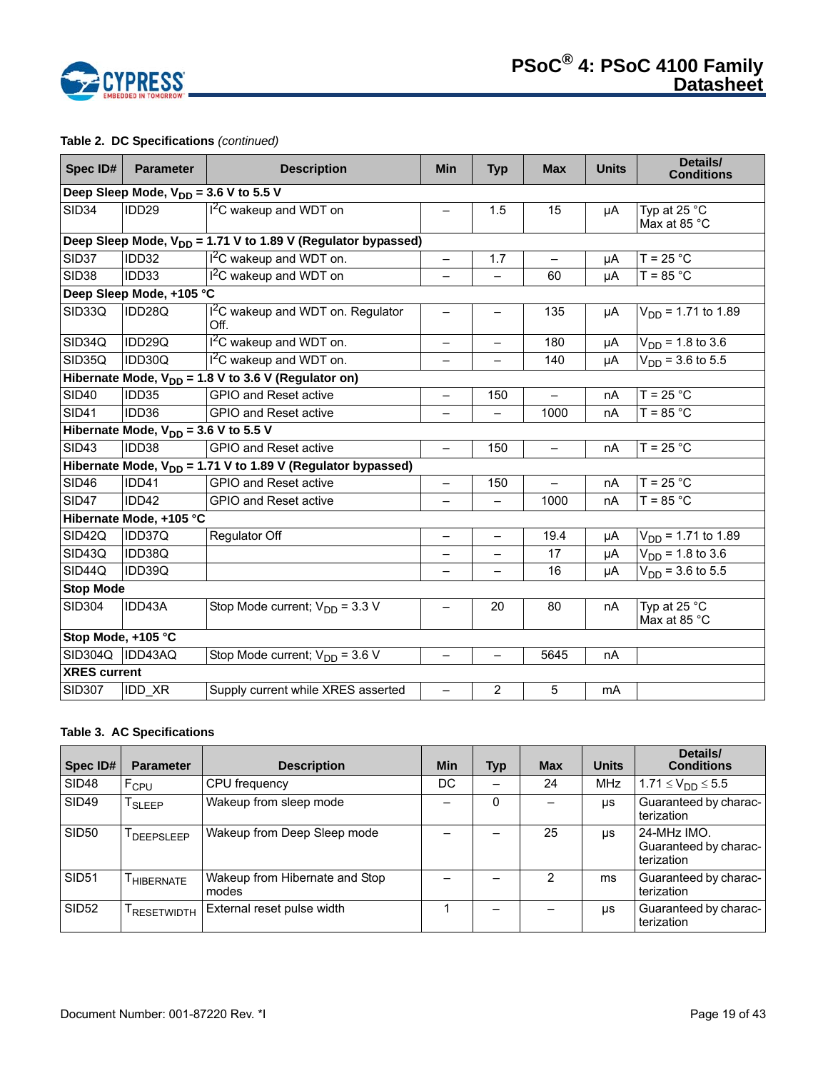

# **Table 2. DC Specifications** *(continued)*

| Spec ID#            | <b>Parameter</b>                                                         | <b>Description</b>                                               | <b>Min</b>               | <b>Typ</b>               | <b>Max</b>               | <b>Units</b> | Details/<br><b>Conditions</b>  |  |  |  |  |
|---------------------|--------------------------------------------------------------------------|------------------------------------------------------------------|--------------------------|--------------------------|--------------------------|--------------|--------------------------------|--|--|--|--|
|                     | Deep Sleep Mode, $V_{DD}$ = 3.6 V to 5.5 V                               |                                                                  |                          |                          |                          |              |                                |  |  |  |  |
| <b>SID34</b>        | IDD <sub>29</sub>                                                        | <sup>12</sup> C wakeup and WDT on                                |                          | 1.5                      | 15                       | μA           | Typ at 25 °C<br>Max at 85 °C   |  |  |  |  |
|                     | Deep Sleep Mode, V <sub>DD</sub> = 1.71 V to 1.89 V (Regulator bypassed) |                                                                  |                          |                          |                          |              |                                |  |  |  |  |
| SID37               | IDD32                                                                    | $I2C$ wakeup and WDT on.                                         | $\qquad \qquad -$        | 1.7                      | $\overline{\phantom{m}}$ | μA           | $T = 25 °C$                    |  |  |  |  |
| <b>SID38</b>        | IDD33                                                                    | I <sup>2</sup> C wakeup and WDT on                               |                          |                          | 60                       | μA           | $T = 85 °C$                    |  |  |  |  |
|                     | Deep Sleep Mode, +105 °C                                                 |                                                                  |                          |                          |                          |              |                                |  |  |  |  |
| SID33Q              | IDD28Q                                                                   | I <sup>2</sup> C wakeup and WDT on. Regulator<br>Off.            | —                        |                          | 135                      | μA           | $V_{DD}$ = 1.71 to 1.89        |  |  |  |  |
| SID34Q              | IDD29Q                                                                   | I <sup>2</sup> C wakeup and WDT on.                              |                          |                          | 180                      | μA           | $V_{DD}$ = 1.8 to 3.6          |  |  |  |  |
| SID35Q              | IDD30Q                                                                   | $12C$ wakeup and WDT on.                                         | $\overline{\phantom{0}}$ |                          | 140                      | μA           | $V_{DD}$ = 3.6 to 5.5          |  |  |  |  |
|                     |                                                                          | Hibernate Mode, $V_{DD}$ = 1.8 V to 3.6 V (Regulator on)         |                          |                          |                          |              |                                |  |  |  |  |
| <b>SID40</b>        | IDD35                                                                    | <b>GPIO and Reset active</b>                                     | $\overline{\phantom{0}}$ | 150                      |                          | nA           | $T = 25 °C$                    |  |  |  |  |
| <b>SID41</b>        | IDD36                                                                    | <b>GPIO and Reset active</b>                                     | $\overline{\phantom{0}}$ | $\equiv$                 | 1000                     | nA           | $T = 85 °C$                    |  |  |  |  |
|                     | Hibernate Mode, $V_{DD} = 3.6 V$ to 5.5 V                                |                                                                  |                          |                          |                          |              |                                |  |  |  |  |
| <b>SID43</b>        | IDD38                                                                    | <b>GPIO and Reset active</b>                                     | $\qquad \qquad -$        | 150                      | $\qquad \qquad -$        | nA           | $T = 25 °C$                    |  |  |  |  |
|                     |                                                                          | Hibernate Mode, $V_{DD}$ = 1.71 V to 1.89 V (Regulator bypassed) |                          |                          |                          |              |                                |  |  |  |  |
| <b>SID46</b>        | IDD41                                                                    | <b>GPIO and Reset active</b>                                     | $\overline{\phantom{0}}$ | 150                      |                          | nA           | $T = 25 °C$                    |  |  |  |  |
| <b>SID47</b>        | IDD42                                                                    | <b>GPIO and Reset active</b>                                     | $\overline{\phantom{0}}$ | $\overline{\phantom{0}}$ | 1000                     | nA           | $T = 85 °C$                    |  |  |  |  |
|                     | Hibernate Mode, +105 °C                                                  |                                                                  |                          |                          |                          |              |                                |  |  |  |  |
| SID42Q              | IDD37Q                                                                   | Regulator Off                                                    | $\qquad \qquad -$        | $\qquad \qquad -$        | 19.4                     | μA           | $V_{DD}$ = 1.71 to 1.89        |  |  |  |  |
| SID43Q              | IDD38Q                                                                   |                                                                  |                          |                          | 17                       | μA           | $V_{DD} = 1.8 \text{ to } 3.6$ |  |  |  |  |
| SID44Q              | IDD39Q                                                                   |                                                                  |                          |                          | 16                       | μA           | $V_{DD}$ = 3.6 to 5.5          |  |  |  |  |
| <b>Stop Mode</b>    |                                                                          |                                                                  |                          |                          |                          |              |                                |  |  |  |  |
| <b>SID304</b>       | IDD43A                                                                   | Stop Mode current; $V_{DD} = 3.3 V$                              |                          | 20                       | 80                       | nA           | Typ at 25 °C<br>Max at 85 °C   |  |  |  |  |
| Stop Mode, +105 °C  |                                                                          |                                                                  |                          |                          |                          |              |                                |  |  |  |  |
| SID304Q             | IDD43AQ                                                                  | Stop Mode current; $V_{DD}$ = 3.6 V                              | $\overline{\phantom{0}}$ | $\qquad \qquad -$        | 5645                     | nA           |                                |  |  |  |  |
| <b>XRES</b> current |                                                                          |                                                                  |                          |                          |                          |              |                                |  |  |  |  |
| <b>SID307</b>       | IDD_XR                                                                   | Supply current while XRES asserted                               | $\overline{\phantom{0}}$ | 2                        | 5                        | mA           |                                |  |  |  |  |

## **Table 3. AC Specifications**

| Spec ID#     | <b>Parameter</b>   | <b>Description</b>                      | <b>Min</b> | Typ | <b>Max</b> | <b>Units</b> | Details/<br><b>Conditions</b>                      |
|--------------|--------------------|-----------------------------------------|------------|-----|------------|--------------|----------------------------------------------------|
| <b>SID48</b> | F <sub>CPU</sub>   | CPU frequency                           | DC         |     | 24         | <b>MHz</b>   | $1.71 \le V_{DD} \le 5.5$                          |
| <b>SID49</b> | <sup>I</sup> SLEEP | Wakeup from sleep mode                  |            | 0   |            | μs           | Guaranteed by charac-<br>terization                |
| <b>SID50</b> | DEEPSLEEP          | Wakeup from Deep Sleep mode             |            |     | 25         | <b>US</b>    | 24-MHz IMO.<br>Guaranteed by charac-<br>terization |
| <b>SID51</b> | HIBERNATE          | Wakeup from Hibernate and Stop<br>modes |            |     | 2          | ms           | Guaranteed by charac-<br>terization                |
| <b>SID52</b> | RESETWIDTH         | External reset pulse width              |            |     |            | μs           | Guaranteed by charac-<br>terization                |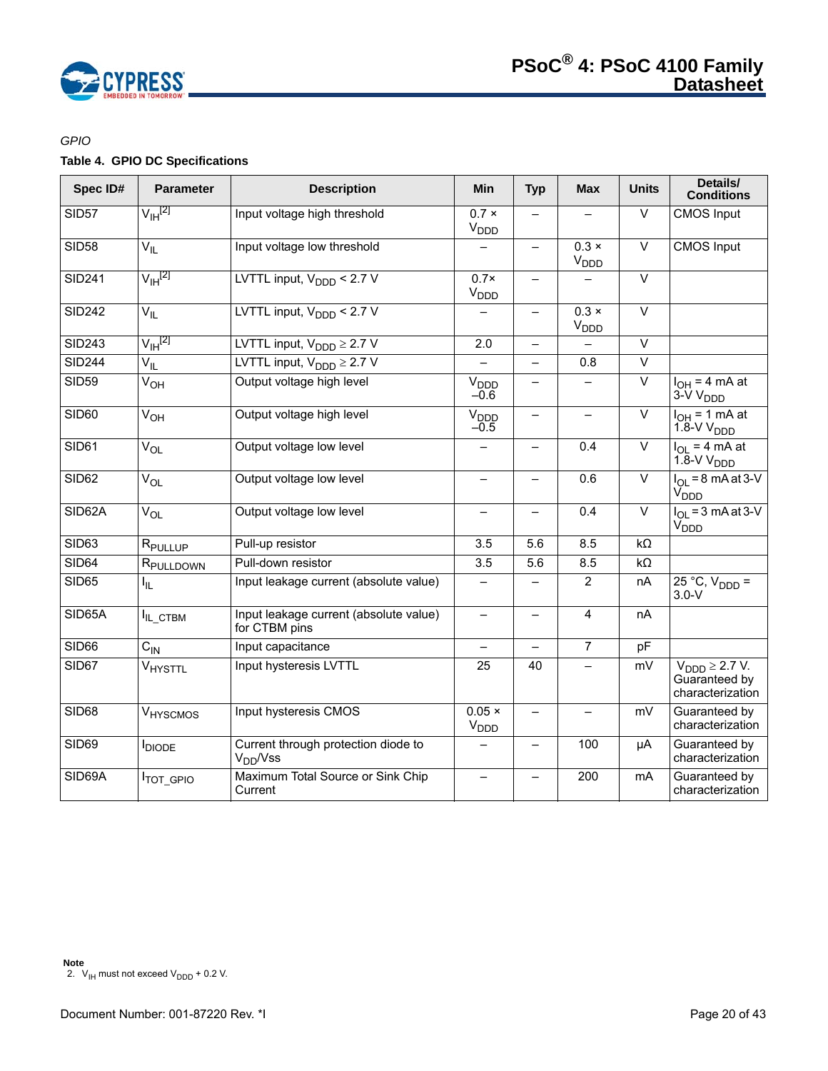

# *GPIO*

# **Table 4. GPIO DC Specifications**

| Spec ID#      | <b>Parameter</b>      | <b>Description</b>                                          | Min                               | <b>Typ</b>               | <b>Max</b>                             | <b>Units</b>      | Details/<br><b>Conditions</b>                                     |
|---------------|-----------------------|-------------------------------------------------------------|-----------------------------------|--------------------------|----------------------------------------|-------------------|-------------------------------------------------------------------|
| <b>SID57</b>  | $V_{\text{IH}}^{[2]}$ | Input voltage high threshold                                | $0.7 \times$<br>$V_{\text{DDD}}$  | $\equiv$                 |                                        | $\overline{\vee}$ | <b>CMOS</b> Input                                                 |
| <b>SID58</b>  | $V_{IL}$              | Input voltage low threshold                                 |                                   | $\qquad \qquad -$        | $0.3 \times$<br><b>V<sub>DDD</sub></b> | $\overline{\vee}$ | <b>CMOS</b> Input                                                 |
| <b>SID241</b> | $V_{\text{IH}}^{[2]}$ | LVTTL input, $V_{\text{DDD}}$ < 2.7 V                       | $0.7\times$<br>V <sub>DDD</sub>   | $\equiv$                 |                                        | $\vee$            |                                                                   |
| <b>SID242</b> | $V_{IL}$              | LVTTL input, $V_{\text{DDD}}$ < 2.7 V                       |                                   | $\qquad \qquad -$        | $0.3 \times$<br>V <sub>DDD</sub>       | $\overline{\vee}$ |                                                                   |
| <b>SID243</b> | $V_{\text{IH}}^{[2]}$ | LVTTL input, $V_{\text{DDD}} \geq 2.7 \text{ V}$            | 2.0                               | $\qquad \qquad -$        |                                        | $\overline{\vee}$ |                                                                   |
| <b>SID244</b> | $V_{IL}$              | LVTTL input, $V_{\text{DDD}} \ge 2.7 \text{ V}$             |                                   | $\overline{\phantom{0}}$ | 0.8                                    | $\overline{\vee}$ |                                                                   |
| <b>SID59</b>  | V <sub>OH</sub>       | Output voltage high level                                   | V <sub>DDD</sub><br>$-0.6$        | $\overline{\phantom{0}}$ |                                        | $\overline{\vee}$ | $I_{OH} = 4 mA$<br>3-V V <sub>DDD</sub>                           |
| <b>SID60</b>  | V <sub>OH</sub>       | Output voltage high level                                   | V <sub>DDD</sub><br>$-0.5$        | $\overline{\phantom{0}}$ |                                        | $\overline{\vee}$ | $I_{OH}$ = 1 mA at<br>$1.8-VVDDD$                                 |
| <b>SID61</b>  | $V_{OL}$              | Output voltage low level                                    |                                   | $\qquad \qquad -$        | 0.4                                    | $\vee$            | $I_{OL}$ = 4 mA at<br>$1.8-VV_{DDD}$                              |
| SID62         | $V_{OL}$              | Output voltage low level                                    |                                   | —                        | 0.6                                    | $\vee$            | $I_{\Omega}$ = 8 mA at 3-V<br>V <sub>DDD</sub>                    |
| SID62A        | $V_{OL}$              | Output voltage low level                                    |                                   | $\qquad \qquad -$        | 0.4                                    | $\overline{\vee}$ | $I_{OL}$ = 3 mA at 3-V<br>V <sub>DDD</sub>                        |
| SID63         | R <sub>PULLUP</sub>   | Pull-up resistor                                            | 3.5                               | 5.6                      | 8.5                                    | $k\Omega$         |                                                                   |
| <b>SID64</b>  | R <sub>PULLDOWN</sub> | Pull-down resistor                                          | 3.5                               | 5.6                      | 8.5                                    | $k\Omega$         |                                                                   |
| <b>SID65</b>  | I <sub>IL</sub>       | Input leakage current (absolute value)                      |                                   |                          | 2                                      | nA                | $25 °C$ , $V_{DDD} =$<br>$3.0-V$                                  |
| SID65A        | IL_CTBM               | Input leakage current (absolute value)<br>for CTBM pins     | $\qquad \qquad -$                 | $\qquad \qquad -$        | $\overline{4}$                         | nA                |                                                                   |
| SID66         | $C_{IN}$              | Input capacitance                                           |                                   | $\overline{\phantom{0}}$ | $\overline{7}$                         | pF                |                                                                   |
| SID67         | VHYSTTL               | Input hysteresis LVTTL                                      | 25                                | 40                       |                                        | mV                | $V_{\text{DDD}} \geq 2.7 V.$<br>Guaranteed by<br>characterization |
| <b>SID68</b>  | VHYSCMOS              | Input hysteresis CMOS                                       | $0.05 \times$<br>V <sub>DDD</sub> | $\qquad \qquad -$        |                                        | mV                | Guaranteed by<br>characterization                                 |
| <b>SID69</b>  | <b>I</b> DIODE        | Current through protection diode to<br>V <sub>DD</sub> /Vss |                                   | —                        | 100                                    | μA                | Guaranteed by<br>characterization                                 |
| SID69A        | <b>ITOT_GPIO</b>      | Maximum Total Source or Sink Chip<br>Current                |                                   |                          | 200                                    | mA                | Guaranteed by<br>characterization                                 |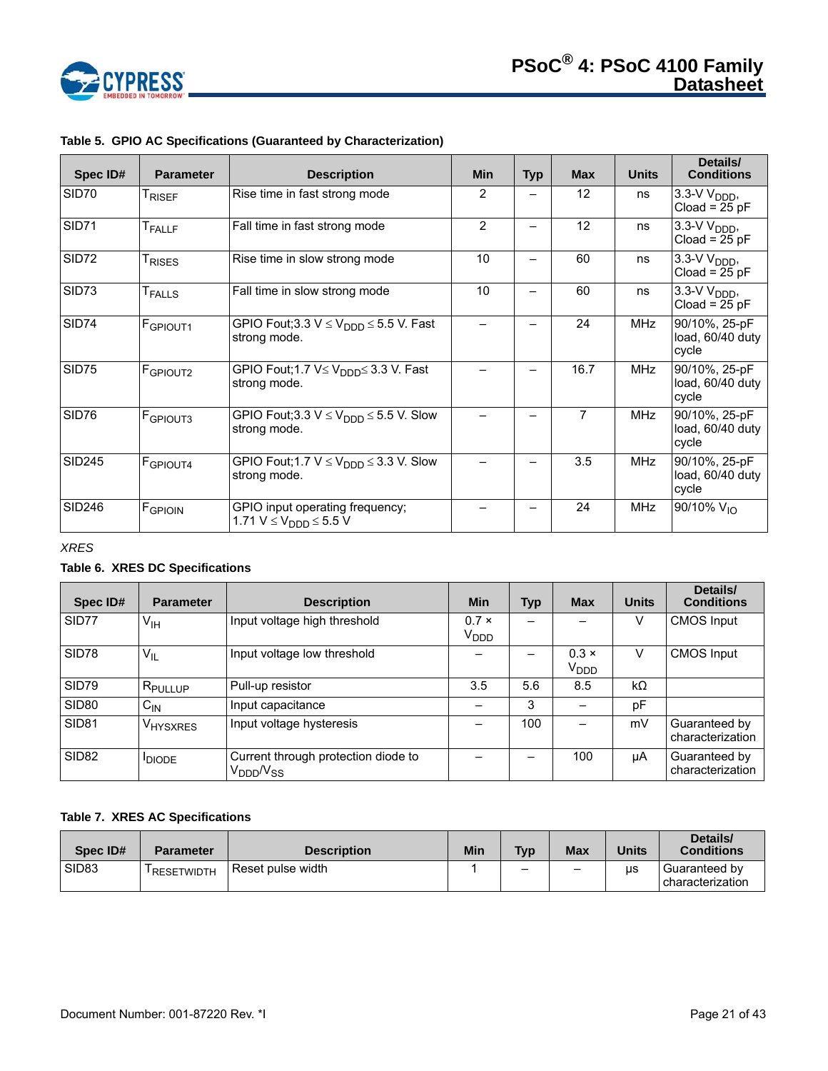

| Spec ID#      | <b>Parameter</b>     | <b>Description</b>                                                       | <b>Min</b> | <b>Typ</b> | <b>Max</b>      | <b>Units</b> | Details/<br><b>Conditions</b>                 |
|---------------|----------------------|--------------------------------------------------------------------------|------------|------------|-----------------|--------------|-----------------------------------------------|
| SID70         | <sup>I</sup> RISEF   | Rise time in fast strong mode                                            | 2          |            | 12 <sup>2</sup> | ns           | $3.3-V$ $V_{\text{DDD}}$ ,<br>$Cloud = 25 pF$ |
| SID71         | <b>T</b> FALLF       | Fall time in fast strong mode                                            | 2          |            | 12              | ns           | $3.3-V$ $V_{\text{DDD}}$<br>Cload = $25$ pF   |
| SID72         | T <sub>RISES</sub>   | Rise time in slow strong mode                                            | 10         |            | 60              | ns           | $3.3-V$ $V_{\text{DDD}}$ ,<br>$Cloud = 25 pF$ |
| SID73         | <b>T</b> FALLS       | Fall time in slow strong mode                                            | 10         |            | 60              | ns           | $3.3-V$ $V_{\text{DDD}}$ ,<br>$Cloud = 25 pF$ |
| <b>SID74</b>  | F <sub>GPIOUT1</sub> | GPIO Fout;3.3 $V \leq V_{\text{DDD}} \leq 5.5$ V. Fast<br>strong mode.   |            |            | 24              | <b>MHz</b>   | 90/10%, 25-pF<br>load, 60/40 duty<br>cycle    |
| SID75         | F <sub>GPIOUT2</sub> | GPIO Fout;1.7 V≤ V <sub>DDD</sub> ≤ 3.3 V. Fast<br>strong mode.          |            | —          | 16.7            | <b>MHz</b>   | 90/10%, 25-pF<br>load, 60/40 duty<br>cycle    |
| SID76         | <b>F</b> GPIOUT3     | GPIO Fout;3.3 $V \leq V_{\text{DDD}} \leq 5.5$ V. Slow<br>strong mode.   |            |            | 7               | <b>MHz</b>   | 90/10%, 25-pF<br>load, 60/40 duty<br>cycle    |
| <b>SID245</b> | F <sub>GPIOUT4</sub> | GPIO Fout; 1.7 $V \leq V_{\text{DDD}} \leq 3.3$ V. Slow<br>strong mode.  |            |            | 3.5             | <b>MHz</b>   | 90/10%, 25-pF<br>load, 60/40 duty<br>cycle    |
| <b>SID246</b> | FGPIOIN              | GPIO input operating frequency;<br>1.71 $V \le V_{\text{DDD}} \le 5.5 V$ |            |            | 24              | <b>MHz</b>   | 90/10% $V_{10}$                               |

# **Table 5. GPIO AC Specifications (Guaranteed by Characterization)**

*XRES* 

# **Table 6. XRES DC Specifications**

| Spec ID#          | <b>Parameter</b>      | <b>Description</b>                                       | <b>Min</b>                       | <b>Typ</b> | <b>Max</b>                       | <b>Units</b> | Details/<br><b>Conditions</b>     |
|-------------------|-----------------------|----------------------------------------------------------|----------------------------------|------------|----------------------------------|--------------|-----------------------------------|
| SID77             | $V_{\text{IH}}$       | Input voltage high threshold                             | $0.7 \times$<br>V <sub>DDD</sub> |            |                                  | V            | <b>CMOS Input</b>                 |
| SID78             | $V_{IL}$              | Input voltage low threshold                              |                                  |            | $0.3 \times$<br>V <sub>DDD</sub> | V            | <b>CMOS Input</b>                 |
| SID79             | I R <sub>PULLUP</sub> | Pull-up resistor                                         | 3.5                              | 5.6        | 8.5                              | $k\Omega$    |                                   |
| <b>SID80</b>      | $C_{IN}$              | Input capacitance                                        |                                  | 3          |                                  | pF           |                                   |
| <b>SID81</b>      | V <sub>HYSXRES</sub>  | Input voltage hysteresis                                 |                                  | 100        |                                  | mV           | Guaranteed by<br>characterization |
| SID <sub>82</sub> | <b>IDIODE</b>         | Current through protection diode to<br>$\rm V_{DDD}$ Nss |                                  |            | 100                              | μA           | Guaranteed by<br>characterization |

# **Table 7. XRES AC Specifications**

| Spec ID#          | <b>Parameter</b>        | <b>Description</b> | Min | <b>Tvp</b> | Max | <b>Units</b> | Details/<br><b>Conditions</b>     |
|-------------------|-------------------------|--------------------|-----|------------|-----|--------------|-----------------------------------|
| SID <sub>83</sub> | <sup>I</sup> RESETWIDTH | Reset pulse width  |     |            |     | us           | Guaranteed by<br>characterization |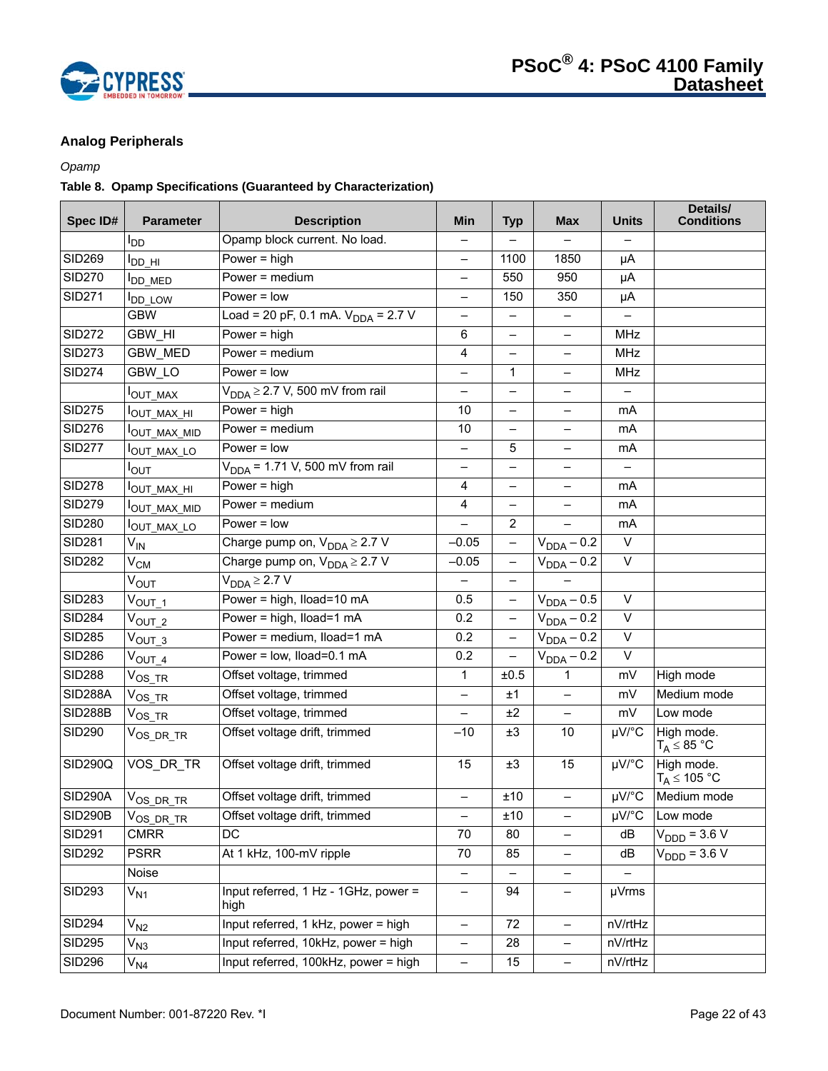

# **Analog Peripherals**

# *Opamp*

# **Table 8. Opamp Specifications (Guaranteed by Characterization)**

| Spec ID#       | <b>Parameter</b>         | <b>Description</b>                           | Min                      | <b>Typ</b>               | <b>Max</b>               | <b>Units</b>             | Details/<br><b>Conditions</b>          |
|----------------|--------------------------|----------------------------------------------|--------------------------|--------------------------|--------------------------|--------------------------|----------------------------------------|
|                | l <sub>DD</sub>          | Opamp block current. No load.                |                          |                          |                          |                          |                                        |
| <b>SID269</b>  | I <sub>DD_HI</sub>       | Power = $high$                               | —                        | 1100                     | 1850                     | μA                       |                                        |
| <b>SID270</b>  | <b>I</b> DD_MED          | Power = medium                               | $\overline{\phantom{0}}$ | 550                      | 950                      | μA                       |                                        |
| <b>SID271</b>  | <b>DD_LOW</b>            | $Power = low$                                | $\overline{\phantom{0}}$ | 150                      | 350                      | μA                       |                                        |
|                | <b>GBW</b>               | Load = 20 pF, 0.1 mA. $V_{DDA}$ = 2.7 V      | $\overline{\phantom{0}}$ | -                        | $\qquad \qquad -$        |                          |                                        |
| <b>SID272</b>  | <b>GBW HI</b>            | Power = $high$                               | 6                        | $\overline{\phantom{0}}$ | ÷.                       | <b>MHz</b>               |                                        |
| <b>SID273</b>  | <b>GBW MED</b>           | Power = medium                               | 4                        |                          |                          | MHz                      |                                        |
| <b>SID274</b>  | GBW_LO                   | Power $=$ low                                | $\overline{\phantom{0}}$ | 1                        | $\overline{\phantom{0}}$ | <b>MHz</b>               |                                        |
|                | OUT_MAX                  | $V_{DDA} \geq 2.7$ V, 500 mV from rail       | $\overline{\phantom{0}}$ | $\overline{\phantom{0}}$ |                          | $\overline{\phantom{0}}$ |                                        |
| <b>SID275</b>  | I <sub>OUT_MAX_HI</sub>  | Power = $high$                               | 10                       | —                        |                          | mA                       |                                        |
| <b>SID276</b>  | <sup>I</sup> OUT_MAX_MID | Power = medium                               | $10$                     | —                        | —                        | mA                       |                                        |
| <b>SID277</b>  | <sup>I</sup> OUT_MAX_LO  | $Power = low$                                | $\overline{\phantom{0}}$ | 5                        | $\overline{\phantom{0}}$ | mA                       |                                        |
|                | Ι <sub>ΟUΤ</sub>         | $V_{DDA}$ = 1.71 V, 500 mV from rail         | —                        |                          |                          |                          |                                        |
| <b>SID278</b>  | <sup>Ι</sup> ΟUT_MAX_HI  | Power = $high$                               | 4                        | —                        | $\overline{\phantom{0}}$ | mA                       |                                        |
| <b>SID279</b>  | OUT_MAX_MID              | Power = $median$                             | 4                        | $\overline{\phantom{0}}$ |                          | mA                       |                                        |
| <b>SID280</b>  | I <sub>OUT_MAX_LO</sub>  | $Power = low$                                |                          | $\overline{2}$           |                          | mA                       |                                        |
| <b>SID281</b>  | V <sub>IN</sub>          | Charge pump on, $V_{DDA} \geq 2.7 V$         | $-0.05$                  | $\overline{\phantom{0}}$ | $V_{DDA} - 0.2$          | V                        |                                        |
| <b>SID282</b>  | $V_{CM}$                 | Charge pump on, $V_{DDA} \geq 2.7$ V         | $-0.05$                  | $\qquad \qquad -$        | $V_{DDA} - 0.2$          | $\vee$                   |                                        |
|                | $V_{\text{OUT}}$         | $V_{DDA} \geq 2.7 V$                         |                          | -                        |                          |                          |                                        |
| <b>SID283</b>  | $V_{\text{OUT\_1}}$      | Power = high, Iload=10 mA                    | 0.5                      | $\qquad \qquad -$        | $V_{DDA} - 0.5$          | $\vee$                   |                                        |
| <b>SID284</b>  | $V_{OUT_2}$              | Power = high, Iload=1 mA                     | 0.2                      | $\overline{\phantom{0}}$ | $V_{DDA} - 0.2$          | $\vee$                   |                                        |
| <b>SID285</b>  | $V_{OUT_3}$              | Power = medium, Iload=1 mA                   | 0.2                      | $\qquad \qquad -$        | $V_{DDA} - 0.2$          | $\vee$                   |                                        |
| <b>SID286</b>  | $V_{\text{OUT\_4}}$      | Power = low, lload=0.1 mA                    | 0.2                      | $\overline{\phantom{0}}$ | $V_{DDA} - 0.2$          | $\vee$                   |                                        |
| <b>SID288</b>  | $V_{OS\_TR}$             | Offset voltage, trimmed                      | $\mathbf 1$              | ±0.5                     | 1                        | mV                       | High mode                              |
| <b>SID288A</b> | $\mathrm{V_{OS\_TR}}$    | Offset voltage, trimmed                      | $\overline{\phantom{0}}$ | ±1                       |                          | mV                       | Medium mode                            |
| <b>SID288B</b> | $\mathrm{V_{OS\_TR}}$    | Offset voltage, trimmed                      | —                        | ±2                       | $\overline{\phantom{0}}$ | mV                       | Low mode                               |
| <b>SID290</b>  | $V_{OS\_DR\_TR}$         | Offset voltage drift, trimmed                | $-10$                    | ±3                       | 10                       | µV/°C                    | High mode.<br>$T_A \leq 85 \text{ °C}$ |
| SID290Q        | VOS_DR_TR                | Offset voltage drift, trimmed                | 15                       | ±3                       | 15                       | µV/°C                    | High mode.<br>$T_A \leq 105 °C$        |
| SID290A        | $V_{OS\_DR\_TR}$         | Offset voltage drift, trimmed                | $\qquad \qquad -$        | ±10                      | $\overline{\phantom{0}}$ | $\mu\overline{V/C}$      | Medium mode                            |
| <b>SID290B</b> | $V_{OS\_DR\_TR}$         | Offset voltage drift, trimmed                | $\overline{\phantom{0}}$ | ±10                      | —                        | µV/°C                    | Low mode                               |
| <b>SID291</b>  | <b>CMRR</b>              | DC                                           | 70                       | 80                       |                          | dB                       | $V_{\text{DDD}} = 3.6 \text{ V}$       |
| <b>SID292</b>  | <b>PSRR</b>              | At 1 kHz, 100-mV ripple                      | 70                       | 85                       | $\overline{\phantom{0}}$ | dB                       | $V_{\text{DDD}} = 3.6 V$               |
|                | Noise                    |                                              |                          |                          |                          |                          |                                        |
| <b>SID293</b>  | $V_{N1}$                 | Input referred, 1 Hz - 1GHz, power =<br>high | -                        | 94                       | -                        | µVrms                    |                                        |
| <b>SID294</b>  | $V_{N2}$                 | Input referred, 1 kHz, power = high          | $\overline{\phantom{0}}$ | 72                       | -                        | nV/rtHz                  |                                        |
| <b>SID295</b>  | $V_{N3}$                 | Input referred, 10kHz, power = high          | $\qquad \qquad -$        | 28                       | $\overline{\phantom{0}}$ | nV/rtHz                  |                                        |
| <b>SID296</b>  | V <sub>N4</sub>          | Input referred, 100kHz, power = high         | $\overline{\phantom{m}}$ | 15                       | -                        | nV/rtHz                  |                                        |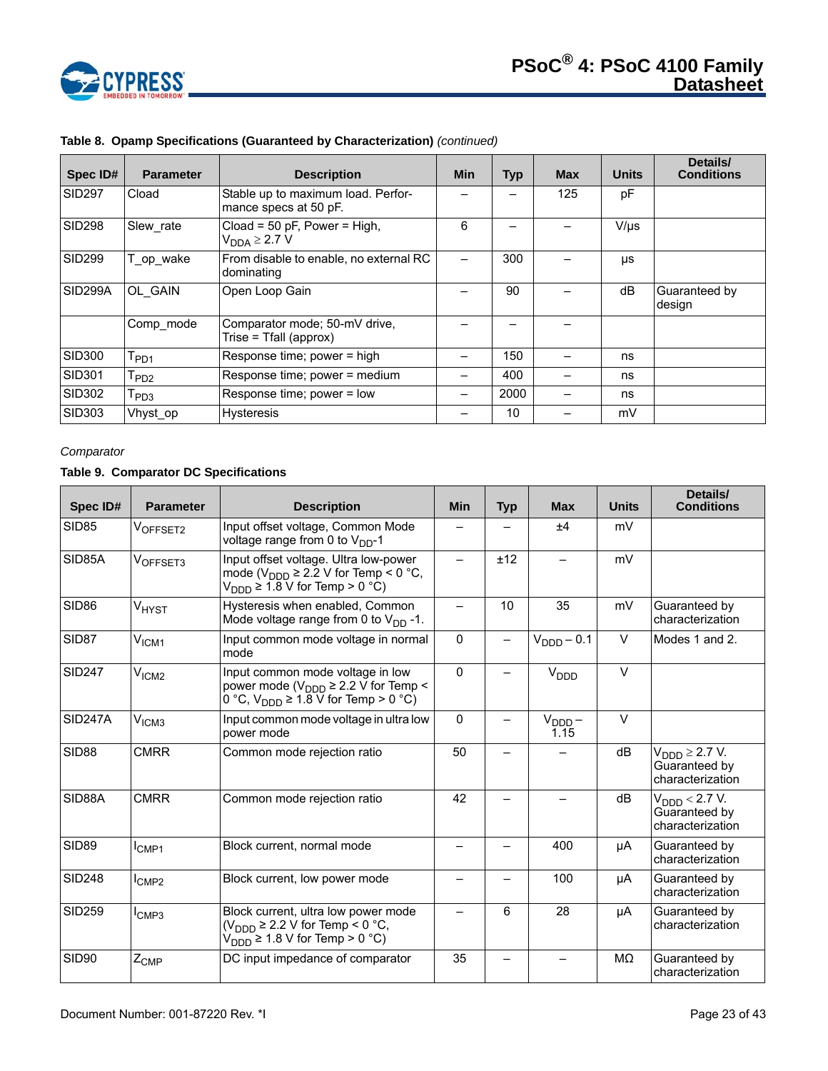

| Spec ID#             | <b>Parameter</b>          | <b>Description</b>                                          | <b>Min</b> | <b>Typ</b> | <b>Max</b> | <b>Units</b> | Details/<br><b>Conditions</b> |
|----------------------|---------------------------|-------------------------------------------------------------|------------|------------|------------|--------------|-------------------------------|
| <b>SID297</b>        | Cload                     | Stable up to maximum load. Perfor-<br>mance specs at 50 pF. |            |            | 125        | рF           |                               |
| <b>SID298</b>        | Slew rate                 | Cload = 50 pF, Power = High,<br>$V_{DDA} \geq 2.7 V$        | 6          |            |            | $V/\mu s$    |                               |
| SID <sub>299</sub>   | T_op_wake                 | From disable to enable, no external RC<br>dominating        |            | 300        |            | μs           |                               |
| SID <sub>299</sub> A | OL GAIN                   | Open Loop Gain                                              |            | 90         |            | dB           | Guaranteed by<br>design       |
|                      | Comp mode                 | Comparator mode; 50-mV drive,<br>Trise = Tfall (approx)     |            |            |            |              |                               |
| SID300               | $I_{PD1}$                 | Response time; power = high                                 |            | 150        |            | ns           |                               |
| SID301               | $I_{PD2}$                 | Response time; power = medium                               |            | 400        |            | ns           |                               |
| SID302               | $\mathsf{T}_\mathsf{PD3}$ | Response time; power = low                                  |            | 2000       |            | ns           |                               |
| <b>SID303</b>        | Vhyst op                  | <b>Hysteresis</b>                                           |            | 10         |            | mV           |                               |

# **Table 8. Opamp Specifications (Guaranteed by Characterization)** *(continued)*

# *Comparator*

# **Table 9. Comparator DC Specifications**

| Spec ID#          | <b>Parameter</b>  | <b>Description</b>                                                                                                                                                | <b>Min</b>               | <b>Typ</b> | <b>Max</b>                 | <b>Units</b> | Details/<br><b>Conditions</b>                                     |
|-------------------|-------------------|-------------------------------------------------------------------------------------------------------------------------------------------------------------------|--------------------------|------------|----------------------------|--------------|-------------------------------------------------------------------|
| <b>SID85</b>      | VOFFSET2          | Input offset voltage, Common Mode<br>voltage range from 0 to $V_{DD}$ -1                                                                                          |                          |            | ±4                         | mV           |                                                                   |
| SID85A            | VOFFSET3          | Input offset voltage. Ultra low-power<br>mode ( $V_{\text{DDD}} \ge 2.2$ V for Temp < 0 °C,<br>$V_{\text{DDD}} \geq 1.8 \text{ V}$ for Temp > 0 °C)               |                          | ±12        |                            | mV           |                                                                   |
| SID <sub>86</sub> | V <sub>HYST</sub> | Hysteresis when enabled, Common<br>Mode voltage range from 0 to $V_{DD}$ -1.                                                                                      | $\overline{\phantom{0}}$ | 10         | 35                         | mV           | Guaranteed by<br>characterization                                 |
| SID87             | V <sub>ICM1</sub> | Input common mode voltage in normal<br>mode                                                                                                                       | $\Omega$                 |            | $VDDD - 0.1$               | $\vee$       | Modes 1 and 2.                                                    |
| <b>SID247</b>     | V <sub>ICM2</sub> | Input common mode voltage in low<br>power mode ( $V_{\text{DDD}} \ge 2.2$ V for Temp <<br>0 °C, $V_{\text{DDD}} \ge 1.\overline{8} \overline{V}$ for Temp > 0 °C) | $\Omega$                 |            | $V_{\text{DDD}}$           | $\vee$       |                                                                   |
| <b>SID247A</b>    | V <sub>ICM3</sub> | Input common mode voltage in ultra low<br>power mode                                                                                                              | $\Omega$                 |            | $V_{\text{DDD}} -$<br>1.15 | $\vee$       |                                                                   |
| <b>SID88</b>      | <b>CMRR</b>       | Common mode rejection ratio                                                                                                                                       | 50                       |            |                            | dB           | $V_{\text{DDD}} \geq 2.7 V.$<br>Guaranteed by<br>characterization |
| SID88A            | <b>CMRR</b>       | Common mode rejection ratio                                                                                                                                       | 42                       |            |                            | dB           | $V_{\text{DDD}}$ < 2.7 V.<br>Guaranteed by<br>characterization    |
| <b>SID89</b>      | I <sub>CMP1</sub> | Block current, normal mode                                                                                                                                        |                          |            | 400                        | μA           | Guaranteed by<br>characterization                                 |
| <b>SID248</b>     | $I_{\text{CMP2}}$ | Block current, low power mode                                                                                                                                     | -                        |            | 100                        | μA           | Guaranteed by<br>characterization                                 |
| <b>SID259</b>     | $I_{\text{CMP3}}$ | Block current, ultra low power mode<br>$(V_{DDD} \geq 2.2$ V for Temp < 0 °C,<br>$V_{\text{DDD}} \ge 1.8$ V for Temp > 0 °C)                                      | —                        | 6          | 28                         | μA           | Guaranteed by<br>characterization                                 |
| SID90             | $Z_{\text{CMP}}$  | DC input impedance of comparator                                                                                                                                  | 35                       |            |                            | MΩ           | Guaranteed by<br>characterization                                 |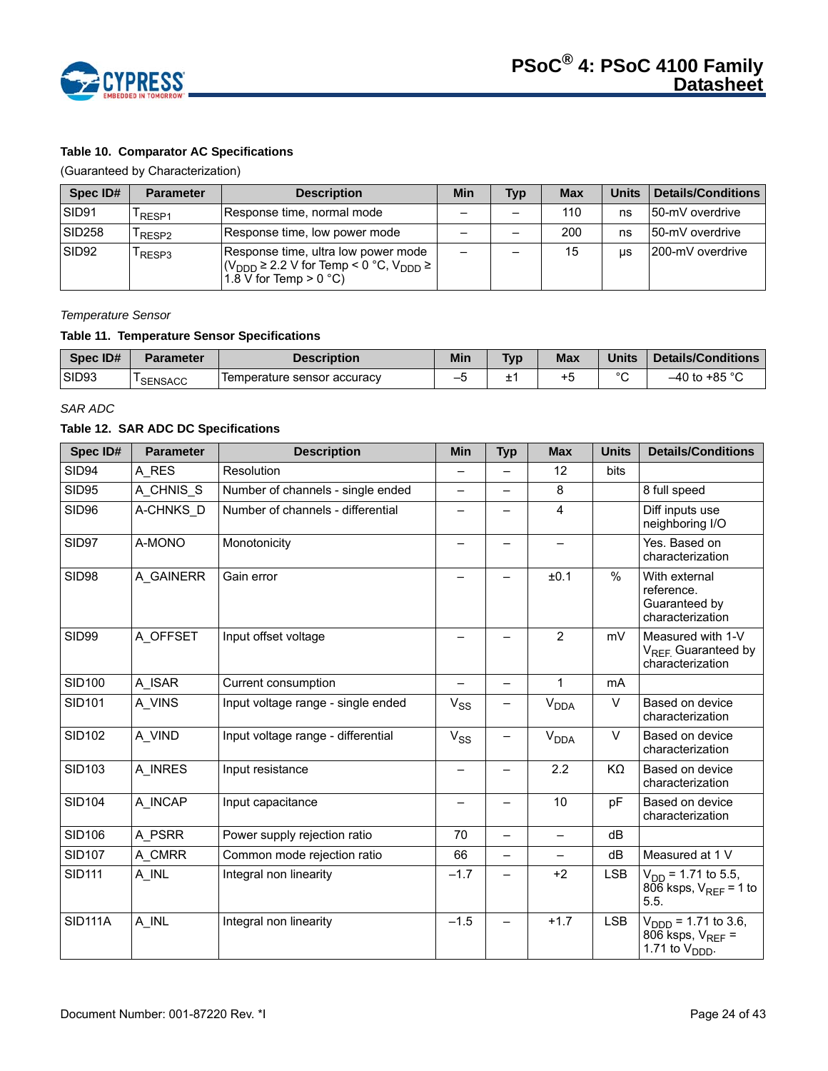

# **Table 10. Comparator AC Specifications**

(Guaranteed by Characterization)

| Spec ID#          | <b>Parameter</b> | <b>Description</b>                                                                                                                                               | Min | <b>Typ</b> | <b>Max</b> | <b>Units</b> | Details/Conditions |
|-------------------|------------------|------------------------------------------------------------------------------------------------------------------------------------------------------------------|-----|------------|------------|--------------|--------------------|
| SID91             | RESP1            | Response time, normal mode                                                                                                                                       |     |            | 110        | ns           | 150-mV overdrive   |
| <b>SID258</b>     | RESP2            | Response time, low power mode                                                                                                                                    |     |            | 200        | ns           | 150-mV overdrive   |
| SID <sub>92</sub> | RESP3            | Response time, ultra low power mode<br>$ (V_{\text{DDD}} \geq 2.2 \text{ V for Temp} \leq 0 \degree \text{C}, V_{\text{DDD}} \geq  $<br>$1.8$ V for Temp > 0 °C) |     |            | 15         | <b>US</b>    | 1200-mV overdrive  |

#### *Temperature Sensor*

# **Table 11. Temperature Sensor Specifications**

| Spec ID# | <b>Parameter</b> | Description                 | <b>Min</b> | <b>Typ</b> | <b>Max</b> | <b>Units</b> | Details/Conditions |
|----------|------------------|-----------------------------|------------|------------|------------|--------------|--------------------|
| SID93    | <b>SENSACC</b>   | Temperature sensor accuracy | -          | -          | +5         | $\sim$       | .∿ 85°r.<br>–40 to |

#### *SAR ADC*

#### **Table 12. SAR ADC DC Specifications**

| Spec ID#       | <b>Parameter</b> | <b>Description</b>                 | <b>Min</b>               | <b>Typ</b> | <b>Max</b>                  | <b>Units</b> | <b>Details/Conditions</b>                                                              |
|----------------|------------------|------------------------------------|--------------------------|------------|-----------------------------|--------------|----------------------------------------------------------------------------------------|
| SID94          | A RES            | Resolution                         | $\overline{\phantom{0}}$ |            | 12                          | bits         |                                                                                        |
| <b>SID95</b>   | A CHNIS S        | Number of channels - single ended  | $\overline{\phantom{0}}$ |            | 8                           |              | 8 full speed                                                                           |
| <b>SID96</b>   | A-CHNKS_D        | Number of channels - differential  |                          |            | 4                           |              | Diff inputs use<br>neighboring I/O                                                     |
| SID97          | A-MONO           | Monotonicity                       |                          | —          | $\overline{\phantom{0}}$    |              | Yes. Based on<br>characterization                                                      |
| SID98          | A GAINERR        | Gain error                         |                          | —          | ±0.1                        | %            | With external<br>reference.<br>Guaranteed by<br>characterization                       |
| <b>SID99</b>   | A_OFFSET         | Input offset voltage               |                          |            | $\overline{2}$              | mV           | Measured with 1-V<br>V <sub>REF.</sub> Guaranteed by<br>characterization               |
| <b>SID100</b>  | A ISAR           | Current consumption                |                          | —          | 1                           | <b>mA</b>    |                                                                                        |
| <b>SID101</b>  | A VINS           | Input voltage range - single ended | $V_{SS}$                 |            | $\mathsf{V}_{\mathsf{DDA}}$ | V            | Based on device<br>characterization                                                    |
| <b>SID102</b>  | A VIND           | Input voltage range - differential | $V_{SS}$                 | —          | <b>V<sub>DDA</sub></b>      | V            | Based on device<br>characterization                                                    |
| <b>SID103</b>  | A INRES          | Input resistance                   | —                        | Ξ,         | 2.2                         | KΩ           | Based on device<br>characterization                                                    |
| <b>SID104</b>  | A INCAP          | Input capacitance                  |                          |            | 10                          | pF           | Based on device<br>characterization                                                    |
| <b>SID106</b>  | A PSRR           | Power supply rejection ratio       | 70                       | —          | $\overline{\phantom{0}}$    | dB           |                                                                                        |
| <b>SID107</b>  | A CMRR           | Common mode rejection ratio        | 66                       | —          |                             | dB           | Measured at 1 V                                                                        |
| <b>SID111</b>  | A INL            | Integral non linearity             | $-1.7$                   |            | $+2$                        | <b>LSB</b>   | $V_{DD}$ = 1.71 to 5.5,<br>$806$ ksps, $V_{RFF}$ = 1 to<br>5.5.                        |
| <b>SID111A</b> | A_INL            | Integral non linearity             | $-1.5$                   |            | $+1.7$                      | <b>LSB</b>   | $V_{\text{DDD}}$ = 1.71 to 3.6,<br>806 ksps, $V_{REF}$ =<br>1.71 to $V_{\text{DDD}}$ . |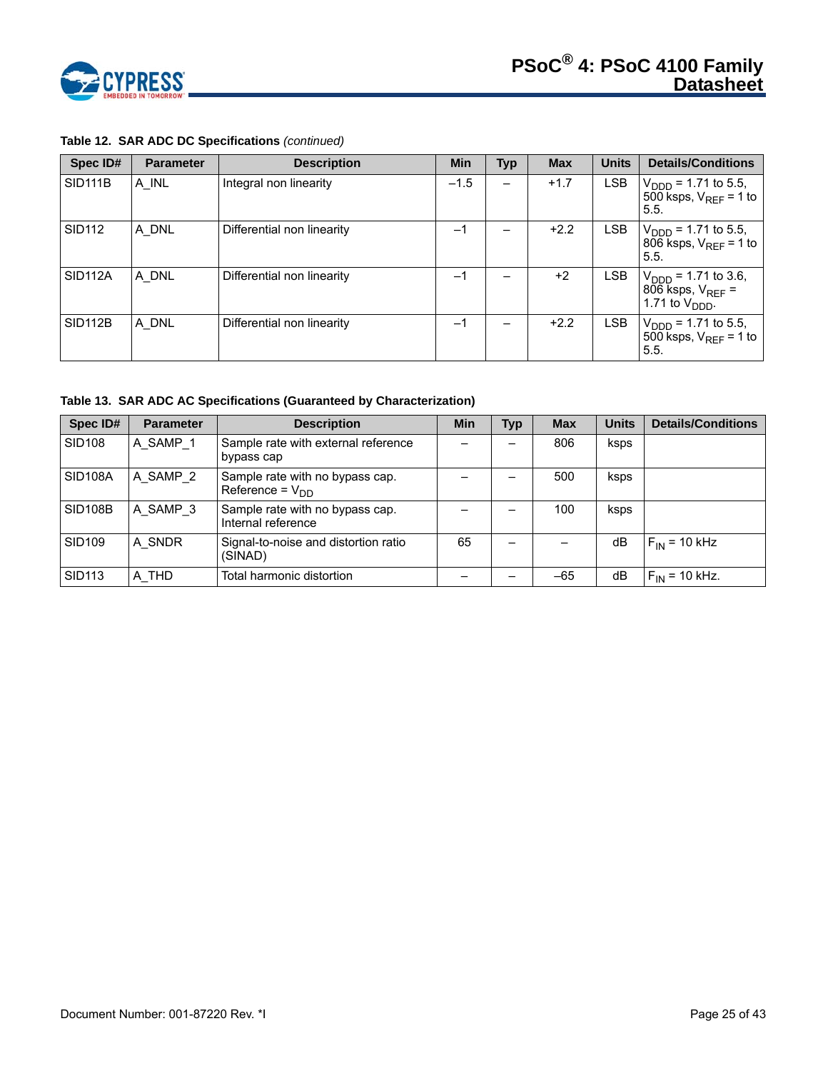

| Spec ID#             | <b>Parameter</b> | <b>Description</b>         | Min    | Typ | <b>Max</b> | <b>Units</b> | <b>Details/Conditions</b>                                                              |
|----------------------|------------------|----------------------------|--------|-----|------------|--------------|----------------------------------------------------------------------------------------|
| <b>SID111B</b>       | A INL            | Integral non linearity     | $-1.5$ |     | $+1.7$     | <b>LSB</b>   | $V_{\text{DDD}}$ = 1.71 to 5.5,<br>500 ksps, $V_{RFF}$ = 1 to<br>5.5.                  |
| <b>SID112</b>        | A DNL            | Differential non linearity | $-1$   |     | $+2.2$     | LSB          | $V_{\text{DDD}}$ = 1.71 to 5.5,<br>806 ksps, $V_{REF}$ = 1 to<br>5.5.                  |
| SID <sub>112</sub> A | A DNL            | Differential non linearity | $-1$   |     | $+2$       | LSB.         | $V_{\text{DDD}}$ = 1.71 to 3.6,<br>806 ksps, $V_{REF}$ =<br>1.71 to $V_{\text{DDD}}$ . |
| <b>SID112B</b>       | A DNL            | Differential non linearity | $-1$   |     | $+2.2$     | <b>LSB</b>   | $V_{\text{DDD}}$ = 1.71 to 5.5,<br>500 ksps, $V_{RFE}$ = 1 to<br>5.5.                  |

# **Table 12. SAR ADC DC Specifications** *(continued)*

**Table 13. SAR ADC AC Specifications (Guaranteed by Characterization)**

| Spec ID#       | <b>Parameter</b> | <b>Description</b>                                      | <b>Min</b> | <b>Typ</b> | <b>Max</b> | <b>Units</b> | <b>Details/Conditions</b> |
|----------------|------------------|---------------------------------------------------------|------------|------------|------------|--------------|---------------------------|
| <b>SID108</b>  | A SAMP 1         | Sample rate with external reference<br>bypass cap       |            |            | 806        | ksps         |                           |
| <b>SID108A</b> | A SAMP 2         | Sample rate with no bypass cap.<br>Reference = $V_{DD}$ |            |            | 500        | ksps         |                           |
| <b>SID108B</b> | A SAMP 3         | Sample rate with no bypass cap.<br>Internal reference   |            |            | 100        | ksps         |                           |
| <b>SID109</b>  | A SNDR           | Signal-to-noise and distortion ratio<br>(SINAD)         | 65         |            |            | dB           | $F_{IN}$ = 10 kHz         |
| <b>SID113</b>  | A_THD            | Total harmonic distortion                               |            |            | $-65$      | dB           | $F_{IN}$ = 10 kHz.        |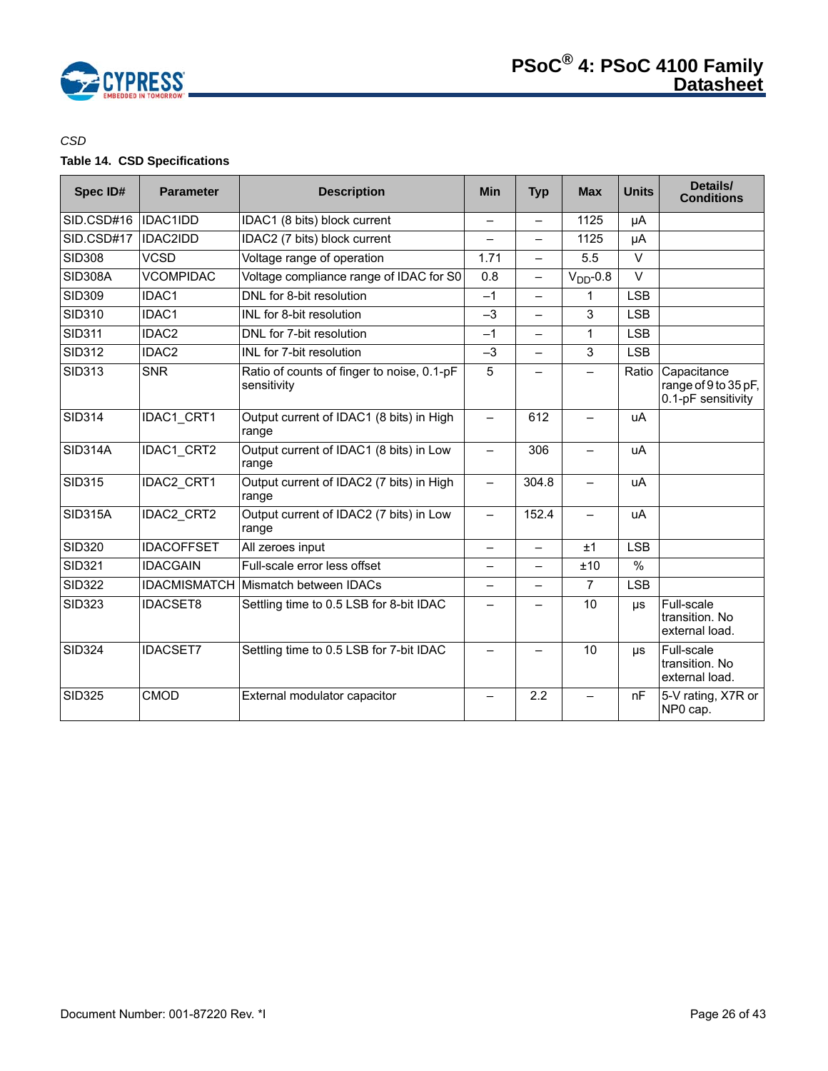

# *CSD*

# **Table 14. CSD Specifications**

| Spec ID#       | <b>Parameter</b>  | <b>Description</b>                                        | <b>Min</b>               | <b>Typ</b>               | <b>Max</b>               | <b>Units</b>  | Details/<br><b>Conditions</b>                             |
|----------------|-------------------|-----------------------------------------------------------|--------------------------|--------------------------|--------------------------|---------------|-----------------------------------------------------------|
| SID.CSD#16     | <b>IDAC1IDD</b>   | IDAC1 (8 bits) block current                              |                          | —                        | 1125                     | μA            |                                                           |
| SID.CSD#17     | <b>IDAC2IDD</b>   | IDAC2 (7 bits) block current                              |                          | $\overline{\phantom{0}}$ | 1125                     | μA            |                                                           |
| <b>SID308</b>  | <b>VCSD</b>       | Voltage range of operation                                | 1.71                     | $\overline{\phantom{0}}$ | 5.5                      | $\vee$        |                                                           |
| <b>SID308A</b> | <b>VCOMPIDAC</b>  | Voltage compliance range of IDAC for S0                   | 0.8                      | <u>.</u>                 | $VDD - 0.8$              | $\vee$        |                                                           |
| <b>SID309</b>  | IDAC1             | DNL for 8-bit resolution                                  | $-1$                     | $\overline{\phantom{0}}$ | 1                        | <b>LSB</b>    |                                                           |
| <b>SID310</b>  | IDAC1             | INL for 8-bit resolution                                  | $-3$                     | —                        | 3                        | <b>LSB</b>    |                                                           |
| <b>SID311</b>  | IDAC2             | DNL for 7-bit resolution                                  | $-1$                     | $\overline{\phantom{0}}$ | 1                        | <b>LSB</b>    |                                                           |
| <b>SID312</b>  | IDAC2             | INL for 7-bit resolution                                  | $-3$                     | —                        | 3                        | <b>LSB</b>    |                                                           |
| <b>SID313</b>  | <b>SNR</b>        | Ratio of counts of finger to noise, 0.1-pF<br>sensitivity | 5                        |                          |                          | Ratio         | Capacitance<br>range of 9 to 35 pF,<br>0.1-pF sensitivity |
| <b>SID314</b>  | IDAC1 CRT1        | Output current of IDAC1 (8 bits) in High<br>range         | $\overline{\phantom{0}}$ | 612                      |                          | uA            |                                                           |
| <b>SID314A</b> | IDAC1 CRT2        | Output current of IDAC1 (8 bits) in Low<br>range          | $\qquad \qquad -$        | 306                      | $\overline{\phantom{0}}$ | uA            |                                                           |
| <b>SID315</b>  | <b>IDAC2 CRT1</b> | Output current of IDAC2 (7 bits) in High<br>range         |                          | 304.8                    | $\overline{\phantom{0}}$ | uA            |                                                           |
| <b>SID315A</b> | IDAC2 CRT2        | Output current of IDAC2 (7 bits) in Low<br>range          | $\qquad \qquad -$        | 152.4                    | $\overline{\phantom{0}}$ | uA            |                                                           |
| <b>SID320</b>  | <b>IDACOFFSET</b> | All zeroes input                                          | $\overline{\phantom{0}}$ | $\overline{\phantom{0}}$ | ±1                       | <b>LSB</b>    |                                                           |
| <b>SID321</b>  | <b>IDACGAIN</b>   | Full-scale error less offset                              |                          | $\overline{\phantom{0}}$ | ±10                      | $\frac{9}{6}$ |                                                           |
| <b>SID322</b>  |                   | <b>IDACMISMATCH Mismatch between IDACs</b>                |                          |                          | $\overline{7}$           | <b>LSB</b>    |                                                           |
| <b>SID323</b>  | <b>IDACSET8</b>   | Settling time to 0.5 LSB for 8-bit IDAC                   |                          |                          | 10                       | <b>US</b>     | Full-scale<br>transition. No<br>external load.            |
| <b>SID324</b>  | <b>IDACSET7</b>   | Settling time to 0.5 LSB for 7-bit IDAC                   |                          |                          | 10                       | <b>US</b>     | Full-scale<br>transition. No<br>external load.            |
| <b>SID325</b>  | CMOD              | External modulator capacitor                              |                          | 2.2                      |                          | nF            | 5-V rating, X7R or<br>NP0 cap.                            |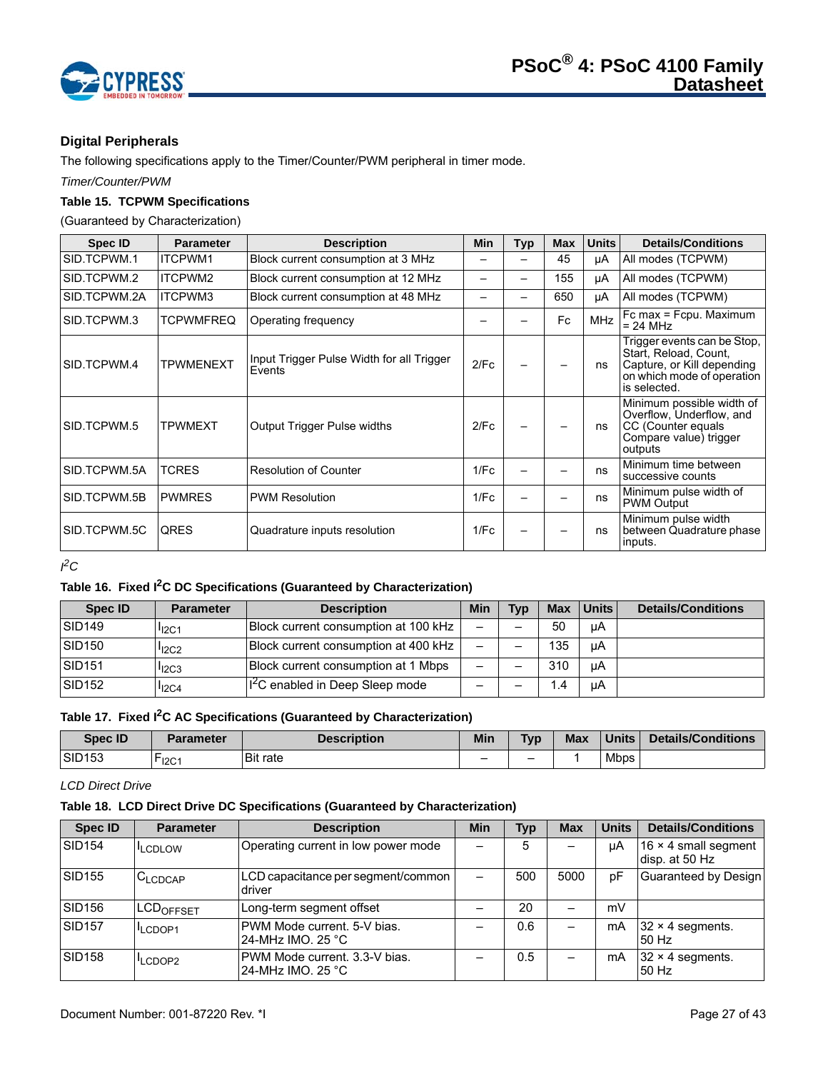

# **Digital Peripherals**

The following specifications apply to the Timer/Counter/PWM peripheral in timer mode.

*Timer/Counter/PWM*

# **Table 15. TCPWM Specifications**

(Guaranteed by Characterization)

| Spec ID      | <b>Parameter</b> | <b>Description</b>                                  | Min  | Typ | <b>Max</b> | <b>Units</b> | <b>Details/Conditions</b>                                                                                                        |
|--------------|------------------|-----------------------------------------------------|------|-----|------------|--------------|----------------------------------------------------------------------------------------------------------------------------------|
| SID.TCPWM.1  | ITCPWM1          | Block current consumption at 3 MHz                  |      |     | 45         | μA           | All modes (TCPWM)                                                                                                                |
| SID.TCPWM.2  | ITCPWM2          | Block current consumption at 12 MHz                 |      | -   | 155        | μA           | All modes (TCPWM)                                                                                                                |
| SID.TCPWM.2A | ITCPWM3          | Block current consumption at 48 MHz                 |      |     | 650        | μA           | All modes (TCPWM)                                                                                                                |
| SID.TCPWM.3  | <b>TCPWMFREQ</b> | Operating frequency                                 |      |     | Fc         | <b>MHz</b>   | Fc max = Fcpu. Maximum<br>$= 24 MHz$                                                                                             |
| SID.TCPWM.4  | <b>TPWMENEXT</b> | Input Trigger Pulse Width for all Trigger<br>Events | 2/Fc |     |            | ns           | Trigger events can be Stop,<br>Start, Reload, Count,<br>Capture, or Kill depending<br>on which mode of operation<br>is selected. |
| SID.TCPWM.5  | <b>TPWMEXT</b>   | <b>Output Trigger Pulse widths</b>                  | 2/Fc |     |            | ns           | Minimum possible width of<br>Overflow, Underflow, and<br>CC (Counter equals<br>Compare value) trigger<br>outputs                 |
| SID.TCPWM.5A | <b>TCRES</b>     | <b>Resolution of Counter</b>                        | 1/Fc |     |            | ns           | Minimum time between<br>successive counts                                                                                        |
| SID.TCPWM.5B | <b>PWMRES</b>    | <b>PWM Resolution</b>                               | 1/Fc |     |            | ns           | Minimum pulse width of<br><b>PWM Output</b>                                                                                      |
| SID.TCPWM.5C | <b>QRES</b>      | Quadrature inputs resolution                        | 1/Fc |     |            | ns           | Minimum pulse width<br>between Quadrature phase<br>inputs.                                                                       |

*I 2C* 

# **Table 16. Fixed I2C DC Specifications (Guaranteed by Characterization)**

| Spec ID            | <b>Parameter</b> | <b>Description</b>                          | Min                      | <b>Tvp</b> | <b>Max</b> | ∣Units I | <b>Details/Conditions</b> |
|--------------------|------------------|---------------------------------------------|--------------------------|------------|------------|----------|---------------------------|
| SID <sub>149</sub> | $I_{12C1}$       | Block current consumption at 100 kHz        | $\overline{\phantom{0}}$ |            | 50         | uA       |                           |
| SID <sub>150</sub> | $I_{12C2}$       | Block current consumption at 400 kHz        | $\overline{\phantom{0}}$ |            | 135        | uA       |                           |
| SID <sub>151</sub> | $I_{12C3}$       | Block current consumption at 1 Mbps         | -                        |            | 310        | uA       |                           |
| SID <sub>152</sub> | $I_{12C4}$       | I <sup>2</sup> C enabled in Deep Sleep mode | -                        |            | $\cdot$    | uA       |                           |

# **Table 17. Fixed I2C AC Specifications (Guaranteed by Characterization)**

| Spec ID       | Parameter         | <b>Description</b> | Min | <b>Typ</b> | <b>Max</b> | <b>Units</b> | <b>Details/Conditions</b> |
|---------------|-------------------|--------------------|-----|------------|------------|--------------|---------------------------|
| <b>SID153</b> | $r_{\text{I2C1}}$ | <b>Bit rate</b>    | -   | -          |            | <b>Mbps</b>  |                           |

# *LCD Direct Drive*

# **Table 18. LCD Direct Drive DC Specifications (Guaranteed by Characterization)**

| <b>Spec ID</b>     | <b>Parameter</b>             | <b>Description</b>                                 | Min                      | <b>Typ</b> | <b>Max</b> | <b>Units</b> | <b>Details/Conditions</b>                     |
|--------------------|------------------------------|----------------------------------------------------|--------------------------|------------|------------|--------------|-----------------------------------------------|
| SID <sub>154</sub> | <b>LCDLOW</b>                | Operating current in low power mode                |                          | 5          |            | μA           | 16 $\times$ 4 small segment<br>disp. at 50 Hz |
| <b>SID155</b>      | C <sub>LCDCAP</sub>          | LCD capacitance per segment/common<br>driver       | $\overline{\phantom{0}}$ | 500        | 5000       | pF           | Guaranteed by Design                          |
| <b>SID156</b>      | <b>ILCD<sub>OFFSET</sub></b> | Long-term segment offset                           |                          | 20         |            | mV           |                                               |
| SID <sub>157</sub> | LCDOP1                       | PWM Mode current, 5-V bias.<br>24-MHz IMO, 25 °C   |                          | 0.6        |            | mA           | $32 \times 4$ segments.<br>50 Hz              |
| <b>SID158</b>      | <sup>I</sup> LCDOP2          | PWM Mode current, 3.3-V bias.<br>24-MHz IMO, 25 °C |                          | 0.5        |            | mA           | $32 \times 4$ segments.<br>50 Hz              |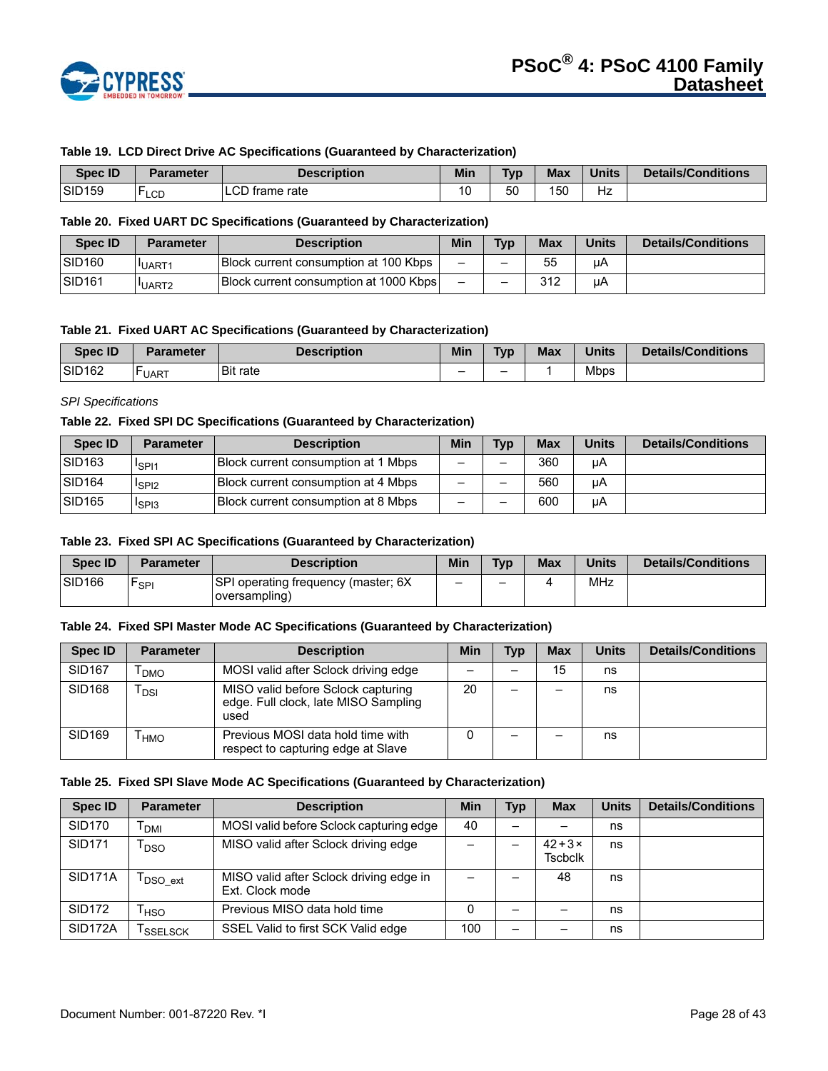

#### **Table 19. LCD Direct Drive AC Specifications (Guaranteed by Characterization)**

| <b>Spec ID</b>     | Parameter         | <b>Description</b> | Min | <b>Typ</b> | <b>Max</b> | <b>Units</b> | Details/Conditions |
|--------------------|-------------------|--------------------|-----|------------|------------|--------------|--------------------|
| SID <sub>159</sub> | . H<br><b>LCD</b> | LCD frame rate     | 10  | 50         | 150        | Hz           |                    |

## **Table 20. Fixed UART DC Specifications (Guaranteed by Characterization)**

| <b>Spec ID</b>      | Parameter         | <b>Description</b>                     | Min                      | Typ | <b>Max</b> | <b>Units</b> | <b>Details/Conditions</b> |
|---------------------|-------------------|----------------------------------------|--------------------------|-----|------------|--------------|---------------------------|
| ISID <sub>160</sub> | <b>IUART1</b>     | Block current consumption at 100 Kbps  | $\overline{\phantom{0}}$ | -   | 55         | uА           |                           |
| <b>SID161</b>       | UART <sub>2</sub> | Block current consumption at 1000 Kbps | $\overline{\phantom{0}}$ | -   | 312        | μA           |                           |

#### **Table 21. Fixed UART AC Specifications (Guaranteed by Characterization)**

| <b>Spec ID</b>     | Parameter    | Description     | Min | <b>Typ</b> | <b>Max</b> | <b>Units</b> | <b>Details/Conditions</b> |
|--------------------|--------------|-----------------|-----|------------|------------|--------------|---------------------------|
| SID <sub>162</sub> | <b>LUART</b> | <b>Bit rate</b> | -   | -          |            | Mbps         |                           |

## *SPI Specifications*

#### **Table 22. Fixed SPI DC Specifications (Guaranteed by Characterization)**

| Spec ID            | <b>Parameter</b>              | <b>Description</b>                  | Min                      | <b>Typ</b> | <b>Max</b> | <b>Units</b> | <b>Details/Conditions</b> |
|--------------------|-------------------------------|-------------------------------------|--------------------------|------------|------------|--------------|---------------------------|
| SID <sub>163</sub> | <sup>1</sup> SPI1             | Block current consumption at 1 Mbps | -                        |            | 360        | μA           |                           |
| SID <sub>164</sub> | <sup>I</sup> SPI <sub>2</sub> | Block current consumption at 4 Mbps | $\overline{\phantom{0}}$ | -          | 560        | μA           |                           |
| SID <sub>165</sub> | <sup>I</sup> SPI3             | Block current consumption at 8 Mbps | -                        |            | 600        | uA           |                           |

#### **Table 23. Fixed SPI AC Specifications (Guaranteed by Characterization)**

| <b>Spec ID</b>     | <b>Parameter</b> | <b>Description</b>                                   | Min | <b>Typ</b> | Max | <b>Units</b> | <b>Details/Conditions</b> |
|--------------------|------------------|------------------------------------------------------|-----|------------|-----|--------------|---------------------------|
| SID <sub>166</sub> | `SPI             | SPI operating frequency (master; 6X<br>oversampling) | -   | -          |     | MHz          |                           |

#### **Table 24. Fixed SPI Master Mode AC Specifications (Guaranteed by Characterization)**

| Spec ID       | <b>Parameter</b> | <b>Description</b>                                                                 | <b>Min</b> | Typ | <b>Max</b> | <b>Units</b> | <b>Details/Conditions</b> |
|---------------|------------------|------------------------------------------------------------------------------------|------------|-----|------------|--------------|---------------------------|
| <b>SID167</b> | <b>DMO</b>       | MOSI valid after Sclock driving edge                                               |            |     | 15         | ns           |                           |
| <b>SID168</b> | <b>DSI</b>       | MISO valid before Sclock capturing<br>edge. Full clock, late MISO Sampling<br>used | 20         |     |            | ns           |                           |
| SID169        | <b>HMO</b>       | Previous MOSI data hold time with<br>respect to capturing edge at Slave            |            |     |            | ns           |                           |

#### **Table 25. Fixed SPI Slave Mode AC Specifications (Guaranteed by Characterization)**

| <b>Spec ID</b>       | <b>Parameter</b>                | <b>Description</b>                                         | Min | <b>Typ</b> | <b>Max</b>                     | <b>Units</b> | <b>Details/Conditions</b> |
|----------------------|---------------------------------|------------------------------------------------------------|-----|------------|--------------------------------|--------------|---------------------------|
| <b>SID170</b>        | <b>DMI</b>                      | MOSI valid before Sclock capturing edge                    | 40  |            |                                | ns           |                           |
| <b>SID171</b>        | DSO                             | MISO valid after Sclock driving edge                       |     | —          | $42+3\times$<br><b>Tscbclk</b> | ns           |                           |
| SID <sub>171</sub> A | $\mathsf{T}_{\mathsf{DSO}}$ ext | MISO valid after Sclock driving edge in<br>Ext. Clock mode |     |            | 48                             | ns           |                           |
| <b>SID172</b>        | HSO                             | Previous MISO data hold time                               | 0   |            |                                | ns           |                           |
| SID <sub>172</sub> A | <b>SSELSCK</b>                  | SSEL Valid to first SCK Valid edge                         | 100 | -          |                                | ns           |                           |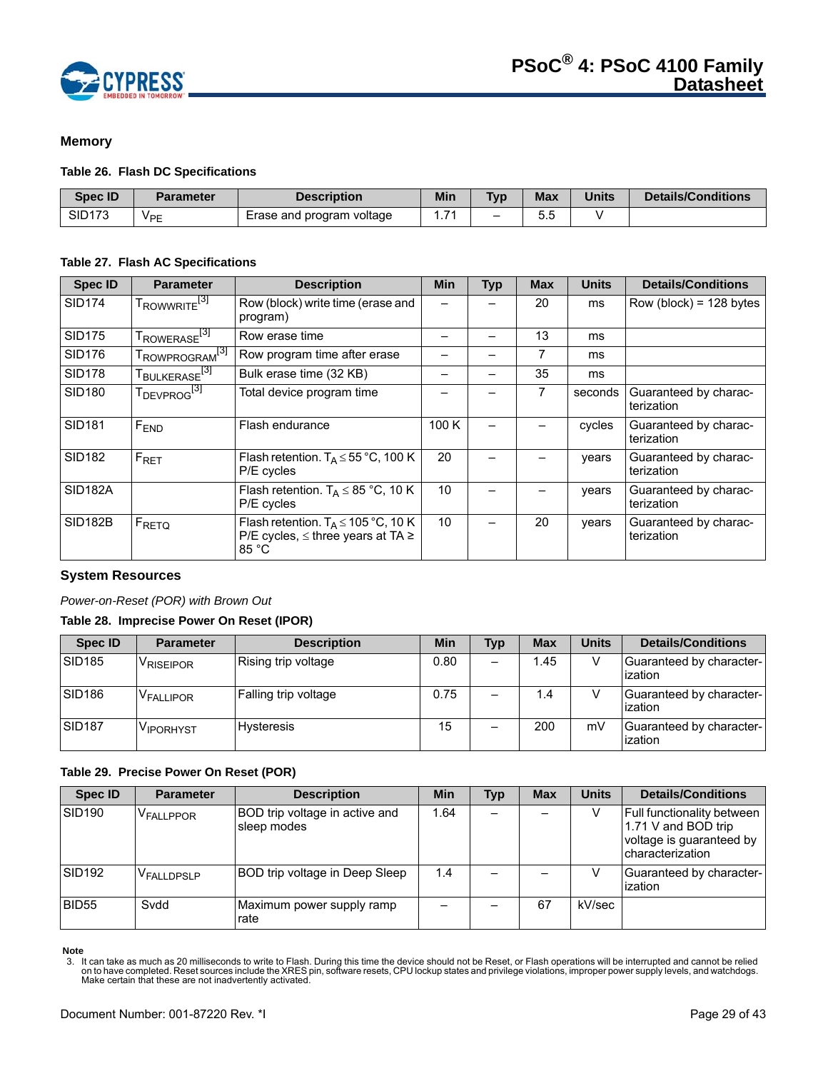

# **Memory**

#### **Table 26. Flash DC Specifications**

| <b>Spec ID</b> | <b>Parameter</b>      | <b>Description</b>        | <b>Min</b> | <b>Typ</b>      | <b>Max</b> | <b>Units</b> | Details/Conditions |
|----------------|-----------------------|---------------------------|------------|-----------------|------------|--------------|--------------------|
| <b>SID173</b>  | <b>V<sub>PE</sub></b> | Erase and program voltage |            | $\qquad \qquad$ | ບ.ບ        |              |                    |

#### **Table 27. Flash AC Specifications**

| <b>Spec ID</b>      | <b>Parameter</b>                     | <b>Description</b>                                                                                      | <b>Min</b> | <b>Typ</b> | <b>Max</b> | <b>Units</b> | <b>Details/Conditions</b>           |
|---------------------|--------------------------------------|---------------------------------------------------------------------------------------------------------|------------|------------|------------|--------------|-------------------------------------|
| <b>SID174</b>       | T <sub>ROWWRITE<sup>[3]</sup></sub>  | Row (block) write time (erase and<br>program)                                                           |            |            | 20         | ms           | $Row (block) = 128 bytes$           |
| <b>SID175</b>       | T <sub>ROWERASE<sup>[3]</sup></sub>  | Row erase time                                                                                          |            |            | 13         | ms           |                                     |
| <b>SID176</b>       | I ROWPROGRAM <sup>[3]</sup>          | Row program time after erase                                                                            |            |            | 7          | ms           |                                     |
| <b>SID178</b>       | T <sub>BULKERASE<sup>[3]</sup></sub> | Bulk erase time (32 KB)                                                                                 |            |            | 35         | ms           |                                     |
| <b>SID180</b>       | T <sub>DEVPROG<sup>[3]</sup></sub>   | Total device program time                                                                               |            |            |            | seconds      | Guaranteed by charac-<br>terization |
| <b>SID181</b>       | F <sub>END</sub>                     | Flash endurance                                                                                         | 100 K      |            |            | cycles       | Guaranteed by charac-<br>terization |
| <b>SID182</b>       | $F_{\text{RET}}$                     | Flash retention. $T_A \le 55$ °C, 100 K<br>P/E cycles                                                   | 20         |            |            | vears        | Guaranteed by charac-<br>terization |
| SID <sub>182A</sub> |                                      | Flash retention. $T_A \leq 85$ °C, 10 K<br>P/E cycles                                                   | 10         |            |            | vears        | Guaranteed by charac-<br>terization |
| <b>SID182B</b>      | $F_{\text{RETQ}}$                    | Flash retention. $T_A \le 105 \degree C$ , 10 K<br>P/E cycles, $\leq$ three years at TA $\geq$<br>85 °C | 10         |            | 20         | vears        | Guaranteed by charac-<br>terization |

#### **System Resources**

#### *Power-on-Reset (POR) with Brown Out*

# **Table 28. Imprecise Power On Reset (IPOR)**

| <b>Spec ID</b>     | <b>Parameter</b>      | <b>Description</b>   | Min  | <b>Typ</b> | <b>Max</b> | <b>Units</b> | <b>Details/Conditions</b>           |
|--------------------|-----------------------|----------------------|------|------------|------------|--------------|-------------------------------------|
| <b>SID185</b>      | <sup>V</sup> RISEIPOR | Rising trip voltage  | 0.80 |            | 1.45       |              | Guaranteed by character-<br>ization |
| SID <sub>186</sub> | V <sub>FALLIPOR</sub> | Falling trip voltage | 0.75 |            | 1.4        |              | Guaranteed by character-<br>ization |
| <b>SID187</b>      | V <sub>IPORHYST</sub> | Hysteresis           | 15   |            | 200        | mV           | Guaranteed by character-<br>ization |

#### **Table 29. Precise Power On Reset (POR)**

| <b>Spec ID</b>     | <b>Parameter</b>       | <b>Description</b>                            | <b>Min</b> | Typ | <b>Max</b> | <b>Units</b> | <b>Details/Conditions</b>                                                                                |
|--------------------|------------------------|-----------------------------------------------|------------|-----|------------|--------------|----------------------------------------------------------------------------------------------------------|
| SID <sub>190</sub> | V <sub>FALLPPOR</sub>  | BOD trip voltage in active and<br>sleep modes | 1.64       |     |            |              | <b>Full functionality between</b><br>1.71 V and BOD trip<br>voltage is guaranteed by<br>characterization |
| SID <sub>192</sub> | V <sub>FALLDPSLP</sub> | BOD trip voltage in Deep Sleep                | 1.4        |     |            |              | Guaranteed by character-<br>ization                                                                      |
| <b>BID55</b>       | Svdd                   | Maximum power supply ramp<br>rate             |            |     | 67         | kV/sec       |                                                                                                          |

Note<br>3. It can take as much as 20 milliseconds to write to Flash. During this time the device should not be Reset, or Flash operations will be interrupted and cannot be relied<br>on to have completed. Reset sources include th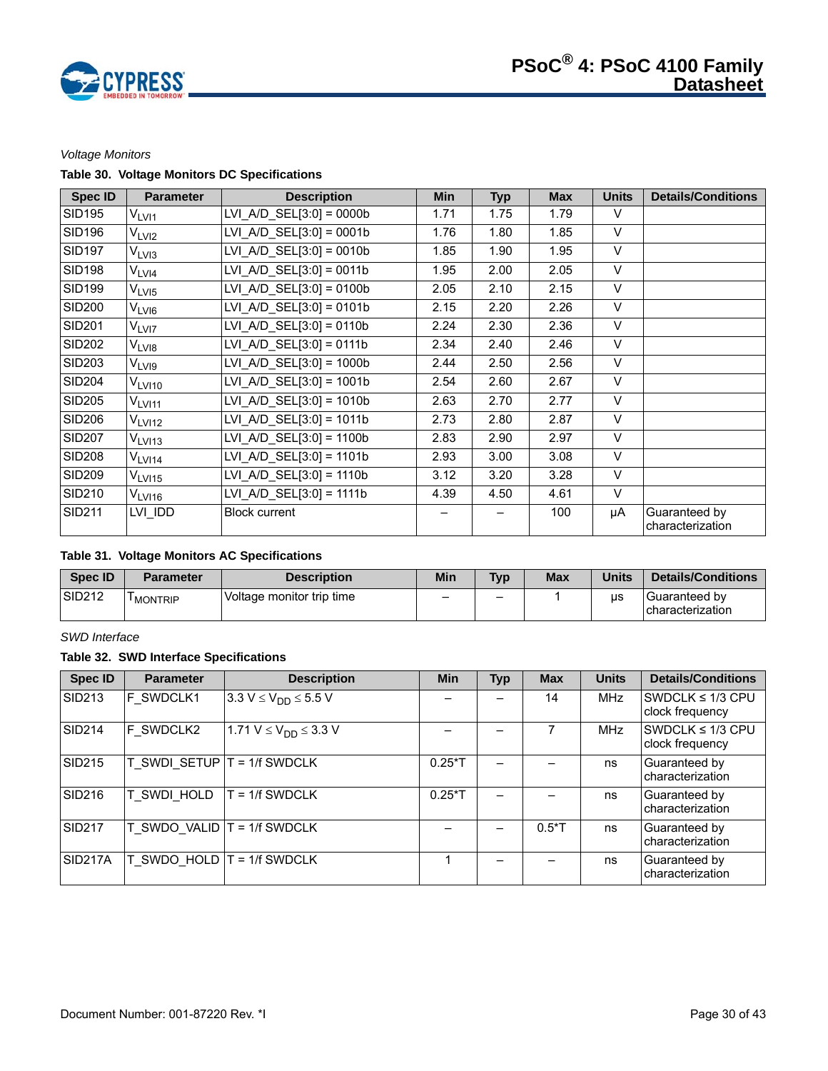

## *Voltage Monitors*

# **Table 30. Voltage Monitors DC Specifications**

| <b>Spec ID</b> | <b>Parameter</b>   | <b>Description</b>          | <b>Min</b> | <b>Typ</b> | <b>Max</b> | <b>Units</b> | <b>Details/Conditions</b>         |
|----------------|--------------------|-----------------------------|------------|------------|------------|--------------|-----------------------------------|
| <b>SID195</b>  | $\rm V_{LVI1}$     | $LVI_A/D_SEL[3:0] = 0000b$  | 1.71       | 1.75       | 1.79       | V            |                                   |
| <b>SID196</b>  | V <sub>LVI2</sub>  | LVI A/D SEL $[3:0] = 0001b$ | 1.76       | 1.80       | 1.85       | V            |                                   |
| <b>SID197</b>  | V <sub>LVI3</sub>  | LVI A/D SEL $[3:0] = 0010b$ | 1.85       | 1.90       | 1.95       | $\vee$       |                                   |
| <b>SID198</b>  | V <sub>LVI4</sub>  | LVI A/D $SEL[3:0] = 0011b$  | 1.95       | 2.00       | 2.05       | $\vee$       |                                   |
| <b>SID199</b>  | $V_{LV15}$         | LVI A/D SEL $[3:0] = 0100b$ | 2.05       | 2.10       | 2.15       | $\vee$       |                                   |
| <b>SID200</b>  | V <sub>LVI6</sub>  | $LVI_A/D_SEL[3:0] = 0101b$  | 2.15       | 2.20       | 2.26       | $\vee$       |                                   |
| <b>SID201</b>  | V <sub>LVI7</sub>  | LVI A/D $SEL[3:0] = 0110b$  | 2.24       | 2.30       | 2.36       | $\vee$       |                                   |
| <b>SID202</b>  | V <sub>LVI8</sub>  | LVI A/D SEL $[3:0] = 0111b$ | 2.34       | 2.40       | 2.46       | $\vee$       |                                   |
| <b>SID203</b>  | V <sub>LVI9</sub>  | LVI A/D $SEL[3:0] = 1000b$  | 2.44       | 2.50       | 2.56       | $\vee$       |                                   |
| <b>SID204</b>  | V <sub>LVI10</sub> | LVI A/D SEL $[3:0] = 1001b$ | 2.54       | 2.60       | 2.67       | $\vee$       |                                   |
| <b>SID205</b>  | V <sub>LVI11</sub> | LVI A/D SEL $[3:0] = 1010b$ | 2.63       | 2.70       | 2.77       | $\vee$       |                                   |
| <b>SID206</b>  | V <sub>LVI12</sub> | LVI A/D SEL $[3:0] = 1011b$ | 2.73       | 2.80       | 2.87       | $\vee$       |                                   |
| <b>SID207</b>  | $V_{LV113}$        | LVI A/D SEL $[3:0] = 1100b$ | 2.83       | 2.90       | 2.97       | $\vee$       |                                   |
| <b>SID208</b>  | $V_{LV114}$        | LVI A/D SEL $[3:0] = 1101b$ | 2.93       | 3.00       | 3.08       | $\vee$       |                                   |
| <b>SID209</b>  | $V_{LV115}$        | LVI A/D $SEL[3:0] = 1110b$  | 3.12       | 3.20       | 3.28       | $\vee$       |                                   |
| <b>SID210</b>  | $V_{LV116}$        | LVI A/D SEL $[3:0] = 1111b$ | 4.39       | 4.50       | 4.61       | $\vee$       |                                   |
| <b>SID211</b>  | LVI IDD            | <b>Block current</b>        |            |            | 100        | μA           | Guaranteed by<br>characterization |

## **Table 31. Voltage Monitors AC Specifications**

| Spec ID            | <b>Parameter</b>     | <b>Description</b>        | Min                      | <b>Tvp</b> | <b>Max</b> | <b>Units</b> | <b>Details/Conditions</b>         |
|--------------------|----------------------|---------------------------|--------------------------|------------|------------|--------------|-----------------------------------|
| SID <sub>212</sub> | <sup>I</sup> MONTRIP | Voltage monitor trip time | $\overline{\phantom{0}}$ | -          |            | us           | Guaranteed by<br>characterization |

# *SWD Interface*

# **Table 32. SWD Interface Specifications**

| <b>Spec ID</b>       | <b>Parameter</b>                | <b>Description</b>                         | <b>Min</b> | <b>Typ</b> | <b>Max</b> | <b>Units</b> | <b>Details/Conditions</b>                |
|----------------------|---------------------------------|--------------------------------------------|------------|------------|------------|--------------|------------------------------------------|
| SID <sub>213</sub>   | F SWDCLK1                       | 3.3 $V \le V_{DD} \le 5.5 V$               |            |            | 14         | MHz          | SWDCLK $\leq$ 1/3 CPU<br>clock frequency |
| SID <sub>214</sub>   | F SWDCLK2                       | 1.71 V $\leq$ V <sub>DD</sub> $\leq$ 3.3 V |            |            |            | <b>MHz</b>   | SWDCLK $\leq$ 1/3 CPU<br>clock frequency |
| <b>SID215</b>        |                                 | T SWDI SETUP $T = 1/f$ SWDCLK              | $0.25*$ T  |            |            | ns           | Guaranteed by<br>characterization        |
| <b>SID216</b>        | T SWDI HOLD                     | $T = 1/f$ SWDCLK                           | $0.25*T$   |            |            | ns           | Guaranteed by<br>characterization        |
| <b>SID217</b>        | $T$ SWDO VALID $T = 1/f$ SWDCLK |                                            |            |            | $0.5*T$    | ns           | Guaranteed by<br>characterization        |
| SID <sub>217</sub> A | $T$ SWDO HOLD $T = 1/f$ SWDCLK  |                                            |            |            |            | ns           | Guaranteed by<br>characterization        |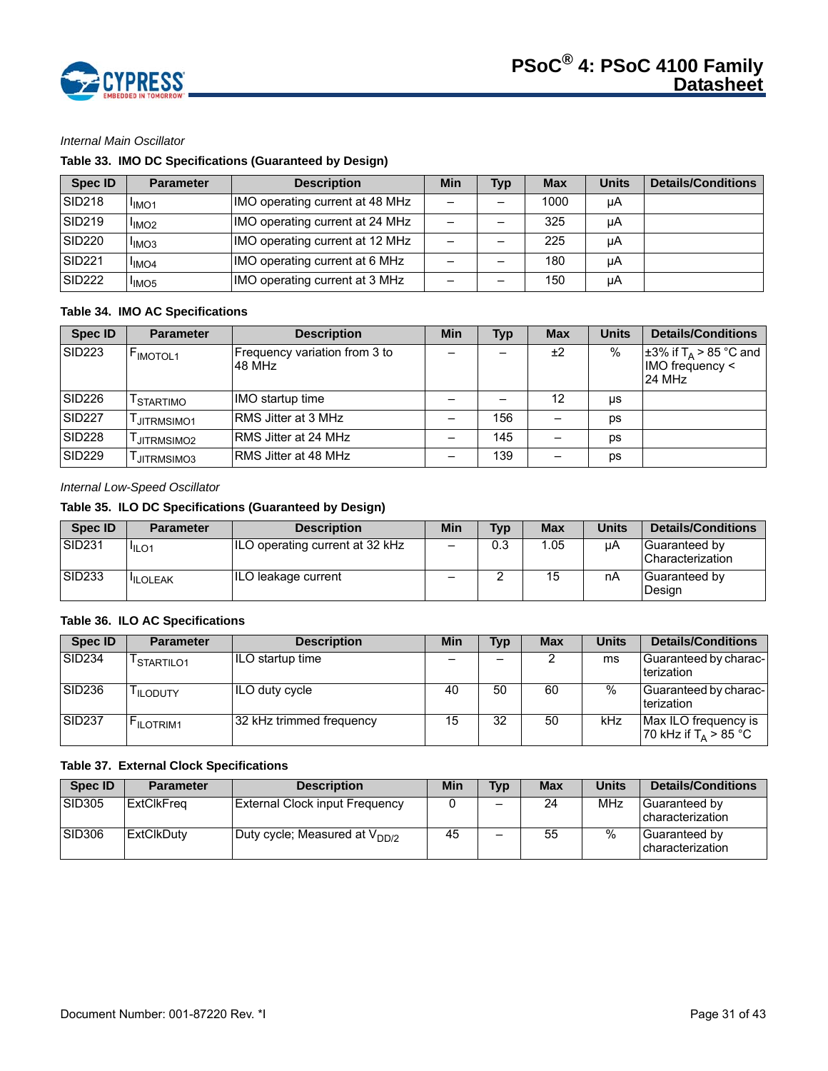

# *Internal Main Oscillator*

# **Table 33. IMO DC Specifications (Guaranteed by Design)**

| Spec ID            | <b>Parameter</b>              | <b>Description</b>              | Min                      | <b>Typ</b> | <b>Max</b> | <b>Units</b> | <b>Details/Conditions</b> |
|--------------------|-------------------------------|---------------------------------|--------------------------|------------|------------|--------------|---------------------------|
| <b>SID218</b>      | <sup>I</sup> IMO <sub>1</sub> | IMO operating current at 48 MHz | $\overline{\phantom{0}}$ |            | 1000       | μA           |                           |
| SID <sub>219</sub> | <sup>I</sup> IMO <sub>2</sub> | IMO operating current at 24 MHz | -                        |            | 325        | μA           |                           |
| <b>SID220</b>      | <sup>I</sup> IMO <sub>3</sub> | IMO operating current at 12 MHz | $\overline{\phantom{0}}$ |            | 225        | μA           |                           |
| <b>SID221</b>      | <sup>I</sup> IMO <sub>4</sub> | IMO operating current at 6 MHz  | -                        |            | 180        | uA           |                           |
| <b>SID222</b>      | <sup>I</sup> IMO <sub>5</sub> | IMO operating current at 3 MHz  | -                        |            | 150        | μA           |                           |

# **Table 34. IMO AC Specifications**

| <b>Spec ID</b>     | <b>Parameter</b>      | <b>Description</b>                      | Min | <b>Typ</b> | <b>Max</b> | <b>Units</b>  | <b>Details/Conditions</b>                                                         |
|--------------------|-----------------------|-----------------------------------------|-----|------------|------------|---------------|-----------------------------------------------------------------------------------|
| <b>SID223</b>      | F <sub>IMOTOL1</sub>  | Frequency variation from 3 to<br>48 MHz |     |            | ±2         | $\frac{0}{0}$ | $\pm$ 3% if T <sub>A</sub> > 85 °C and<br>$IMO$ frequency $\leq$<br><b>24 MHz</b> |
| SID <sub>226</sub> | <sup>I</sup> STARTIMO | <b>IMO</b> startup time                 |     |            | 12         | us            |                                                                                   |
| <b>SID227</b>      | JITRMSIMO1            | RMS Jitter at 3 MHz                     |     | 156        |            | ps            |                                                                                   |
| <b>SID228</b>      | JITRMSIMO2            | RMS Jitter at 24 MHz                    |     | 145        |            | DS            |                                                                                   |
| <b>SID229</b>      | JITRMSIMO3            | RMS Jitter at 48 MHz                    |     | 139        |            | ps            |                                                                                   |

*Internal Low-Speed Oscillator* 

# **Table 35. ILO DC Specifications (Guaranteed by Design)**

| Spec ID            | Parameter         | <b>Description</b>              | Min                      | Typ | Max  | Units | <b>Details/Conditions</b>           |
|--------------------|-------------------|---------------------------------|--------------------------|-----|------|-------|-------------------------------------|
| SID <sub>231</sub> | I <sub>ILO1</sub> | ILO operating current at 32 kHz | $\qquad \qquad$          | 0.3 | 1.05 | uА    | Guaranteed by<br>l Characterization |
| SID <sub>233</sub> | <b>ILOLEAK</b>    | ILO leakage current             | $\overline{\phantom{0}}$ | _   | 15   | nA    | Guaranteed by<br>Design             |

## **Table 36. ILO AC Specifications**

| Spec ID            | <b>Parameter</b>       | <b>Description</b>       | Min | <b>Typ</b> | <b>Max</b> | <b>Units</b> | <b>Details/Conditions</b>                       |
|--------------------|------------------------|--------------------------|-----|------------|------------|--------------|-------------------------------------------------|
| SID <sub>234</sub> | <sup>I</sup> STARTILO1 | ILO startup time         |     | -          |            | ms           | Guaranteed by charac-<br>terization             |
| SID <sub>236</sub> | <sup>I</sup> ILODUTY   | ILO duty cycle           | 40  | 50         | 60         | $\%$         | Guaranteed by charac-<br>terization             |
| SID <sub>237</sub> | <b>FILOTRIM1</b>       | 32 kHz trimmed frequency | 15  | 32         | 50         | kHz          | Max ILO frequency is<br>70 kHz if $T_A > 85$ °C |

## **Table 37. External Clock Specifications**

| <b>Spec ID</b> | <b>Parameter</b> | <b>Description</b>                 | Min | <b>Typ</b>               | <b>Max</b> | Units | <b>Details/Conditions</b>                  |
|----------------|------------------|------------------------------------|-----|--------------------------|------------|-------|--------------------------------------------|
| <b>SID305</b>  | ExtClkFreq       | External Clock input Frequency     |     | $\overline{\phantom{0}}$ | 24         | MHz   | Guaranteed by<br><b>I</b> characterization |
| SID306         | ExtClkDuty       | Duty cycle; Measured at $V_{DD/2}$ | 45  |                          | 55         | %     | Guaranteed by<br><b>characterization</b>   |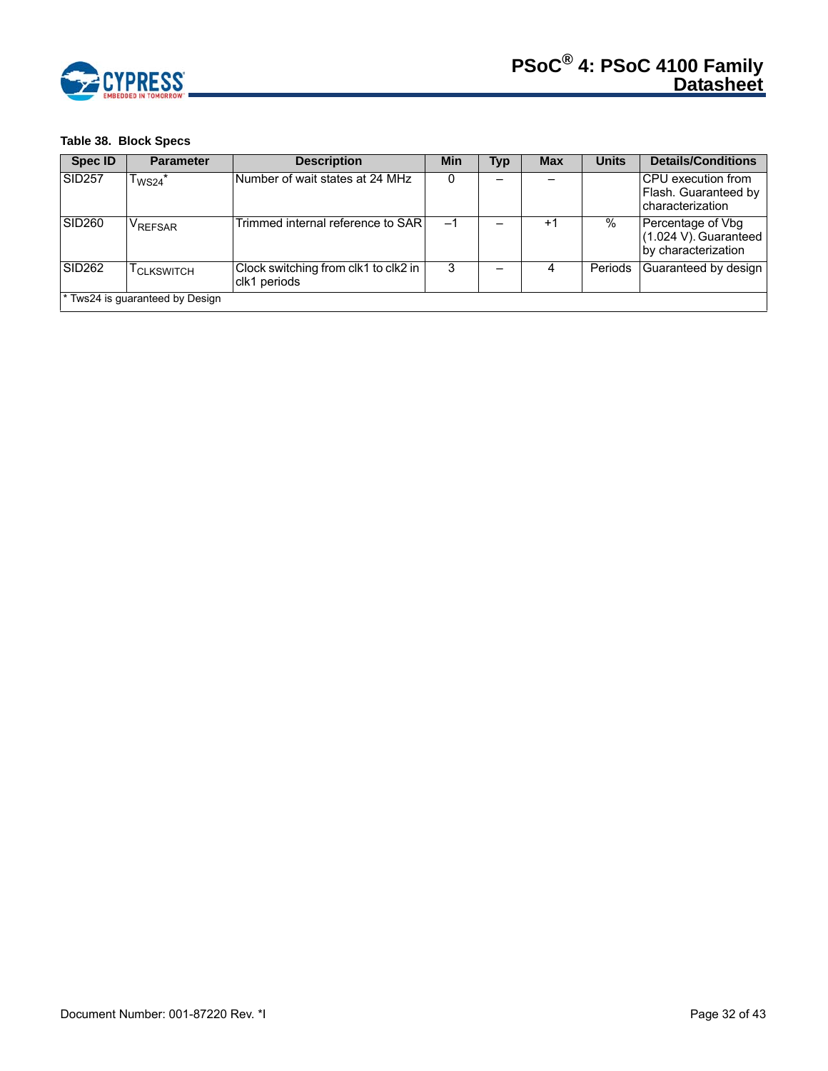

# **Table 38. Block Specs**

| <b>Spec ID</b>     | <b>Parameter</b>                 | <b>Description</b>                                   | Min | Typ | <b>Max</b> | <b>Units</b> | <b>Details/Conditions</b>                                              |
|--------------------|----------------------------------|------------------------------------------------------|-----|-----|------------|--------------|------------------------------------------------------------------------|
| <b>SID257</b>      | $\mathsf{T}_{\mathsf{WS24}}{}^*$ | Number of wait states at 24 MHz                      |     |     |            |              | <b>CPU</b> execution from<br>Flash. Guaranteed by<br>Icharacterization |
| SID <sub>260</sub> | VREFSAR                          | Trimmed internal reference to SARI                   | -1  |     | $+1$       | $\%$         | Percentage of Vbg<br>$(1.024 V)$ . Guaranteed<br>by characterization   |
| <b>SID262</b>      | <sup>I</sup> CLKSWITCH           | Clock switching from clk1 to clk2 in<br>clk1 periods | 3   |     |            | Periods      | Guaranteed by design                                                   |
|                    | * Tws24 is guaranteed by Design  |                                                      |     |     |            |              |                                                                        |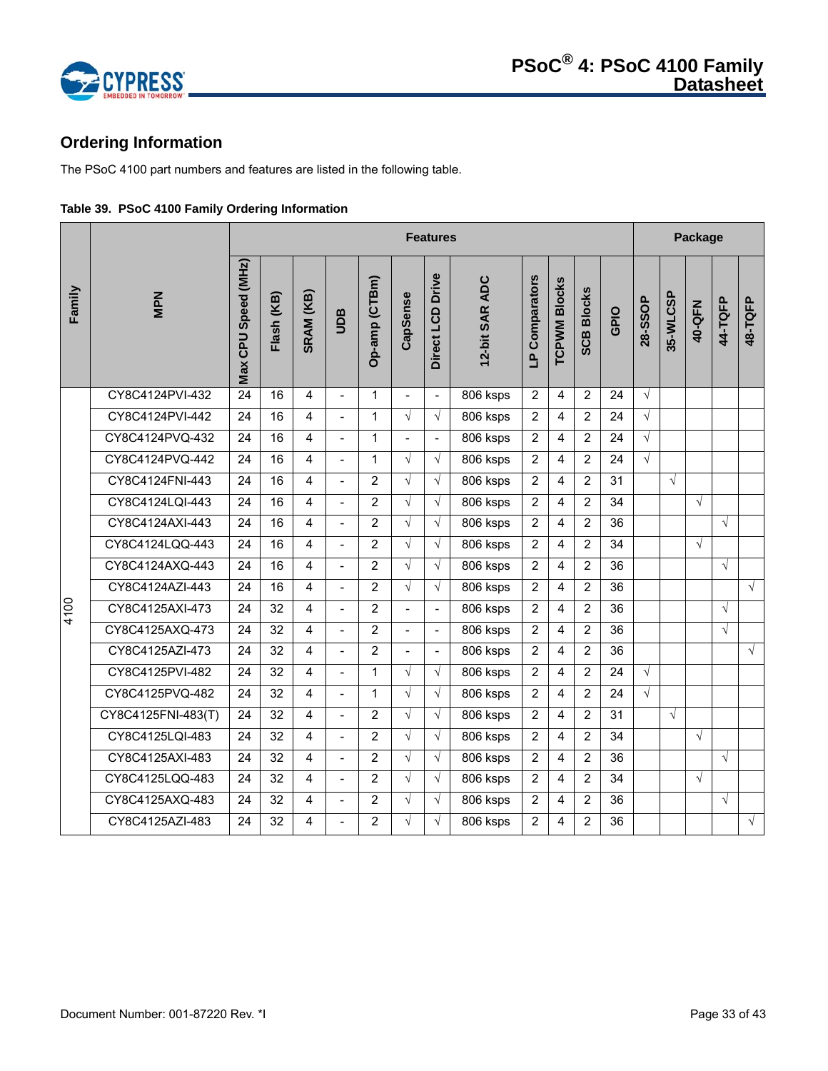

# **Ordering Information**

The PSoC 4100 part numbers and features are listed in the following table.

|  |  |  |  | Table 39. PSoC 4100 Family Ordering Information |
|--|--|--|--|-------------------------------------------------|
|--|--|--|--|-------------------------------------------------|

|        |                    |                     | <b>Features</b> |                |                          |                |                |                  |                |                | Package             |                   |      |            |            |            |            |            |
|--------|--------------------|---------------------|-----------------|----------------|--------------------------|----------------|----------------|------------------|----------------|----------------|---------------------|-------------------|------|------------|------------|------------|------------|------------|
| Family | <b>MPN</b>         | Max CPU Speed (MHz) | Flash (KB)      | SRAM (KB)      | Ban                      | Op-amp (CTBm)  | CapSense       | Direct LCD Drive | 12-bit SAR ADC | LP Comparators | <b>TCPWM Blocks</b> | <b>SCB Blocks</b> | GPIO | 28-SSOP    | 35-WLCSP   | 40-QFN     | 44-TQFP    | 48-TQFP    |
|        | CY8C4124PVI-432    | 24                  | 16              | 4              |                          | $\mathbf{1}$   |                | $\overline{a}$   | 806 ksps       | $\overline{2}$ | 4                   | $\overline{2}$    | 24   | $\sqrt{ }$ |            |            |            |            |
|        | CY8C4124PVI-442    | 24                  | 16              | $\overline{4}$ | $\blacksquare$           | $\mathbf{1}$   | $\sqrt{}$      | $\sqrt{ }$       | 806 ksps       | $\overline{2}$ | 4                   | $\overline{2}$    | 24   | $\sqrt{ }$ |            |            |            |            |
|        | CY8C4124PVQ-432    | 24                  | 16              | 4              | $\overline{a}$           | $\mathbf{1}$   | $\overline{a}$ | $\blacksquare$   | 806 ksps       | $\overline{2}$ | 4                   | $\overline{2}$    | 24   | $\sqrt{ }$ |            |            |            |            |
|        | CY8C4124PVQ-442    | 24                  | 16              | $\overline{4}$ | $\overline{a}$           | $\mathbf{1}$   | $\sqrt{ }$     | $\sqrt{ }$       | 806 ksps       | $\overline{2}$ | 4                   | 2                 | 24   | $\sqrt{ }$ |            |            |            |            |
|        | CY8C4124FNI-443    | 24                  | 16              | $\overline{4}$ | $\overline{a}$           | 2              | $\sqrt{ }$     | $\sqrt{ }$       | 806 ksps       | $\overline{2}$ | 4                   | $\overline{2}$    | 31   |            | $\sqrt{ }$ |            |            |            |
|        | CY8C4124LQI-443    | 24                  | 16              | $\overline{4}$ | $\overline{a}$           | 2              | $\sqrt{ }$     | $\sqrt{ }$       | 806 ksps       | $\overline{2}$ | 4                   | $\overline{2}$    | 34   |            |            | $\sqrt{ }$ |            |            |
|        | CY8C4124AXI-443    | 24                  | 16              | $\overline{4}$ | $\blacksquare$           | 2              | $\sqrt{ }$     | $\sqrt{2}$       | 806 ksps       | $\overline{2}$ | 4                   | $\overline{2}$    | 36   |            |            |            | $\sqrt{ }$ |            |
|        | CY8C4124LQQ-443    | 24                  | 16              | $\overline{4}$ | $\blacksquare$           | $\overline{2}$ | $\sqrt{ }$     | $\sqrt{2}$       | 806 ksps       | $\overline{2}$ | 4                   | $\overline{2}$    | 34   |            |            | $\sqrt{ }$ |            |            |
|        | CY8C4124AXQ-443    | 24                  | 16              | $\overline{4}$ | $\overline{a}$           | $\overline{2}$ | $\sqrt{ }$     | $\sqrt{ }$       | 806 ksps       | $\overline{2}$ | 4                   | $\overline{2}$    | 36   |            |            |            | $\sqrt{ }$ |            |
|        | CY8C4124AZI-443    | 24                  | 16              | 4              | $\blacksquare$           | $\overline{2}$ | $\sqrt{}$      | $\sqrt{ }$       | 806 ksps       | $\overline{2}$ | 4                   | $\overline{2}$    | 36   |            |            |            |            | $\sqrt{ }$ |
| 4100   | CY8C4125AXI-473    | 24                  | 32              | $\overline{4}$ | $\overline{a}$           | 2              | $\overline{a}$ | $\blacksquare$   | 806 ksps       | $\overline{2}$ | 4                   | 2                 | 36   |            |            |            | $\sqrt{}$  |            |
|        | CY8C4125AXQ-473    | 24                  | 32              | $\overline{4}$ | $\overline{a}$           | $\overline{2}$ | $\blacksquare$ | $\blacksquare$   | 806 ksps       | $\overline{2}$ | 4                   | $\overline{2}$    | 36   |            |            |            | $\sqrt{}$  |            |
|        | CY8C4125AZI-473    | 24                  | 32              | $\overline{4}$ | $\overline{a}$           | $\overline{2}$ | $\blacksquare$ | $\blacksquare$   | 806 ksps       | $\overline{2}$ | 4                   | $\overline{2}$    | 36   |            |            |            |            | $\sqrt{ }$ |
|        | CY8C4125PVI-482    | 24                  | 32              | 4              |                          | $\mathbf{1}$   | $\sqrt{ }$     | $\sqrt{ }$       | 806 ksps       | 2              | 4                   | $\overline{2}$    | 24   | $\sqrt{2}$ |            |            |            |            |
|        | CY8C4125PVQ-482    | 24                  | 32              | 4              | $\blacksquare$           | $\mathbf{1}$   | $\sqrt{ }$     | $\sqrt{ }$       | 806 ksps       | $\overline{2}$ | 4                   | $\overline{2}$    | 24   | $\sqrt{ }$ |            |            |            |            |
|        | CY8C4125FNI-483(T) | 24                  | 32              | $\overline{4}$ | $\blacksquare$           | 2              | $\sqrt{ }$     | $\sqrt{ }$       | 806 ksps       | $\overline{2}$ | 4                   | $\overline{2}$    | 31   |            | $\sqrt{ }$ |            |            |            |
|        | CY8C4125LQI-483    | 24                  | 32              | 4              | $\overline{a}$           | $\overline{2}$ | $\sqrt{ }$     | $\sqrt{ }$       | 806 ksps       | $\overline{2}$ | 4                   | 2                 | 34   |            |            | $\sqrt{2}$ |            |            |
|        | CY8C4125AXI-483    | 24                  | 32              | $\overline{4}$ | $\overline{\phantom{a}}$ | $\overline{2}$ | √              | $\sqrt{ }$       | 806 ksps       | $\overline{2}$ | 4                   | $\overline{2}$    | 36   |            |            |            | $\sqrt{ }$ |            |
|        | CY8C4125LQQ-483    | 24                  | 32              | $\overline{4}$ |                          | $\overline{2}$ | $\sqrt{ }$     | $\sqrt{2}$       | 806 ksps       | $\overline{2}$ | 4                   | 2                 | 34   |            |            | $\sqrt{2}$ |            |            |
|        | CY8C4125AXQ-483    | 24                  | 32              | 4              | $\blacksquare$           | $\overline{2}$ | $\sqrt{ }$     | $\sqrt{ }$       | 806 ksps       | $\overline{2}$ | 4                   | $\overline{2}$    | 36   |            |            |            | $\sqrt{}$  |            |
|        | CY8C4125AZI-483    | 24                  | 32              | $\overline{4}$ | $\overline{a}$           | 2              | $\sqrt{ }$     | $\sqrt{ }$       | 806 ksps       | $\overline{2}$ | 4                   | 2                 | 36   |            |            |            |            | $\sqrt{ }$ |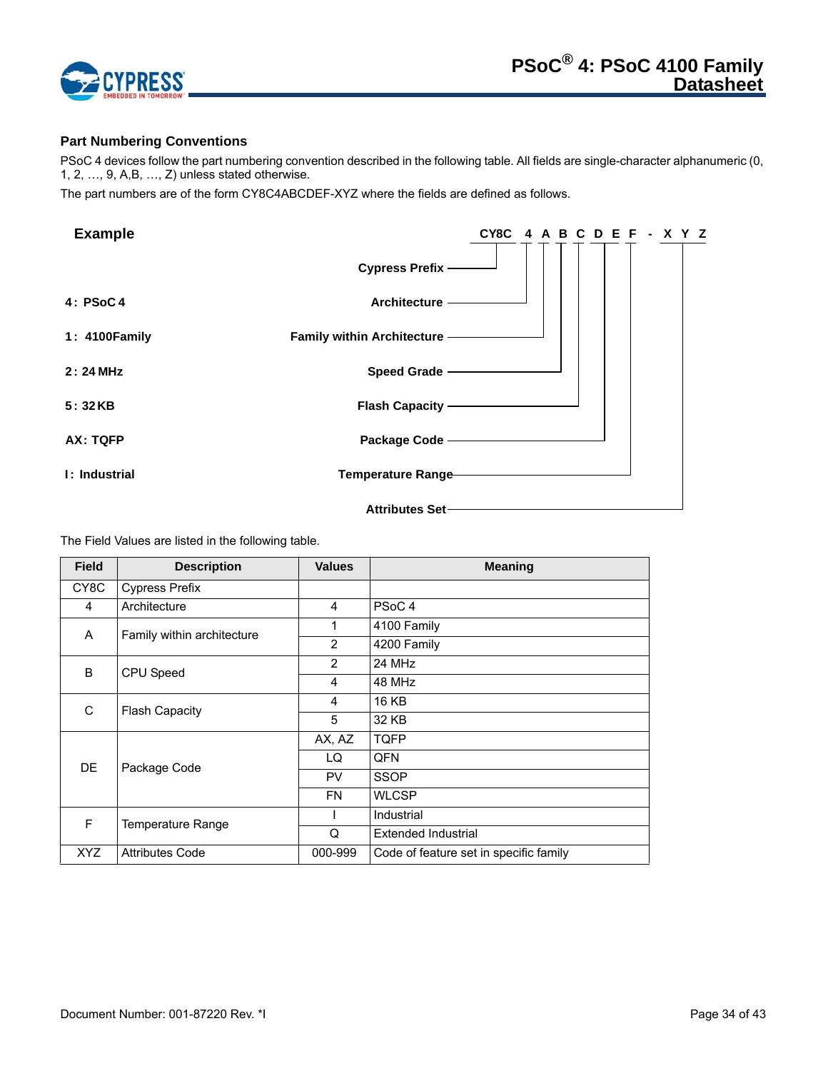

# **Part Numbering Conventions**

PSoC 4 devices follow the part numbering convention described in the following table. All fields are single-character alphanumeric (0, 1, 2, …, 9, A,B, …, Z) unless stated otherwise.

The part numbers are of the form CY8C4ABCDEF-XYZ where the fields are defined as follows.

| <b>Example</b> | CY8C 4 A B C D E F - X Y Z   |
|----------------|------------------------------|
|                | Cypress Prefix-              |
| 4: PSoC4       | Architecture -               |
| 1: 4100 Family | Family within Architecture - |
| 2:24 MHz       | Speed Grade -                |
| 5:32KB         | <b>Flash Capacity ————</b>   |
| AX: TQFP       | Package Code -               |
| I: Industrial  | Temperature Range            |
|                | Attributes Set-              |

The Field Values are listed in the following table.

| <b>Field</b> | <b>Description</b>         | <b>Values</b>  | <b>Meaning</b>                         |
|--------------|----------------------------|----------------|----------------------------------------|
| CY8C         | <b>Cypress Prefix</b>      |                |                                        |
| 4            | Architecture               | 4              | PSoC <sub>4</sub>                      |
| A            | Family within architecture | 1              | 4100 Family                            |
|              |                            | $\overline{2}$ | 4200 Family                            |
| B.           | CPU Speed                  | 2              | 24 MHz                                 |
|              |                            | 4              | 48 MHz                                 |
| C            | <b>Flash Capacity</b>      | 4              | <b>16 KB</b>                           |
|              |                            | 5              | 32 KB                                  |
|              |                            | AX, AZ         | <b>TQFP</b>                            |
| <b>DE</b>    | Package Code               | LQ             | QFN                                    |
|              |                            | <b>PV</b>      | <b>SSOP</b>                            |
|              |                            | <b>FN</b>      | <b>WLCSP</b>                           |
| F            | Temperature Range          |                | Industrial                             |
|              |                            | Q              | Extended Industrial                    |
| XYZ          | <b>Attributes Code</b>     | 000-999        | Code of feature set in specific family |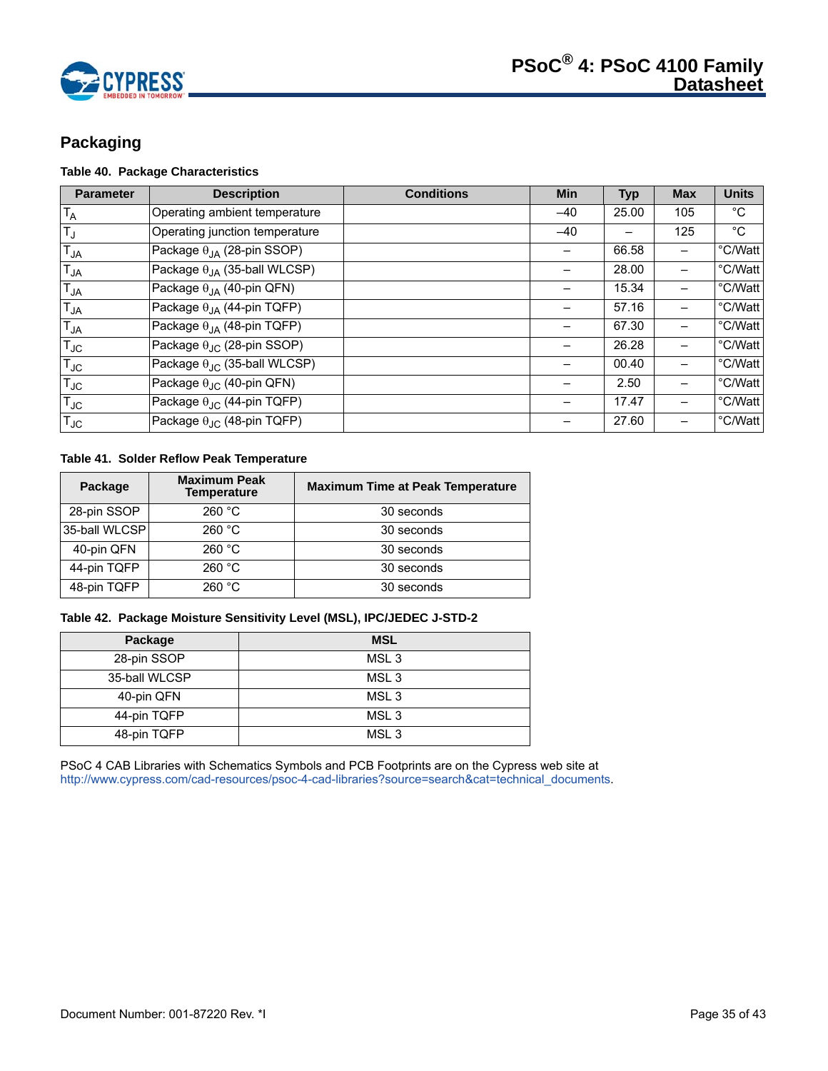

# **Packaging**

# **Table 40. Package Characteristics**

| <b>Parameter</b> | <b>Description</b>                           | <b>Conditions</b> | <b>Min</b> | <b>Typ</b> | <b>Max</b> | <b>Units</b> |
|------------------|----------------------------------------------|-------------------|------------|------------|------------|--------------|
| $T_A$            | Operating ambient temperature                |                   | $-40$      | 25.00      | 105        | $^{\circ}$ C |
| $T_{\text{J}}$   | Operating junction temperature               |                   | $-40$      |            | 125        | $^{\circ}C$  |
| $T_{JA}$         | Package $\theta_{IA}$ (28-pin SSOP)          |                   |            | 66.58      |            | °C/Watt      |
| $T_{JA}$         | Package $\theta_{JA}$ (35-ball WLCSP)        |                   |            | 28.00      |            | °C/Watt      |
| $T_{JA}$         | Package $\theta_{JA}$ (40-pin QFN)           |                   |            | 15.34      |            | °C/Watt      |
| $T_{JA}$         | Package $\theta_{JA}$ (44-pin TQFP)          |                   |            | 57.16      |            | °C/Watt      |
| $T_{JA}$         | Package $\theta_{IA}$ (48-pin TQFP)          |                   |            | 67.30      |            | °C/Watt      |
| $T_{\text{JC}}$  | Package $\theta_{\text{JC}}$ (28-pin SSOP)   |                   |            | 26.28      |            | °C/Watt      |
| $T_{JC}$         | Package $\theta_{\text{JC}}$ (35-ball WLCSP) |                   |            | 00.40      |            | °C/Watt      |
| $T_{\text{JC}}$  | Package $\theta_{\text{JC}}$ (40-pin QFN)    |                   |            | 2.50       |            | °C/Watt      |
| $T_{JC}$         | Package $\theta_{\text{JC}}$ (44-pin TQFP)   |                   |            | 17.47      |            | °C/Watt      |
| $T_{\text{JC}}$  | Package $\theta_{\text{JC}}$ (48-pin TQFP)   |                   |            | 27.60      |            | °C/Watt      |

# **Table 41. Solder Reflow Peak Temperature**

| Package       | <b>Maximum Peak</b><br><b>Temperature</b> | <b>Maximum Time at Peak Temperature</b> |
|---------------|-------------------------------------------|-----------------------------------------|
| 28-pin SSOP   | 260 °C                                    | 30 seconds                              |
| 35-ball WLCSP | 260 °C                                    | 30 seconds                              |
| 40-pin QFN    | 260 °C                                    | 30 seconds                              |
| 44-pin TQFP   | 260 °C                                    | 30 seconds                              |
| 48-pin TQFP   | 260 °C                                    | 30 seconds                              |

#### **Table 42. Package Moisture Sensitivity Level (MSL), IPC/JEDEC J-STD-2**

| Package       | <b>MSL</b>       |
|---------------|------------------|
| 28-pin SSOP   | MSL <sub>3</sub> |
| 35-ball WLCSP | MSL <sub>3</sub> |
| 40-pin QFN    | MSL <sub>3</sub> |
| 44-pin TQFP   | MSL <sub>3</sub> |
| 48-pin TQFP   | MSL <sub>3</sub> |

PSoC 4 CAB Libraries with Schematics Symbols and PCB Footprints are on the Cypress web site at http://www.cypress.com/cad-resources/psoc-4-cad-libraries?source=search&cat=technical\_documents.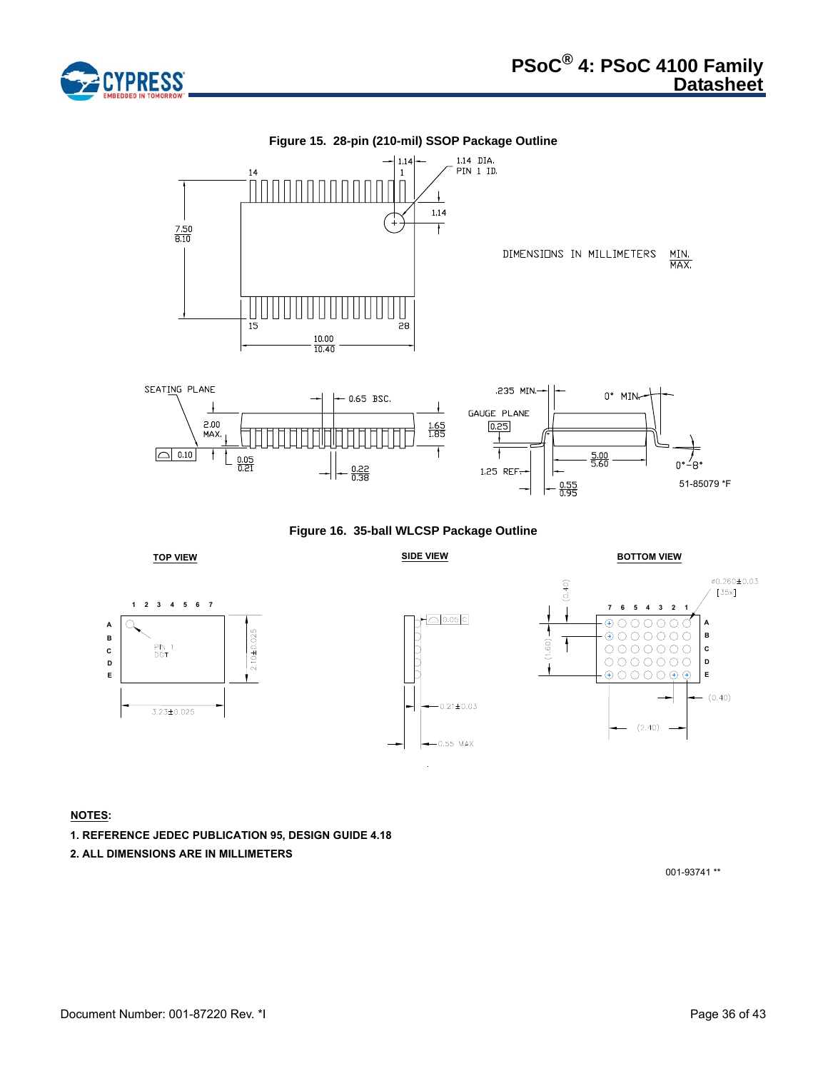



**Figure 16. 35-ball WLCSP Package Outline**











# **NOTES:**

- **1. REFERENCE JEDEC PUBLICATION 95, DESIGN GUIDE 4.18**
- **2. ALL DIMENSIONS ARE IN MILLIMETERS**

001-93741 \*\*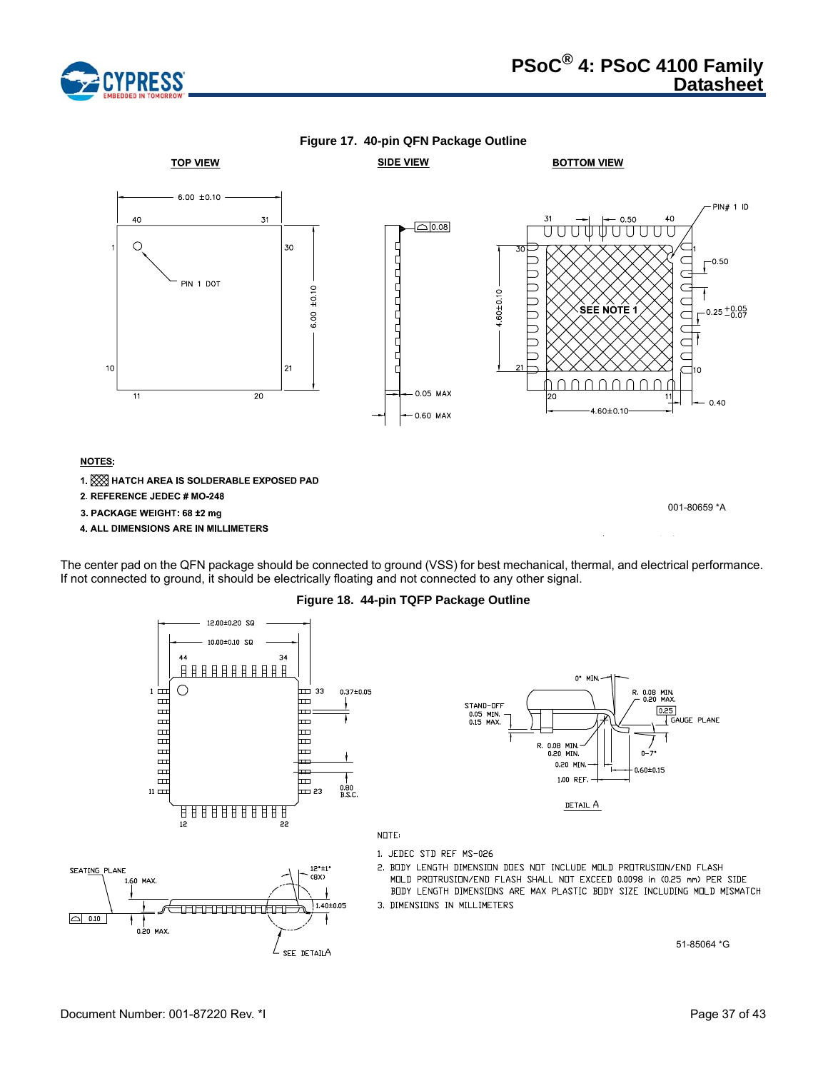





The center pad on the QFN package should be connected to ground (VSS) for best mechanical, thermal, and electrical performance. If not connected to ground, it should be electrically floating and not connected to any other signal.

**Figure 18. 44-pin TQFP Package Outline**

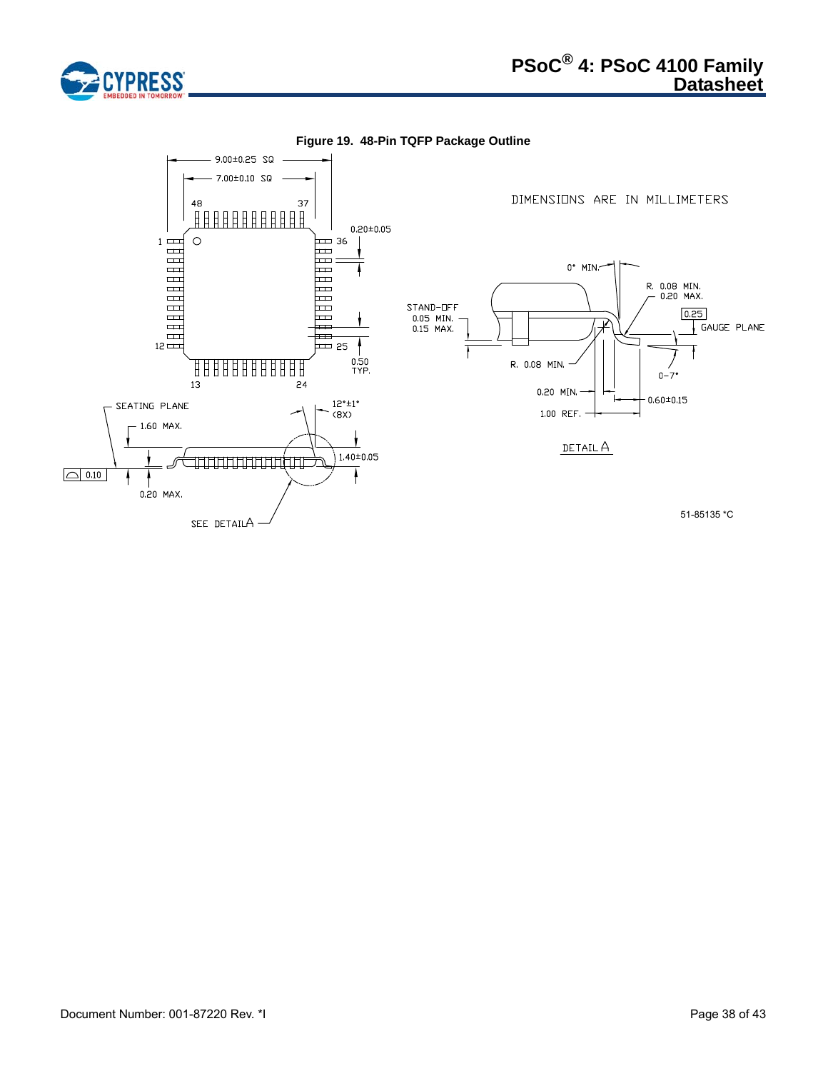

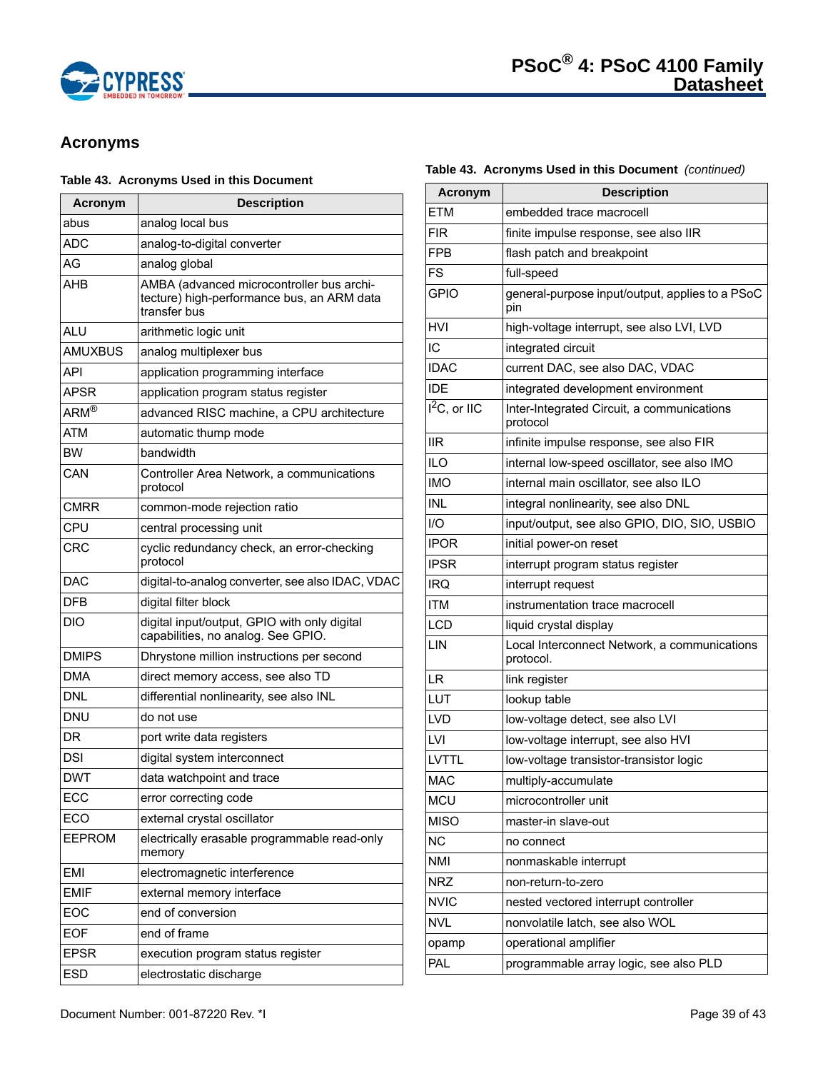

# **Acronyms**

# **Table 43. Acronyms Used in this Document**

| Acronym                                   | <b>Description</b>                                                                                      |
|-------------------------------------------|---------------------------------------------------------------------------------------------------------|
| abus                                      | analog local bus                                                                                        |
| ADC                                       | analog-to-digital converter                                                                             |
| AG                                        | analog global                                                                                           |
| AHB                                       | AMBA (advanced microcontroller bus archi-<br>tecture) high-performance bus, an ARM data<br>transfer bus |
| ALU                                       | arithmetic logic unit                                                                                   |
| <b>AMUXBUS</b>                            | analog multiplexer bus                                                                                  |
| API                                       | application programming interface                                                                       |
| <b>APSR</b>                               | application program status register                                                                     |
| $ARM^{\overline{\textcircled{\tiny{R}}}}$ | advanced RISC machine, a CPU architecture                                                               |
| ATM                                       | automatic thump mode                                                                                    |
| <b>BW</b>                                 | bandwidth                                                                                               |
| CAN                                       | Controller Area Network, a communications<br>protocol                                                   |
| CMRR                                      | common-mode rejection ratio                                                                             |
| CPU                                       | central processing unit                                                                                 |
| CRC                                       | cyclic redundancy check, an error-checking<br>protocol                                                  |
| DAC                                       | digital-to-analog converter, see also IDAC, VDAC                                                        |
| DFB                                       | digital filter block                                                                                    |
| DIO                                       | digital input/output, GPIO with only digital<br>capabilities, no analog. See GPIO.                      |
| <b>DMIPS</b>                              | Dhrystone million instructions per second                                                               |
| <b>DMA</b>                                | direct memory access, see also TD                                                                       |
| DNL                                       | differential nonlinearity, see also INL                                                                 |
| <b>DNU</b>                                | do not use                                                                                              |
| DR                                        | port write data registers                                                                               |
| <b>DSI</b>                                | digital system interconnect                                                                             |
| <b>DWT</b>                                | data watchpoint and trace                                                                               |
| ECC                                       | error correcting code                                                                                   |
| ECO                                       | external crystal oscillator                                                                             |
| <b>EEPROM</b>                             | electrically erasable programmable read-only<br>memory                                                  |
| <b>EMI</b>                                | electromagnetic interference                                                                            |
| <b>EMIF</b>                               | external memory interface                                                                               |
| EOC                                       | end of conversion                                                                                       |
| <b>EOF</b>                                | end of frame                                                                                            |
| <b>EPSR</b>                               | execution program status register                                                                       |
| <b>ESD</b>                                | electrostatic discharge                                                                                 |

# **Table 43. Acronyms Used in this Document** *(continued)*

| <b>Acronym</b>             | <b>Description</b>                                        |
|----------------------------|-----------------------------------------------------------|
| ETM                        | embedded trace macrocell                                  |
| <b>FIR</b>                 | finite impulse response, see also IIR                     |
| FPB                        | flash patch and breakpoint                                |
| <b>FS</b>                  | full-speed                                                |
| <b>GPIO</b>                | general-purpose input/output, applies to a PSoC<br>pin    |
| <b>HVI</b>                 | high-voltage interrupt, see also LVI, LVD                 |
| IC                         | integrated circuit                                        |
| <b>IDAC</b>                | current DAC, see also DAC, VDAC                           |
| <b>IDE</b>                 | integrated development environment                        |
| $\overline{I}^2C$ , or IIC | Inter-Integrated Circuit, a communications<br>protocol    |
| <b>IIR</b>                 | infinite impulse response, see also FIR                   |
| <b>ILO</b>                 | internal low-speed oscillator, see also IMO               |
| <b>IMO</b>                 | internal main oscillator, see also ILO                    |
| <b>INL</b>                 | integral nonlinearity, see also DNL                       |
| 1/O                        | input/output, see also GPIO, DIO, SIO, USBIO              |
| <b>IPOR</b>                | initial power-on reset                                    |
| <b>IPSR</b>                | interrupt program status register                         |
| IRQ                        | interrupt request                                         |
| <b>ITM</b>                 | instrumentation trace macrocell                           |
| <b>LCD</b>                 | liquid crystal display                                    |
| LIN                        | Local Interconnect Network, a communications<br>protocol. |
| LR                         | link register                                             |
| LUT                        | lookup table                                              |
| LVD                        | low-voltage detect, see also LVI                          |
| LVI                        | low-voltage interrupt, see also HVI                       |
| LVTTL                      | low-voltage transistor-transistor logic                   |
| <b>MAC</b>                 | multiply-accumulate                                       |
| <b>MCU</b>                 | microcontroller unit                                      |
| <b>MISO</b>                | master-in slave-out                                       |
| <b>NC</b>                  | no connect                                                |
| <b>NMI</b>                 | nonmaskable interrupt                                     |
| <b>NRZ</b>                 | non-return-to-zero                                        |
| <b>NVIC</b>                | nested vectored interrupt controller                      |
| <b>NVL</b>                 | nonvolatile latch, see also WOL                           |
| opamp                      | operational amplifier                                     |
| PAL                        | programmable array logic, see also PLD                    |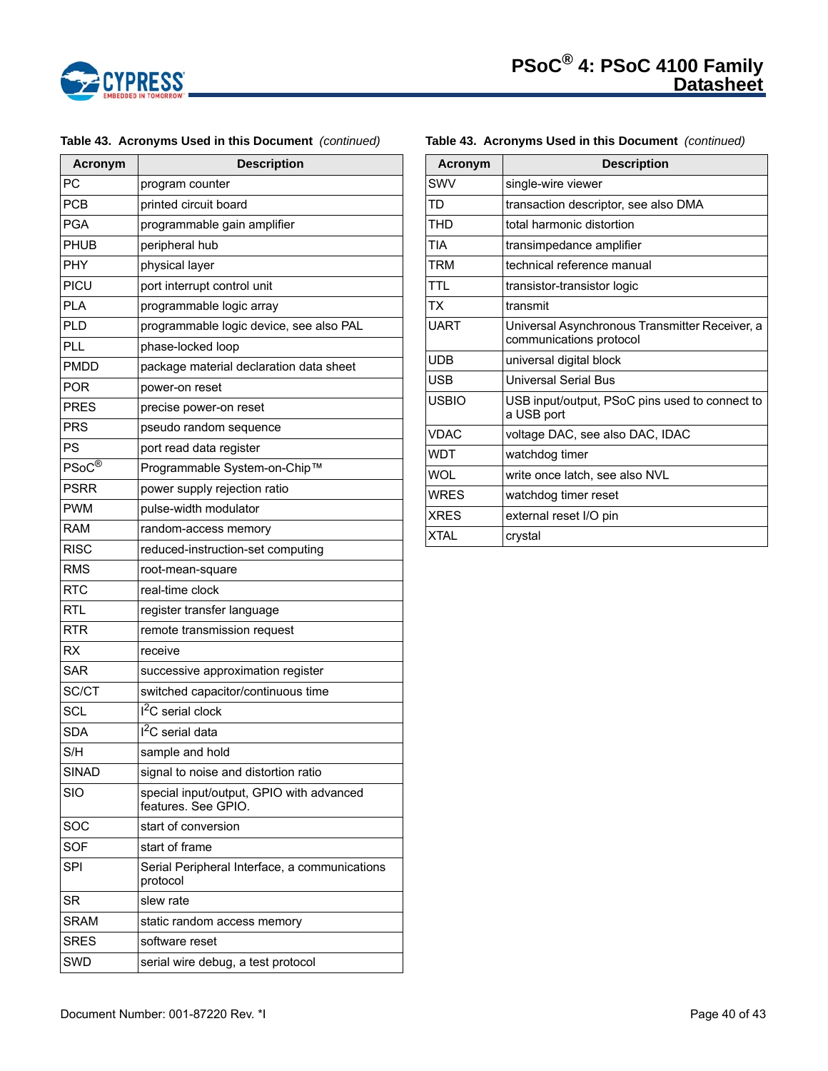

| <b>Acronym</b>     | <b>Description</b>                                              |
|--------------------|-----------------------------------------------------------------|
| PC                 | program counter                                                 |
| <b>PCB</b>         | printed circuit board                                           |
| <b>PGA</b>         | programmable gain amplifier                                     |
| PHUB               | peripheral hub                                                  |
| PHY                | physical layer                                                  |
| PICU               | port interrupt control unit                                     |
| <b>PLA</b>         | programmable logic array                                        |
| <b>PLD</b>         | programmable logic device, see also PAL                         |
| PLL                | phase-locked loop                                               |
| <b>PMDD</b>        | package material declaration data sheet                         |
| <b>POR</b>         | power-on reset                                                  |
| <b>PRES</b>        | precise power-on reset                                          |
| <b>PRS</b>         | pseudo random sequence                                          |
| PS                 | port read data register                                         |
| $PSoC^{\circledR}$ | Programmable System-on-Chip™                                    |
| PSRR               | power supply rejection ratio                                    |
| <b>PWM</b>         | pulse-width modulator                                           |
| <b>RAM</b>         | random-access memory                                            |
| <b>RISC</b>        | reduced-instruction-set computing                               |
| <b>RMS</b>         | root-mean-square                                                |
| <b>RTC</b>         | real-time clock                                                 |
| <b>RTL</b>         | register transfer language                                      |
| <b>RTR</b>         | remote transmission request                                     |
| <b>RX</b>          | receive                                                         |
| <b>SAR</b>         | successive approximation register                               |
| SC/CT              | switched capacitor/continuous time                              |
| SCL                | <sup>2</sup> C serial clock                                     |
| SDA                | I <sup>2</sup> C serial data                                    |
| S/H                | sample and hold                                                 |
| <b>SINAD</b>       | signal to noise and distortion ratio                            |
| SIO                | special input/output, GPIO with advanced<br>features. See GPIO. |
| SOC                | start of conversion                                             |
| <b>SOF</b>         | start of frame                                                  |
| SPI                | Serial Peripheral Interface, a communications<br>protocol       |
| SR                 | slew rate                                                       |
| <b>SRAM</b>        | static random access memory                                     |
| <b>SRES</b>        | software reset                                                  |
| SWD                | serial wire debug, a test protocol                              |

# **Table 43. Acronyms Used in this Document** *(continued)*

# SWV single-wire viewer TD **transaction descriptor**, see also DMA THD total harmonic distortion TIA **transimpedance amplifier** TRM **technical reference manual** TTL **transistor-transistor logic** TX transmit UART Universal Asynchronous Transmitter Receiver, a communications protocol UDB universal digital block USB **Universal Serial Bus** USBIO USB input/output, PSoC pins used to connect to a USB port VDAC voltage DAC, see also DAC, IDAC WDT | watchdog timer WOL write once latch, see also NVL WRES watchdog timer reset XRES external reset I/O pin XTAL crystal **Acronym Description**

**Table 43. Acronyms Used in this Document** *(continued)*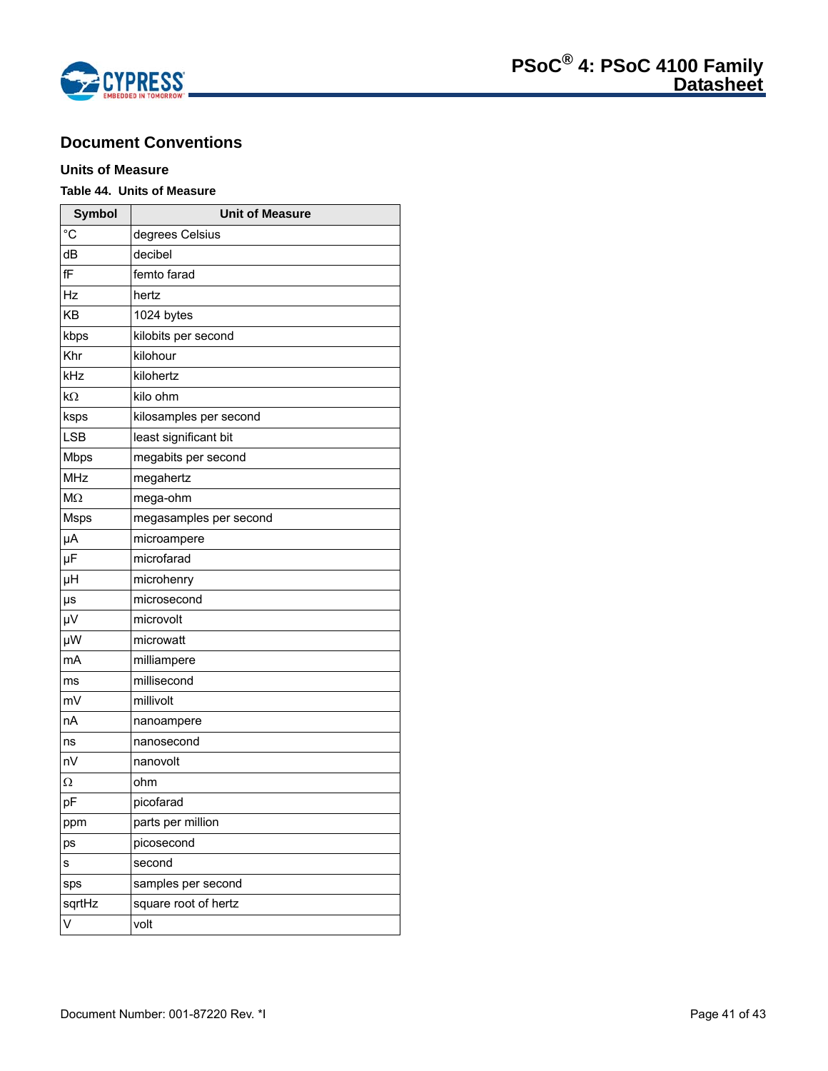

# **Document Conventions**

# **Units of Measure**

# **Table 44. Units of Measure**

| <b>Symbol</b>  | <b>Unit of Measure</b> |
|----------------|------------------------|
| $\overline{C}$ | degrees Celsius        |
| dB             | decibel                |
| fF             | femto farad            |
| Hz             | hertz                  |
| KB             | 1024 bytes             |
| kbps           | kilobits per second    |
| Khr            | kilohour               |
| kHz            | kilohertz              |
| $k\Omega$      | kilo ohm               |
| ksps           | kilosamples per second |
| <b>LSB</b>     | least significant bit  |
| <b>Mbps</b>    | megabits per second    |
| <b>MHz</b>     | megahertz              |
| M <sub>2</sub> | mega-ohm               |
| <b>Msps</b>    | megasamples per second |
| μA             | microampere            |
| μF             | microfarad             |
| μH             | microhenry             |
| μs             | microsecond            |
| $\mu$ V        | microvolt              |
| μW             | microwatt              |
| mA             | milliampere            |
| ms             | millisecond            |
| mV             | millivolt              |
| nA             | nanoampere             |
| ns             | nanosecond             |
| nV             | nanovolt               |
| Ω              | ohm                    |
| pF             | picofarad              |
| ppm            | parts per million      |
| ps             | picosecond             |
| s              | second                 |
| sps            | samples per second     |
| sqrtHz         | square root of hertz   |
| $\vee$         | volt                   |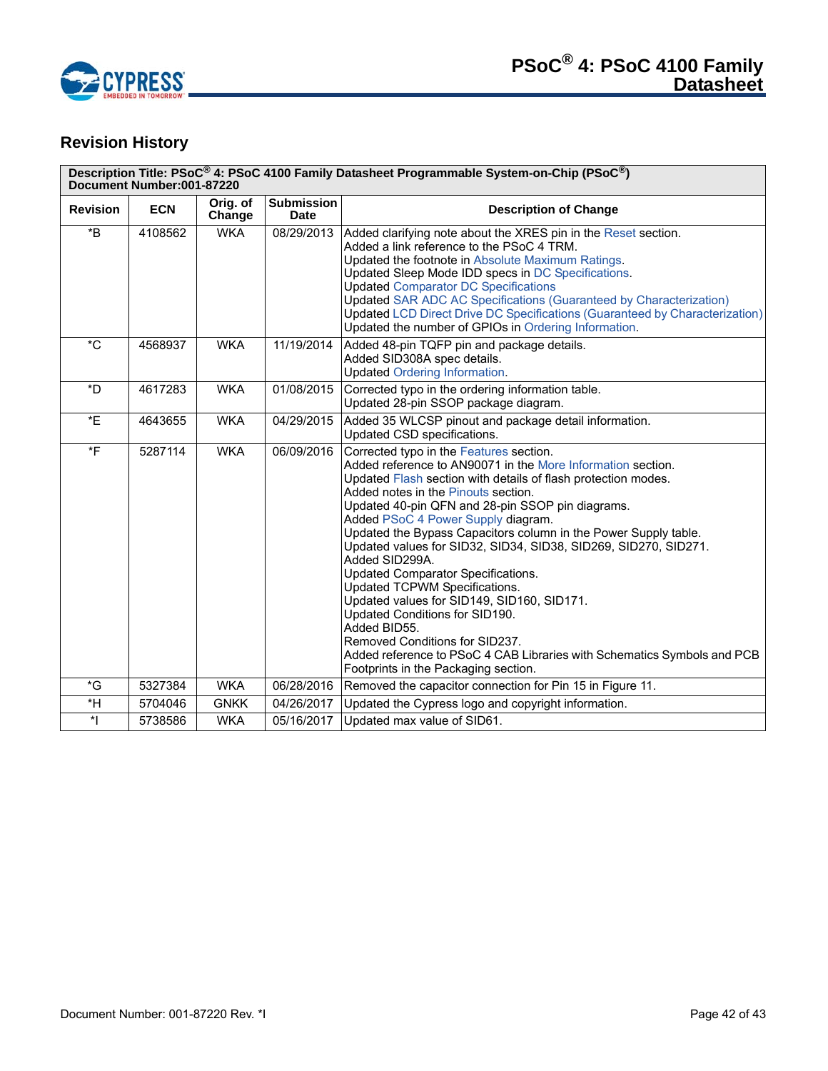

# **Revision History**

| Description Title: PSoC <sup>®</sup> 4: PSoC 4100 Family Datasheet Programmable System-on-Chip (PSoC <sup>®</sup> )<br>Document Number:001-87220 |            |                    |                                  |                                                                                                                                                                                                                                                                                                                                                                                                                                                                                                                                                                                                                                                                                                                                                                                              |  |
|--------------------------------------------------------------------------------------------------------------------------------------------------|------------|--------------------|----------------------------------|----------------------------------------------------------------------------------------------------------------------------------------------------------------------------------------------------------------------------------------------------------------------------------------------------------------------------------------------------------------------------------------------------------------------------------------------------------------------------------------------------------------------------------------------------------------------------------------------------------------------------------------------------------------------------------------------------------------------------------------------------------------------------------------------|--|
| <b>Revision</b>                                                                                                                                  | <b>ECN</b> | Orig. of<br>Change | <b>Submission</b><br><b>Date</b> | <b>Description of Change</b>                                                                                                                                                                                                                                                                                                                                                                                                                                                                                                                                                                                                                                                                                                                                                                 |  |
| $\,{}^{\star}\mathsf{B}$                                                                                                                         | 4108562    | <b>WKA</b>         | 08/29/2013                       | Added clarifying note about the XRES pin in the Reset section.<br>Added a link reference to the PSoC 4 TRM.<br>Updated the footnote in Absolute Maximum Ratings.<br>Updated Sleep Mode IDD specs in DC Specifications.<br><b>Updated Comparator DC Specifications</b><br><b>Updated SAR ADC AC Specifications (Guaranteed by Characterization)</b><br><b>Updated LCD Direct Drive DC Specifications (Guaranteed by Characterization)</b><br>Updated the number of GPIOs in Ordering Information.                                                                                                                                                                                                                                                                                             |  |
| $^{\star}$ C                                                                                                                                     | 4568937    | <b>WKA</b>         | 11/19/2014                       | Added 48-pin TQFP pin and package details.<br>Added SID308A spec details.<br><b>Updated Ordering Information.</b>                                                                                                                                                                                                                                                                                                                                                                                                                                                                                                                                                                                                                                                                            |  |
| *D                                                                                                                                               | 4617283    | <b>WKA</b>         | 01/08/2015                       | Corrected typo in the ordering information table.<br>Updated 28-pin SSOP package diagram.                                                                                                                                                                                                                                                                                                                                                                                                                                                                                                                                                                                                                                                                                                    |  |
| *E                                                                                                                                               | 4643655    | <b>WKA</b>         | 04/29/2015                       | Added 35 WLCSP pinout and package detail information.<br>Updated CSD specifications.                                                                                                                                                                                                                                                                                                                                                                                                                                                                                                                                                                                                                                                                                                         |  |
| $*$ F                                                                                                                                            | 5287114    | <b>WKA</b>         | 06/09/2016                       | Corrected typo in the Features section.<br>Added reference to AN90071 in the More Information section.<br>Updated Flash section with details of flash protection modes.<br>Added notes in the Pinouts section.<br>Updated 40-pin QFN and 28-pin SSOP pin diagrams.<br>Added PSoC 4 Power Supply diagram.<br>Updated the Bypass Capacitors column in the Power Supply table.<br>Updated values for SID32, SID34, SID38, SID269, SID270, SID271.<br>Added SID299A.<br>Updated Comparator Specifications.<br>Updated TCPWM Specifications.<br>Updated values for SID149, SID160, SID171.<br>Updated Conditions for SID190.<br>Added BID55.<br>Removed Conditions for SID237.<br>Added reference to PSoC 4 CAB Libraries with Schematics Symbols and PCB<br>Footprints in the Packaging section. |  |
| *G                                                                                                                                               | 5327384    | <b>WKA</b>         | 06/28/2016                       | Removed the capacitor connection for Pin 15 in Figure 11.                                                                                                                                                                                                                                                                                                                                                                                                                                                                                                                                                                                                                                                                                                                                    |  |
| *H                                                                                                                                               | 5704046    | <b>GNKK</b>        | 04/26/2017                       | Updated the Cypress logo and copyright information.                                                                                                                                                                                                                                                                                                                                                                                                                                                                                                                                                                                                                                                                                                                                          |  |
| $^\star\vert$                                                                                                                                    | 5738586    | <b>WKA</b>         | 05/16/2017                       | Updated max value of SID61.                                                                                                                                                                                                                                                                                                                                                                                                                                                                                                                                                                                                                                                                                                                                                                  |  |